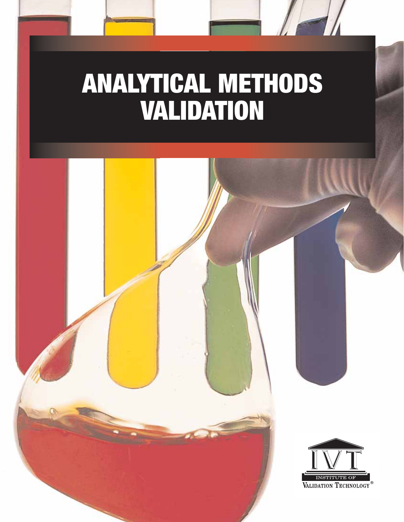# **ANALYTICAL METHODS VALIDATION**

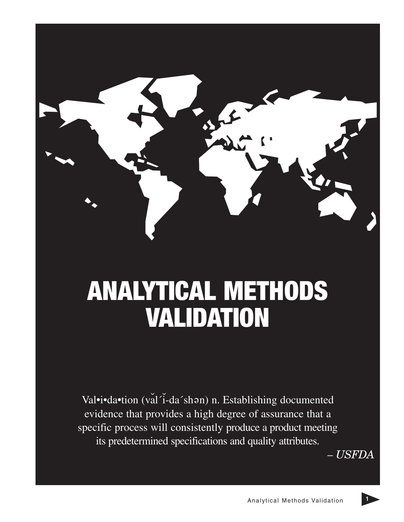

# **ANALYTICAL METHODS VALIDATION**

Val•i•da•tion (val´i-da´shən) n. Establishing documented evidence that provides a high degree of assurance that a specific process will consistently produce a product meeting its predetermined specifications and quality attributes.

*– USFDA*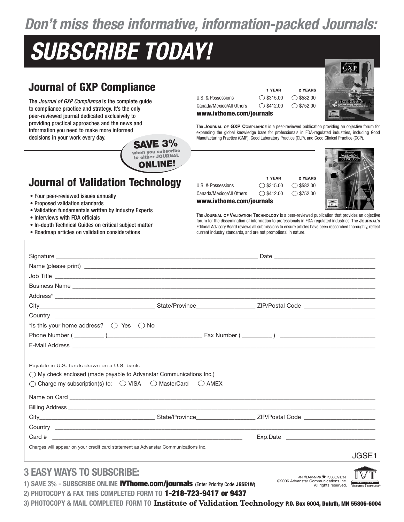### **Don't miss these informative, information-packed Journals:**

## **SUBSCRIBE TODAY!**

**when you subscribe to either JOURNAL ONLINE!**

### **Journal of GXP Compliance**

The Journal of GXP Compliance is the complete guide to compliance practice and strategy. It's the only peer-reviewed journal dedicated exclusively to providing practical approaches and the news and information you need to make more informed decisions in your work every day. **SAVE 3%**



**1 YEAR 2 YEARS**



The **JOURNAL OF GXP COMPLIANCE** is a peer-reviewed publication providing an objective forum for expanding the global knowledge base for professionals in FDA-regulated industries, including Good Manufacturing Practice (GMP), Good Laboratory Practice (GLP), and Good Clinical Practice (GCP).

### **Journal of Validation Technology**

#### • Four peer-reviewed issues annually

- Proposed validation standards
- Validation fundamentals written by Industry Experts
- Interviews with FDA officials
- In-depth Technical Guides on critical subject matter
- Roadmap articles on validation considerations

### **1 YEAR 2 YEARS** U.S. & Possessions  $\bigcirc$  \$315.00  $\bigcirc$  \$582.00 Canada/Mexico/All Others  $\bigcirc$  \$412.00  $\bigcirc$  \$752.00 **www.ivthome.com/journals**



The **JOURNAL OF VALIDATION TECHNOLOGY** is a peer-reviewed publication that provides an objective forum for the dissemination of information to professionals in FDA-regulated industries. The **JOURNAL**'s Editorial Advisory Board reviews all submissions to ensure articles have been researched thoroughly, reflect current industry standards, and are not promotional in nature.

| *Is this your home address? $\bigcirc$ Yes $\bigcirc$ No                                                                                                                                                                             |  |       |
|--------------------------------------------------------------------------------------------------------------------------------------------------------------------------------------------------------------------------------------|--|-------|
|                                                                                                                                                                                                                                      |  |       |
|                                                                                                                                                                                                                                      |  |       |
|                                                                                                                                                                                                                                      |  |       |
| Payable in U.S. funds drawn on a U.S. bank.                                                                                                                                                                                          |  |       |
| $\bigcirc$ My check enclosed (made payable to Advanstar Communications Inc.)                                                                                                                                                         |  |       |
| $\bigcirc$ Charge my subscription(s) to: $\bigcirc$ VISA $\bigcirc$ MasterCard $\bigcirc$ AMEX                                                                                                                                       |  |       |
|                                                                                                                                                                                                                                      |  |       |
| Billing Address <b>Department of the Contract Contract Contract Contract Contract Contract Contract Contract Contract Contract Contract Contract Contract Contract Contract Contract Contract Contract Contract Contract Contrac</b> |  |       |
|                                                                                                                                                                                                                                      |  |       |
|                                                                                                                                                                                                                                      |  |       |
|                                                                                                                                                                                                                                      |  |       |
| Card #                                                                                                                                                                                                                               |  |       |
| Charges will appear on your credit card statement as Advanstar Communications Inc.                                                                                                                                                   |  | JGSE: |

### **3 EASY WAYS TO SUBSCRIBE:**

**1) SAVE 3% - SUBSCRIBE ONLINE IVThome.com/journals** (Enter Priority Code **JGSE1W**) **2) PHOTOCOPY & FAX THIS COMPLETED FORM TO 1-218-723-9417 or 9437**

AN ADVANSTAR **@** PUBLICATION ©2006 Advanstar Communications Inc. All rights reserved.



**3) PHOTOCOPY & MAIL COMPLETED FORM TO Institute of Validation Technology P.O. Box 6004, Duluth, MN 55806-6004**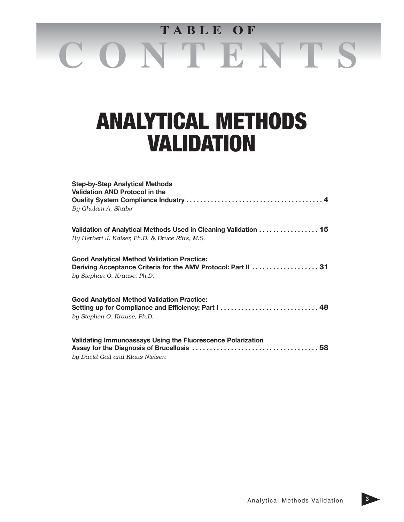# **C O N T E N T S T A B L E O F**

### **ANALYTICAL METHODS VALIDATION**

| <b>Step-by-Step Analytical Methods</b><br><b>Validation AND Protocol in the</b>                                      |
|----------------------------------------------------------------------------------------------------------------------|
| By Ghulam A. Shabir                                                                                                  |
| Validation of Analytical Methods Used in Cleaning Validation 15                                                      |
| By Herbert J. Kaiser, Ph.D. & Bruce Ritts, M.S.                                                                      |
| <b>Good Analytical Method Validation Practice:</b><br>Deriving Acceptance Criteria for the AMV Protocol: Part II  31 |
| by Stephan O. Krause, Ph.D.                                                                                          |
| <b>Good Analytical Method Validation Practice:</b><br>Setting up for Compliance and Efficiency: Part I  48           |
| by Stephen O. Krause, Ph.D.                                                                                          |
| Validating Immunoassays Using the Fluorescence Polarization                                                          |
|                                                                                                                      |
| by David Gall and Klaus Nielsen                                                                                      |

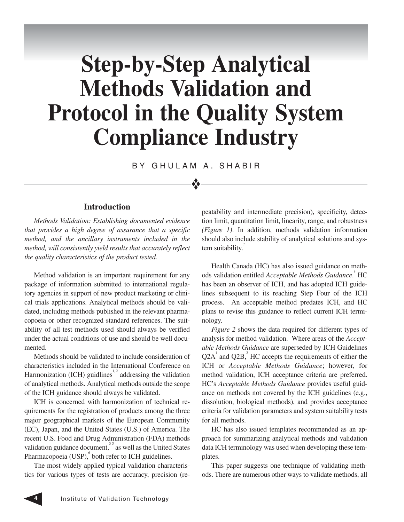## **Step-by-Step Analytical Methods Validation and Protocol in the Quality System Compliance Industry**

BY GHULAM A. SHABIR

❖

#### **Introduction**

*Methods Validation: Establishing documented evidence that provides a high degree of assurance that a specific method, and the ancillary instruments included in the method, will consistently yield results that accurately reflect the quality characteristics of the product tested.* 

Method validation is an important requirement for any package of information submitted to international regulatory agencies in support of new product marketing or clinical trials applications. Analytical methods should be validated, including methods published in the relevant pharmacopoeia or other recognized standard references. The suitability of all test methods used should always be verified under the actual conditions of use and should be well documented.

Methods should be validated to include consideration of characteristics included in the International Conference on Harmonization (ICH) guidlines<sup>1, 2</sup> addressing the validation of analytical methods. Analytical methods outside the scope of the ICH guidance should always be validated.

ICH is concerned with harmonization of technical requirements for the registration of products among the three major geographical markets of the European Community (EC), Japan, and the United States (U.S.) of America. The recent U.S. Food and Drug Administration (FDA) methods validation guidance document, $35$  as well as the United States Pharmacopoeia (USP), both refer to ICH guidelines.

The most widely applied typical validation characteristics for various types of tests are accuracy, precision (repeatability and intermediate precision), specificity, detection limit, quantitation limit, linearity, range, and robustness *(Figure 1)*. In addition, methods validation information should also include stability of analytical solutions and system suitability.

Health Canada (HC) has also issued guidance on methods validation entitled *Acceptable Methods Guidance*. 8 HC has been an observer of ICH, and has adopted ICH guidelines subsequent to its reaching Step Four of the ICH process. An acceptable method predates ICH, and HC plans to revise this guidance to reflect current ICH terminology.

*Figure 2* shows the data required for different types of analysis for method validation. Where areas of the *Acceptable Methods Guidance* are superseded by ICH Guidelines  $Q2A<sup>1</sup>$  and  $Q2B<sup>2</sup>$ . HC accepts the requirements of either the ICH or *Acceptable Methods Guidance*; however, for method validation, ICH acceptance criteria are preferred. HC's *Acceptable Methods Guidance* provides useful guidance on methods not covered by the ICH guidelines (e.g., dissolution, biological methods), and provides acceptance criteria for validation parameters and system suitability tests for all methods.

HC has also issued templates recommended as an approach for summarizing analytical methods and validation data ICH terminology was used when developing these templates.

This paper suggests one technique of validating methods. There are numerous other ways to validate methods, all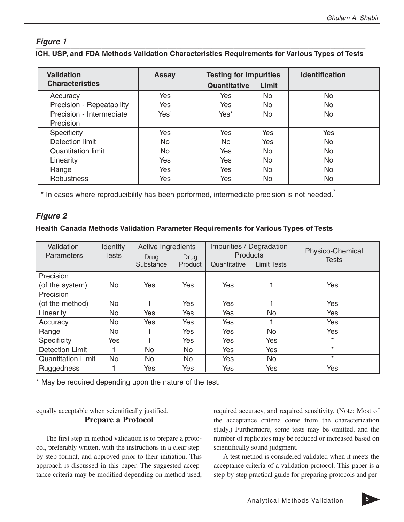#### **Figure 1**

#### **ICH, USP, and FDA Methods Validation Characteristics Requirements for Various Types of Tests**

| <b>Validation</b>         | <b>Assay</b>     | <b>Testing for Impurities</b> |           |     |  | <b>Identification</b> |
|---------------------------|------------------|-------------------------------|-----------|-----|--|-----------------------|
| <b>Characteristics</b>    |                  | <b>Quantitative</b>           | Limit     |     |  |                       |
| Accuracy                  | Yes              | Yes                           | No.       | No  |  |                       |
| Precision - Repeatability | Yes              | Yes                           | <b>No</b> | No  |  |                       |
| Precision - Intermediate  | Yes <sup>1</sup> | Yes*                          | <b>No</b> | No  |  |                       |
| Precision                 |                  |                               |           |     |  |                       |
| Specificity               | Yes              | Yes                           | Yes       | Yes |  |                       |
| Detection limit           | No               | No.                           | Yes       | No  |  |                       |
| <b>Quantitation limit</b> | No               | Yes                           | No        | No  |  |                       |
| Linearity                 | Yes              | Yes                           | <b>No</b> | No  |  |                       |
| Range                     | Yes              | Yes                           | No        | No  |  |                       |
| <b>Robustness</b>         | Yes              | Yes                           | No        | No  |  |                       |

\* In cases where reproducibility has been performed, intermediate precision is not needed.

#### **Figure 2**

#### **Health Canada Methods Validation Parameter Requirements for Various Types of Tests**

| Validation                | Identity     | Active Ingredients |           | Impurities / Degradation<br><b>Products</b> |                    | Physico-Chemical |  |  |
|---------------------------|--------------|--------------------|-----------|---------------------------------------------|--------------------|------------------|--|--|
| <b>Parameters</b>         | <b>Tests</b> | Drug               | Drug      |                                             |                    | <b>Tests</b>     |  |  |
|                           |              | Substance          | Product   | Quantitative                                | <b>Limit Tests</b> |                  |  |  |
| Precision                 |              |                    |           |                                             |                    |                  |  |  |
| (of the system)           | <b>No</b>    | Yes                | Yes       | Yes                                         |                    | Yes              |  |  |
| Precision                 |              |                    |           |                                             |                    |                  |  |  |
| (of the method)           | No.          |                    | Yes       | Yes                                         |                    | Yes              |  |  |
| Linearity                 | No           | Yes                | Yes       | Yes                                         | No                 | Yes              |  |  |
| Accuracy                  | No           | Yes                | Yes       | <b>Yes</b>                                  |                    | Yes              |  |  |
| Range                     | No           |                    | Yes       | Yes                                         | No                 | Yes              |  |  |
| Specificity               | Yes          |                    | Yes       | Yes                                         | Yes                | $\star$          |  |  |
| <b>Detection Limit</b>    |              | No                 | <b>No</b> | Yes                                         | Yes                | $\star$          |  |  |
| <b>Quantitation Limit</b> | <b>No</b>    | No.                | No        | Yes                                         | <b>No</b>          | $\star$          |  |  |
| Ruggedness                |              | Yes                | Yes       | Yes                                         | Yes                | Yes              |  |  |

\* May be required depending upon the nature of the test.

equally acceptable when scientifically justified. **Prepare a Protocol**

The first step in method validation is to prepare a protocol, preferably written, with the instructions in a clear stepby-step format, and approved prior to their initiation. This approach is discussed in this paper. The suggested acceptance criteria may be modified depending on method used,

required accuracy, and required sensitivity. (Note: Most of the acceptance criteria come from the characterization study.) Furthermore, some tests may be omitted, and the number of replicates may be reduced or increased based on scientifically sound judgment.

A test method is considered validated when it meets the acceptance criteria of a validation protocol. This paper is a step-by-step practical guide for preparing protocols and per-

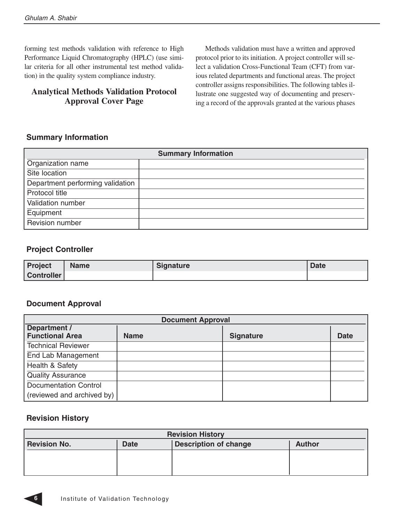forming test methods validation with reference to High Performance Liquid Chromatography (HPLC) (use similar criteria for all other instrumental test method validation) in the quality system compliance industry.

#### **Analytical Methods Validation Protocol Approval Cover Page**

Methods validation must have a written and approved protocol prior to its initiation. A project controller will select a validation Cross-Functional Team (CFT) from various related departments and functional areas. The project controller assigns responsibilities. The following tables illustrate one suggested way of documenting and preserving a record of the approvals granted at the various phases

#### **Summary Information**

| <b>Summary Information</b>       |  |  |  |
|----------------------------------|--|--|--|
| Organization name                |  |  |  |
| Site location                    |  |  |  |
| Department performing validation |  |  |  |
| Protocol title                   |  |  |  |
| Validation number                |  |  |  |
| Equipment                        |  |  |  |
| Revision number                  |  |  |  |

#### **Project Controller**

| Project    | <b>Name</b> | <b>Signature</b> | Date |
|------------|-------------|------------------|------|
| Controller |             |                  |      |

#### **Document Approval**

| <b>Document Approval</b>               |             |                  |             |  |
|----------------------------------------|-------------|------------------|-------------|--|
| Department /<br><b>Functional Area</b> | <b>Name</b> | <b>Signature</b> | <b>Date</b> |  |
| <b>Technical Reviewer</b>              |             |                  |             |  |
| End Lab Management                     |             |                  |             |  |
| Health & Safety                        |             |                  |             |  |
| <b>Quality Assurance</b>               |             |                  |             |  |
| <b>Documentation Control</b>           |             |                  |             |  |
| (reviewed and archived by)             |             |                  |             |  |

#### **Revision History**

| <b>Revision History</b>                                                             |  |  |  |  |
|-------------------------------------------------------------------------------------|--|--|--|--|
| <b>Description of change</b><br><b>Revision No.</b><br><b>Date</b><br><b>Author</b> |  |  |  |  |
|                                                                                     |  |  |  |  |
|                                                                                     |  |  |  |  |
|                                                                                     |  |  |  |  |

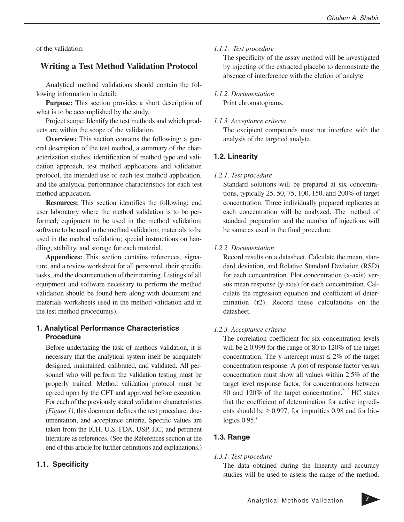of the validation:

#### **Writing a Test Method Validation Protocol**

Analytical method validations should contain the following information in detail:

**Purpose:** This section provides a short description of what is to be accomplished by the study.

Project scope: Identify the test methods and which products are within the scope of the validation.

**Overview:** This section contains the following: a general description of the test method, a summary of the characterization studies, identification of method type and validation approach, test method applications and validation protocol, the intended use of each test method application, and the analytical performance characteristics for each test method application.

**Resources:** This section identifies the following: end user laboratory where the method validation is to be performed; equipment to be used in the method validation; software to be used in the method validation; materials to be used in the method validation; special instructions on handling, stability, and storage for each material.

**Appendices:** This section contains references, signature, and a review worksheet for all personnel, their specific tasks, and the documentation of their training. Listings of all equipment and software necessary to perform the method validation should be found here along with document and materials worksheets used in the method validation and in the test method procedure(s).

#### **1. Analytical Performance Characteristics Procedure**

Before undertaking the task of methods validation, it is necessary that the analytical system itself be adequately designed, maintained, calibrated, and validated. All personnel who will perform the validation testing must be properly trained. Method validation protocol must be agreed upon by the CFT and approved before execution. For each of the previously stated validation characteristics *(Figure 1)*, this document defines the test procedure, documentation, and acceptance criteria. Specific values are taken from the ICH, U.S. FDA, USP, HC, and pertinent literature as references. (See the References section at the end of this article for further definitions and explanations.)

#### **1.1. Specificity**

#### *1.1.1. Test procedure*

The specificity of the assay method will be investigated by injecting of the extracted placebo to demonstrate the absence of interference with the elution of analyte.

#### *1.1.2. Documentation*

Print chromatograms.

#### *1.1.3. Acceptance criteria*

The excipient compounds must not interfere with the analysis of the targeted analyte.

#### **1.2. Linearity**

#### *1.2.1. Test procedure*

Standard solutions will be prepared at six concentrations, typically 25, 50, 75, 100, 150, and 200% of target concentration. Three individually prepared replicates at each concentration will be analyzed. The method of standard preparation and the number of injections will be same as used in the final procedure.

#### *1.2.2. Documentation*

Record results on a datasheet. Calculate the mean, standard deviation, and Relative Standard Deviation (RSD) for each concentration. Plot concentration (x-axis) versus mean response (y-axis) for each concentration. Calculate the regression equation and coefficient of determination (r2). Record these calculations on the datasheet.

#### *1.2.3. Acceptance criteria*

The correlation coefficient for six concentration levels will be  $\geq$  0.999 for the range of 80 to 120% of the target concentration. The y-intercept must  $\leq 2\%$  of the target concentration response. A plot of response factor versus concentration must show all values within 2.5% of the target level response factor, for concentrations between 80 and 120% of the target concentration.<sup>9,10</sup> HC states that the coefficient of determination for active ingredients should be  $\geq 0.997$ , for impurities 0.98 and for biologics  $0.95$ . $8$ 

#### **1.3. Range**

#### *1.3.1. Test procedure*

The data obtained during the linearity and accuracy studies will be used to assess the range of the method.

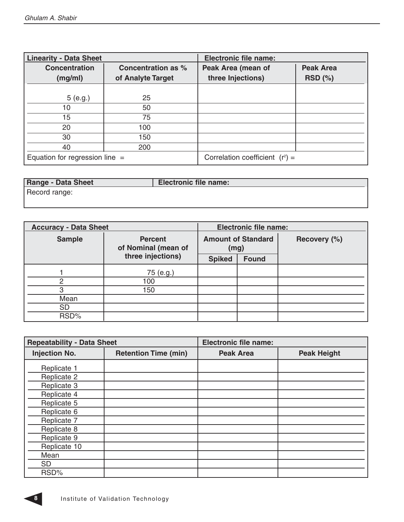L

| <b>Linearity - Data Sheet</b>    |                                         | <b>Electronic file name:</b>            |                               |
|----------------------------------|-----------------------------------------|-----------------------------------------|-------------------------------|
| <b>Concentration</b><br>(mg/ml)  | Concentration as %<br>of Analyte Target | Peak Area (mean of<br>three Injections) | <b>Peak Area</b><br>$RSD$ (%) |
|                                  |                                         |                                         |                               |
| 5(e.g.)                          | 25                                      |                                         |                               |
| 10                               | 50                                      |                                         |                               |
| 15                               | 75                                      |                                         |                               |
| 20                               | 100                                     |                                         |                               |
| 30                               | 150                                     |                                         |                               |
| 40                               | 200                                     |                                         |                               |
| Equation for regression line $=$ |                                         | Correlation coefficient $(r^2)$ =       |                               |

| <b>Range - Data Sheet</b> | <b>Electronic file name:</b> |
|---------------------------|------------------------------|
| Record range:             |                              |
|                           |                              |

| <b>Accuracy - Data Sheet</b> |                                               |               | <b>Electronic file name:</b> |  |              |
|------------------------------|-----------------------------------------------|---------------|------------------------------|--|--------------|
| <b>Sample</b>                | <b>Percent</b><br>of Nominal (mean of<br>(mg) |               | <b>Amount of Standard</b>    |  | Recovery (%) |
|                              | three injections)                             | <b>Spiked</b> | <b>Found</b>                 |  |              |
|                              | 75 (e.g.)                                     |               |                              |  |              |
| 2                            | 100                                           |               |                              |  |              |
| 3                            | 150                                           |               |                              |  |              |
| Mean                         |                                               |               |                              |  |              |
| <b>SD</b>                    |                                               |               |                              |  |              |
| RSD%                         |                                               |               |                              |  |              |

| <b>Repeatability - Data Sheet</b> |                             | <b>Electronic file name:</b> |                    |
|-----------------------------------|-----------------------------|------------------------------|--------------------|
| <b>Injection No.</b>              | <b>Retention Time (min)</b> | <b>Peak Area</b>             | <b>Peak Height</b> |
| Replicate 1                       |                             |                              |                    |
| Replicate 2                       |                             |                              |                    |
| Replicate 3                       |                             |                              |                    |
| Replicate 4                       |                             |                              |                    |
| Replicate 5                       |                             |                              |                    |
| Replicate 6                       |                             |                              |                    |
| Replicate 7                       |                             |                              |                    |
| Replicate 8                       |                             |                              |                    |
| Replicate 9                       |                             |                              |                    |
| Replicate 10                      |                             |                              |                    |
| Mean                              |                             |                              |                    |
| <b>SD</b>                         |                             |                              |                    |
| RSD%                              |                             |                              |                    |

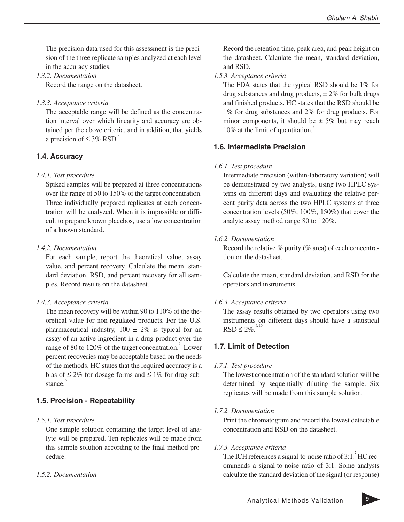The precision data used for this assessment is the precision of the three replicate samples analyzed at each level in the accuracy studies.

*1.3.2. Documentation*

Record the range on the datasheet.

*1.3.3. Acceptance criteria*

The acceptable range will be defined as the concentration interval over which linearity and accuracy are obtained per the above criteria, and in addition, that yields a precision of  $\leq 3\%$  RSD.<sup>9</sup>

#### **1.4. Accuracy**

#### *1.4.1. Test procedure*

Spiked samples will be prepared at three concentrations over the range of 50 to 150% of the target concentration. Three individually prepared replicates at each concentration will be analyzed. When it is impossible or difficult to prepare known placebos, use a low concentration of a known standard.

#### *1.4.2. Documentation*

For each sample, report the theoretical value, assay value, and percent recovery. Calculate the mean, standard deviation, RSD, and percent recovery for all samples. Record results on the datasheet.

#### *1.4.3. Acceptance criteria*

The mean recovery will be within 90 to 110% of the theoretical value for non-regulated products. For the U.S. pharmaceutical industry,  $100 \pm 2\%$  is typical for an assay of an active ingredient in a drug product over the range of 80 to 120% of the target concentration. $\degree$  Lower percent recoveries may be acceptable based on the needs of the methods. HC states that the required accuracy is a bias of  $\leq 2\%$  for dosage forms and  $\leq 1\%$  for drug substance.<sup>8</sup>

#### **1.5. Precision - Repeatability**

#### *1.5.1. Test procedure*

One sample solution containing the target level of analyte will be prepared. Ten replicates will be made from this sample solution according to the final method procedure.

#### *1.5.2. Documentation*

Record the retention time, peak area, and peak height on the datasheet. Calculate the mean, standard deviation, and RSD.

#### *1.5.3. Acceptance criteria*

The FDA states that the typical RSD should be 1% for drug substances and drug products,  $\pm 2\%$  for bulk drugs and finished products. HC states that the RSD should be 1% for drug substances and 2% for drug products. For minor components, it should be  $\pm$  5% but may reach  $10\%$  at the limit of quantitation.

#### **1.6. Intermediate Precision**

#### *1.6.1. Test procedure*

Intermediate precision (within-laboratory variation) will be demonstrated by two analysts, using two HPLC systems on different days and evaluating the relative percent purity data across the two HPLC systems at three concentration levels (50%, 100%, 150%) that cover the analyte assay method range 80 to 120%.

#### *1.6.2. Documentation*

Record the relative  $\%$  purity ( $\%$  area) of each concentration on the datasheet.

Calculate the mean, standard deviation, and RSD for the operators and instruments.

#### *1.6.3. Acceptance criteria*

The assay results obtained by two operators using two instruments on different days should have a statistical  $RSD \leq 2\%$ <sup>9, 10</sup>

#### **1.7. Limit of Detection**

#### *1.7.1. Test procedure*

The lowest concentration of the standard solution will be determined by sequentially diluting the sample. Six replicates will be made from this sample solution.

#### *1.7.2. Documentation*

Print the chromatogram and record the lowest detectable concentration and RSD on the datasheet.

#### *1.7.3. Acceptance criteria*

The ICH references a signal-to-noise ratio of  $3:1<sup>2</sup>$  HC recommends a signal-to-noise ratio of 3:1. Some analysts calculate the standard deviation of the signal (or response)

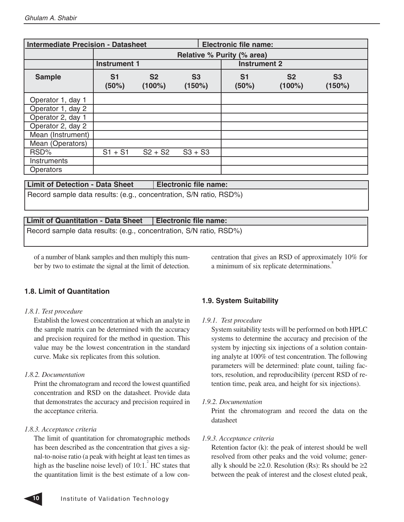| <b>Intermediate Precision - Datasheet</b> |                         |                             |                          | <b>Electronic file name:</b> |                             |                     |  |
|-------------------------------------------|-------------------------|-----------------------------|--------------------------|------------------------------|-----------------------------|---------------------|--|
|                                           |                         |                             |                          | Relative % Purity (% area)   |                             |                     |  |
|                                           | <b>Instrument 1</b>     |                             |                          | <b>Instrument 2</b>          |                             |                     |  |
| <b>Sample</b>                             | S <sub>1</sub><br>(50%) | S <sub>2</sub><br>$(100\%)$ | S <sub>3</sub><br>(150%) | S <sub>1</sub><br>(50%)      | S <sub>2</sub><br>$(100\%)$ | <b>S3</b><br>(150%) |  |
| Operator 1, day 1                         |                         |                             |                          |                              |                             |                     |  |
| Operator 1, day 2                         |                         |                             |                          |                              |                             |                     |  |
| Operator 2, day 1                         |                         |                             |                          |                              |                             |                     |  |
| Operator 2, day 2                         |                         |                             |                          |                              |                             |                     |  |
| Mean (Instrument)                         |                         |                             |                          |                              |                             |                     |  |
| Mean (Operators)                          |                         |                             |                          |                              |                             |                     |  |
| RSD%                                      | $S1 + S1$               | $S2 + S2$                   | $S3 + S3$                |                              |                             |                     |  |
| Instruments                               |                         |                             |                          |                              |                             |                     |  |
| <b>Operators</b>                          |                         |                             |                          |                              |                             |                     |  |

#### Limit of Detection - Data Sheet | Electronic file name:

Record sample data results: (e.g., concentration, S/N ratio, RSD%)

#### **Limit of Quantitation - Data Sheet Electronic file name:**

Record sample data results: (e.g., concentration, S/N ratio, RSD%)

of a number of blank samples and then multiply this number by two to estimate the signal at the limit of detection. centration that gives an RSD of approximately 10% for a minimum of six replicate determinations.<sup>8</sup>

#### **1.8. Limit of Quantitation**

#### *1.8.1. Test procedure*

Establish the lowest concentration at which an analyte in the sample matrix can be determined with the accuracy and precision required for the method in question. This value may be the lowest concentration in the standard curve. Make six replicates from this solution.

#### *1.8.2. Documentation*

Print the chromatogram and record the lowest quantified concentration and RSD on the datasheet. Provide data that demonstrates the accuracy and precision required in the acceptance criteria.

#### *1.8.3. Acceptance criteria*

The limit of quantitation for chromatographic methods has been described as the concentration that gives a signal-to-noise ratio (a peak with height at least ten times as high as the baseline noise level) of  $10:1<sup>2</sup>$  HC states that the quantitation limit is the best estimate of a low con-

#### **1.9. System Suitability**

#### *1.9.1. Test procedure*

System suitability tests will be performed on both HPLC systems to determine the accuracy and precision of the system by injecting six injections of a solution containing analyte at 100% of test concentration. The following parameters will be determined: plate count, tailing factors, resolution, and reproducibility (percent RSD of retention time, peak area, and height for six injections).

#### *1.9.2. Documentation*

Print the chromatogram and record the data on the datasheet

#### *1.9.3. Acceptance criteria*

Retention factor (k): the peak of interest should be well resolved from other peaks and the void volume; generally k should be  $\geq 2.0$ . Resolution (Rs): Rs should be  $\geq 2$ between the peak of interest and the closest eluted peak,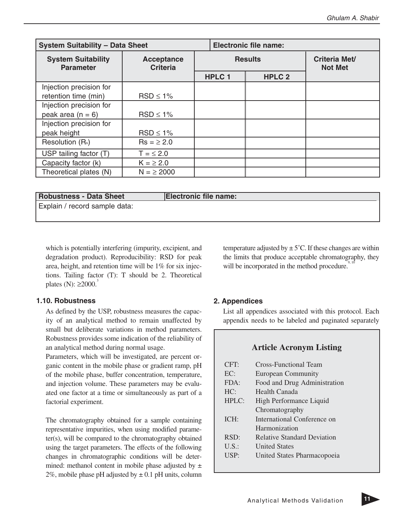| <b>System Suitability - Data Sheet</b>                                                |                |               | <b>Electronic file name:</b> |                   |                                        |  |
|---------------------------------------------------------------------------------------|----------------|---------------|------------------------------|-------------------|----------------------------------------|--|
| <b>System Suitability</b><br><b>Acceptance</b><br><b>Criteria</b><br><b>Parameter</b> |                |               |                              | <b>Results</b>    | <b>Criteria Met/</b><br><b>Not Met</b> |  |
|                                                                                       |                | <b>HPLC 1</b> |                              | HPLC <sub>2</sub> |                                        |  |
| Injection precision for                                                               |                |               |                              |                   |                                        |  |
| retention time (min)                                                                  | $RSD \leq 1\%$ |               |                              |                   |                                        |  |
| Injection precision for                                                               |                |               |                              |                   |                                        |  |
| peak area $(n = 6)$                                                                   | $RSD \leq 1\%$ |               |                              |                   |                                        |  |
| Injection precision for                                                               |                |               |                              |                   |                                        |  |
| peak height                                                                           | $RSD \leq 1\%$ |               |                              |                   |                                        |  |
| Resolution (R <sub>s</sub> )                                                          | $Rs = 2.0$     |               |                              |                   |                                        |  |
| USP tailing factor (T)                                                                | $T = \leq 2.0$ |               |                              |                   |                                        |  |
| Capacity factor (k)                                                                   | $K = \ge 2.0$  |               |                              |                   |                                        |  |
| Theoretical plates (N)                                                                | $N = \ge 2000$ |               |                              |                   |                                        |  |

#### Robustness - Data Sheet **Electronic file name:**

Explain / record sample data:

which is potentially interfering (impurity, excipient, and degradation product). Reproducibility: RSD for peak area, height, and retention time will be 1% for six injections. Tailing factor (T): T should be 2. Theoretical plates (N):  $\geq 2000^3$ 

#### **1.10. Robustness**

As defined by the USP, robustness measures the capacity of an analytical method to remain unaffected by small but deliberate variations in method parameters. Robustness provides some indication of the reliability of an analytical method during normal usage.

Parameters, which will be investigated, are percent organic content in the mobile phase or gradient ramp, pH of the mobile phase, buffer concentration, temperature, and injection volume. These parameters may be evaluated one factor at a time or simultaneously as part of a factorial experiment.

The chromatography obtained for a sample containing representative impurities, when using modified parameter(s), will be compared to the chromatography obtained using the target parameters. The effects of the following changes in chromatographic conditions will be determined: methanol content in mobile phase adjusted by  $\pm$ 2%, mobile phase pH adjusted by  $\pm$  0.1 pH units, column temperature adjusted by  $\pm$  5°C. If these changes are within the limits that produce acceptable chromatography, they will be incorporated in the method procedure.<sup>9</sup>

#### **2. Appendices**

List all appendices associated with this protocol. Each appendix needs to be labeled and paginated separately

#### **Article Acronym Listing**

| CFT:     | Cross-Functional Team              |
|----------|------------------------------------|
| EC:      | <b>European Community</b>          |
| FDA:     | Food and Drug Administration       |
| HC:      | Health Canada                      |
| HPLC:    | High Performance Liquid            |
|          | Chromatography                     |
| ICH:     | International Conference on        |
|          | Harmonization                      |
| RSD:     | <b>Relative Standard Deviation</b> |
| $U.S.$ : | <b>United States</b>               |
| USP:     | United States Pharmacopoeia        |
|          |                                    |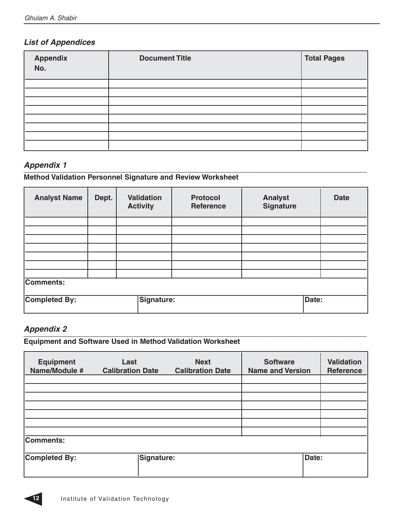#### **List of Appendices**

| Appendix<br>No. | <b>Document Title</b> | <b>Total Pages</b> |
|-----------------|-----------------------|--------------------|
|                 |                       |                    |
|                 |                       |                    |
|                 |                       |                    |
|                 |                       |                    |
|                 |                       |                    |
|                 |                       |                    |
|                 |                       |                    |
|                 |                       |                    |

#### **Appendix 1**

### \_\_\_\_\_\_\_\_\_\_\_\_\_\_\_\_\_\_\_\_\_\_\_\_\_\_\_\_\_\_\_\_\_\_\_\_\_\_\_\_\_\_\_\_\_\_\_\_\_\_\_\_\_\_\_\_\_\_\_\_\_\_\_\_\_\_\_\_\_\_\_\_\_\_\_\_\_\_ **Method Validation Personnel Signature and Review Worksheet**

| <b>Analyst Name</b> | Dept. | <b>Validation</b><br><b>Activity</b> | <b>Protocol</b><br><b>Reference</b> | <b>Analyst</b><br><b>Signature</b> | <b>Date</b> |
|---------------------|-------|--------------------------------------|-------------------------------------|------------------------------------|-------------|
|                     |       |                                      |                                     |                                    |             |
|                     |       |                                      |                                     |                                    |             |
|                     |       |                                      |                                     |                                    |             |
|                     |       |                                      |                                     |                                    |             |
|                     |       |                                      |                                     |                                    |             |
|                     |       |                                      |                                     |                                    |             |
|                     |       |                                      |                                     |                                    |             |
| Comments:           |       |                                      |                                     |                                    |             |
| Completed By:       |       | Signature:                           |                                     | Date:                              |             |

#### **Appendix 2**

\_\_\_\_\_\_\_\_\_\_\_\_\_\_\_\_\_\_\_\_\_\_\_\_\_\_\_\_\_\_\_\_\_\_\_\_\_\_\_\_\_\_\_\_\_\_\_\_\_\_\_\_\_\_\_\_\_\_\_\_\_\_\_\_\_\_\_\_\_\_\_\_\_\_\_\_\_\_ **Equipment and Software Used in Method Validation Worksheet**

| <b>Equipment</b><br>Name/Module # | Last<br><b>Calibration Date</b> | <b>Next</b><br><b>Calibration Date</b> | <b>Software</b><br><b>Name and Version</b> | <b>Validation</b><br><b>Reference</b> |
|-----------------------------------|---------------------------------|----------------------------------------|--------------------------------------------|---------------------------------------|
|                                   |                                 |                                        |                                            |                                       |
|                                   |                                 |                                        |                                            |                                       |
|                                   |                                 |                                        |                                            |                                       |
|                                   |                                 |                                        |                                            |                                       |
|                                   |                                 |                                        |                                            |                                       |
|                                   |                                 |                                        |                                            |                                       |
|                                   |                                 |                                        |                                            |                                       |
| Comments:                         |                                 |                                        |                                            |                                       |
| <b>Completed By:</b>              | <b>Signature:</b>               |                                        |                                            | Date:                                 |

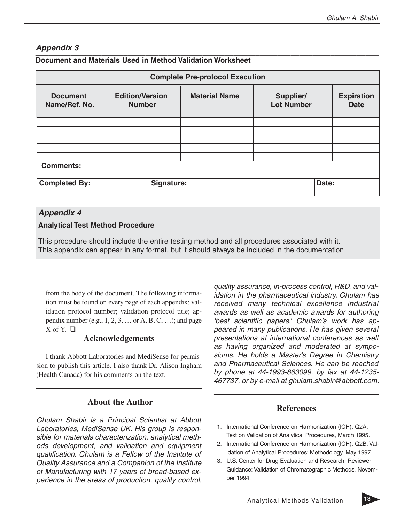#### **Appendix 3**

| <b>Complete Pre-protocol Execution</b> |                                         |                      |                                |                                  |  |
|----------------------------------------|-----------------------------------------|----------------------|--------------------------------|----------------------------------|--|
| <b>Document</b><br>Name/Ref. No.       | <b>Edition/Version</b><br><b>Number</b> | <b>Material Name</b> | Supplier/<br><b>Lot Number</b> | <b>Expiration</b><br><b>Date</b> |  |
|                                        |                                         |                      |                                |                                  |  |
|                                        |                                         |                      |                                |                                  |  |
|                                        |                                         |                      |                                |                                  |  |
| <b>Comments:</b>                       |                                         |                      |                                |                                  |  |
| <b>Completed By:</b>                   | Signature:                              |                      | Date:                          |                                  |  |
|                                        |                                         |                      |                                |                                  |  |

#### **Document and Materials Used in Method Validation Worksheet**

#### **Appendix 4**

#### **Analytical Test Method Procedure**

This procedure should include the entire testing method and all procedures associated with it. This appendix can appear in any format, but it should always be included in the documentation

from the body of the document. The following information must be found on every page of each appendix: validation protocol number; validation protocol title; appendix number (e.g.,  $1, 2, 3, \ldots$  or A, B, C, ...); and page  $X$  of  $Y$   $\Box$ 

#### **Acknowledgements**

I thank Abbott Laboratories and MediSense for permission to publish this article. I also thank Dr. Alison Ingham (Health Canada) for his comments on the text.

#### **About the Author**

Ghulam Shabir is a Principal Scientist at Abbott Laboratories, MediSense UK. His group is responsible for materials characterization, analytical methods development, and validation and equipment qualification. Ghulam is a Fellow of the Institute of Quality Assurance and a Companion of the Institute of Manufacturing with 17 years of broad-based experience in the areas of production, quality control,

quality assurance, in-process control, R&D, and validation in the pharmaceutical industry. Ghulam has received many technical excellence industrial awards as well as academic awards for authoring 'best scientific papers.' Ghulam's work has appeared in many publications. He has given several presentations at international conferences as well as having organized and moderated at symposiums. He holds a Master's Degree in Chemistry and Pharmaceutical Sciences. He can be reached by phone at 44-1993-863099, by fax at 44-1235- 467737, or by e-mail at ghulam.shabir@abbott.com.

#### **References**

- 1. International Conference on Harmonization (ICH), Q2A: Text on Validation of Analytical Procedures, March 1995.
- 2. International Conference on Harmonization (ICH), Q2B: Validation of Analytical Procedures: Methodology, May 1997.
- 3. U.S. Center for Drug Evaluation and Research, Reviewer Guidance: Validation of Chromatographic Methods, November 1994.

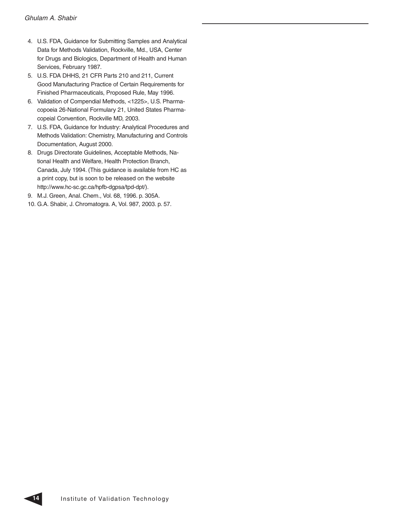- 4. U.S. FDA, Guidance for Submitting Samples and Analytical Data for Methods Validation, Rockville, Md., USA, Center for Drugs and Biologics, Department of Health and Human Services, February 1987.
- 5. U.S. FDA DHHS, 21 CFR Parts 210 and 211, Current Good Manufacturing Practice of Certain Requirements for Finished Pharmaceuticals, Proposed Rule, May 1996.
- 6. Validation of Compendial Methods, <1225>, U.S. Pharmacopoeia 26-National Formulary 21, United States Pharmacopeial Convention, Rockville MD, 2003.
- 7. U.S. FDA, Guidance for Industry: Analytical Procedures and Methods Validation: Chemistry, Manufacturing and Controls Documentation, August 2000.
- 8. Drugs Directorate Guidelines, Acceptable Methods, National Health and Welfare, Health Protection Branch, Canada, July 1994. (This guidance is available from HC as a print copy, but is soon to be released on the website http://www.hc-sc.gc.ca/hpfb-dgpsa/tpd-dpt/).
- 9. M.J. Green, Anal. Chem., Vol. 68, 1996. p. 305A.
- 10. G.A. Shabir, J. Chromatogra. A, Vol. 987, 2003. p. 57.

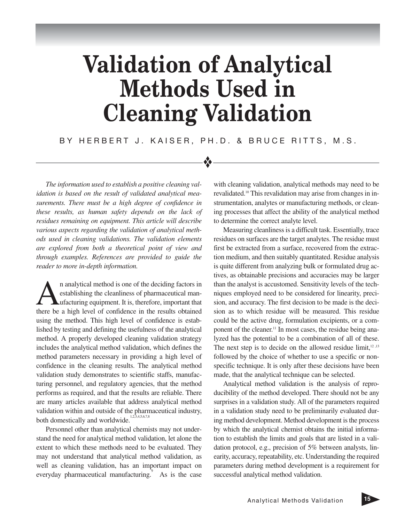## **Validation of Analytical Methods Used in Cleaning Validation**

BY HERBERT J. KAISER, PH.D. & BRUCE RITTS, M.S.

❖

*The information used to establish a positive cleaning validation is based on the result of validated analytical measurements. There must be a high degree of confidence in these results, as human safety depends on the lack of residues remaining on equipment. This article will describe various aspects regarding the validation of analytical methods used in cleaning validations. The validation elements are explored from both a theoretical point of view and through examples. References are provided to guide the reader to more in-depth information.*

analytical method is one of the deciding factors in<br>establishing the cleanliness of pharmaceutical man-<br>ufacturing equipment. It is, therefore, important that<br>there be a high level of confidence in the results obtained establishing the cleanliness of pharmaceutical manufacturing equipment. It is, therefore, important that there be a high level of confidence in the results obtained using the method. This high level of confidence is established by testing and defining the usefulness of the analytical method. A properly developed cleaning validation strategy includes the analytical method validation, which defines the method parameters necessary in providing a high level of confidence in the cleaning results. The analytical method validation study demonstrates to scientific staffs, manufacturing personnel, and regulatory agencies, that the method performs as required, and that the results are reliable. There are many articles available that address analytical method validation within and outside of the pharmaceutical industry, both domestically and worldwide.<sup>1</sup>

Personnel other than analytical chemists may not understand the need for analytical method validation, let alone the extent to which these methods need to be evaluated. They may not understand that analytical method validation, as well as cleaning validation, has an important impact on everyday pharmaceutical manufacturing.<sup>9</sup> As is the case

with cleaning validation, analytical methods may need to be revalidated.<sup>10</sup> This revalidation may arise from changes in instrumentation, analytes or manufacturing methods, or cleaning processes that affect the ability of the analytical method to determine the correct analyte level.

Measuring cleanliness is a difficult task. Essentially, trace residues on surfaces are the target analytes. The residue must first be extracted from a surface, recovered from the extraction medium, and then suitably quantitated. Residue analysis is quite different from analyzing bulk or formulated drug actives, as obtainable precisions and accuracies may be larger than the analyst is accustomed. Sensitivity levels of the techniques employed need to be considered for linearity, precision, and accuracy. The first decision to be made is the decision as to which residue will be measured. This residue could be the active drug, formulation excipients, or a component of the cleaner.<sup>11</sup> In most cases, the residue being analyzed has the potential to be a combination of all of these. The next step is to decide on the allowed residue limit, $12,13$ followed by the choice of whether to use a specific or nonspecific technique. It is only after these decisions have been made, that the analytical technique can be selected.

Analytical method validation is the analysis of reproducibility of the method developed. There should not be any surprises in a validation study. All of the parameters required in a validation study need to be preliminarily evaluated during method development. Method development is the process by which the analytical chemist obtains the initial information to establish the limits and goals that are listed in a validation protocol, e.g., precision of 5% between analysts, linearity, accuracy, repeatability, etc. Understanding the required parameters during method development is a requirement for successful analytical method validation.

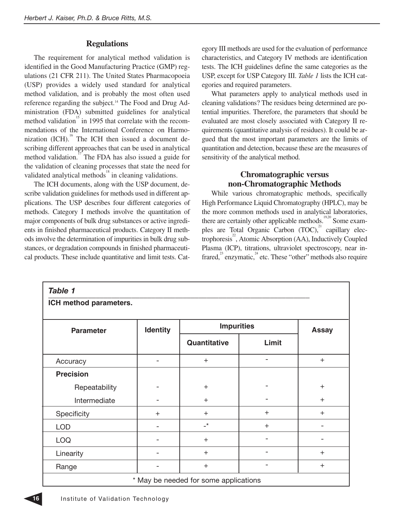#### **Regulations**

The requirement for analytical method validation is identified in the Good Manufacturing Practice (GMP) regulations (21 CFR 211). The United States Pharmacopoeia (USP) provides a widely used standard for analytical method validation, and is probably the most often used reference regarding the subject.14 The Food and Drug Administration (FDA) submitted guidelines for analytical method validation<sup>15</sup> in 1995 that correlate with the recommendations of the International Conference on Harmonization  $\left($ ICH $\right)$ <sup>16</sup>. The ICH then issued a document describing different approaches that can be used in analytical method validation.<sup>17</sup> The FDA has also issued a guide for the validation of cleaning processes that state the need for validated analytical methods $\frac{18}{3}$  in cleaning validations.

The ICH documents, along with the USP document, describe validation guidelines for methods used in different applications. The USP describes four different categories of methods. Category I methods involve the quantitation of major components of bulk drug substances or active ingredients in finished pharmaceutical products. Category II methods involve the determination of impurities in bulk drug substances, or degradation compounds in finished pharmaceutical products. These include quantitative and limit tests. Category III methods are used for the evaluation of performance characteristics, and Category IV methods are identification tests. The ICH guidelines define the same categories as the USP, except for USP Category III. *Table 1* lists the ICH categories and required parameters.

What parameters apply to analytical methods used in cleaning validations? The residues being determined are potential impurities. Therefore, the parameters that should be evaluated are most closely associated with Category II requirements (quantitative analysis of residues). It could be argued that the most important parameters are the limits of quantitation and detection, because these are the measures of sensitivity of the analytical method.

#### **Chromatographic versus non-Chromatographic Methods**

While various chromatographic methods, specifically High Performance Liquid Chromatography (HPLC), may be the more common methods used in analytical laboratories, there are certainly other applicable methods.<sup>19,20</sup> Some examples are Total Organic Carbon  $(TOC)^{21}$  capillary electrophoresis<sup>2</sup>, Atomic Absorption (AA), Inductively Coupled Plasma (ICP), titrations, ultraviolet spectroscopy, near infrared, $2^{23}$  enzymatic, $2^{4}$  etc. These "other" methods also require

| Table 1                |                 |                                       |                |              |
|------------------------|-----------------|---------------------------------------|----------------|--------------|
| ICH method parameters. |                 |                                       |                |              |
| <b>Parameter</b>       | <b>Identity</b> | <b>Impurities</b>                     |                | <b>Assay</b> |
|                        |                 | Quantitative                          | Limit          |              |
| Accuracy               |                 | $+$                                   | $\overline{a}$ | $\ddot{}$    |
| <b>Precision</b>       |                 |                                       |                |              |
| Repeatability          |                 | $\pm$                                 |                | $+$          |
| Intermediate           |                 | $^{+}$                                |                | $+$          |
| Specificity            | $+$             | $+$                                   | $+$            | $+$          |
| <b>LOD</b>             |                 | $\mathbf{r}$                          | $\ddot{}$      |              |
| <b>LOQ</b>             |                 | $+$                                   |                |              |
| Linearity              |                 | $+$                                   |                | $+$          |
| Range                  |                 | $\ddot{}$                             | -              | $^{+}$       |
|                        |                 | * May be needed for some applications |                |              |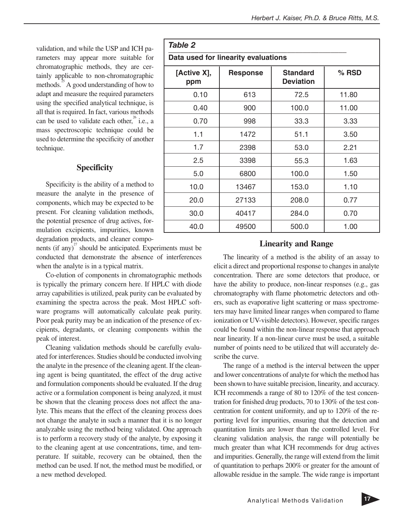validation, and while the USP and ICH parameters may appear more suitable for chromatographic methods, they are certainly applicable to non-chromatographic methods. $35$  A good understanding of how to adapt and measure the required parameters using the specified analytical technique, is all that is required. In fact, various methods can be used to validate each other, $^{26}$  i.e., a mass spectroscopic technique could be used to determine the specificity of another technique.

#### **Specificity**

Specificity is the ability of a method to measure the analyte in the presence of components, which may be expected to be present. For cleaning validation methods, the potential presence of drug actives, formulation excipients, impurities, known degradation products, and cleaner compo-

nents (if any) $\frac{27}{3}$  should be anticipated. Experiments must be conducted that demonstrate the absence of interferences when the analyte is in a typical matrix.

Co-elution of components in chromatographic methods is typically the primary concern here. If HPLC with diode array capabilities is utilized, peak purity can be evaluated by examining the spectra across the peak. Most HPLC software programs will automatically calculate peak purity. Poor peak purity may be an indication of the presence of excipients, degradants, or cleaning components within the peak of interest.

Cleaning validation methods should be carefully evaluated for interferences. Studies should be conducted involving the analyte in the presence of the cleaning agent. If the cleaning agent is being quantitated, the effect of the drug active and formulation components should be evaluated. If the drug active or a formulation component is being analyzed, it must be shown that the cleaning process does not affect the analyte. This means that the effect of the cleaning process does not change the analyte in such a manner that it is no longer analyzable using the method being validated. One approach is to perform a recovery study of the analyte, by exposing it to the cleaning agent at use concentrations, time, and temperature. If suitable, recovery can be obtained, then the method can be used. If not, the method must be modified, or a new method developed.

| Table 2                             |                 |                                     |         |  |  |  |
|-------------------------------------|-----------------|-------------------------------------|---------|--|--|--|
| Data used for linearity evaluations |                 |                                     |         |  |  |  |
| [Active X],<br>ppm                  | <b>Response</b> | <b>Standard</b><br><b>Deviation</b> | $%$ RSD |  |  |  |
| 0.10                                | 613             | 72.5                                | 11.80   |  |  |  |
| 0.40                                | 900             | 100.0                               | 11.00   |  |  |  |
| 0.70                                | 998             | 33.3                                | 3.33    |  |  |  |
| 1.1                                 | 1472            | 51.1                                | 3.50    |  |  |  |
| 1.7                                 | 2398            | 53.0                                | 2.21    |  |  |  |
| 2.5                                 | 3398            | 55.3                                | 1.63    |  |  |  |
| 5.0                                 | 6800            | 100.0                               | 1.50    |  |  |  |
| 10.0                                | 13467           | 153.0                               | 1.10    |  |  |  |
| 20.0                                | 27133           | 208.0                               | 0.77    |  |  |  |
| 30.0                                | 40417           | 284.0                               | 0.70    |  |  |  |
| 40.0                                | 49500           | 500.0                               | 1.00    |  |  |  |

#### **Linearity and Range**

The linearity of a method is the ability of an assay to elicit a direct and proportional response to changes in analyte concentration. There are some detectors that produce, or have the ability to produce, non-linear responses (e.g., gas chromatography with flame photometric detectors and others, such as evaporative light scattering or mass spectrometers may have limited linear ranges when compared to flame ionization or UV-visible detectors). However, specific ranges could be found within the non-linear response that approach near linearity. If a non-linear curve must be used, a suitable number of points need to be utilized that will accurately describe the curve.

The range of a method is the interval between the upper and lower concentrations of analyte for which the method has been shown to have suitable precision, linearity, and accuracy. ICH recommends a range of 80 to 120% of the test concentration for finished drug products, 70 to 130% of the test concentration for content uniformity, and up to 120% of the reporting level for impurities, ensuring that the detection and quantitation limits are lower than the controlled level. For cleaning validation analysis, the range will potentially be much greater than what ICH recommends for drug actives and impurities. Generally, the range will extend from the limit of quantitation to perhaps 200% or greater for the amount of allowable residue in the sample. The wide range is important

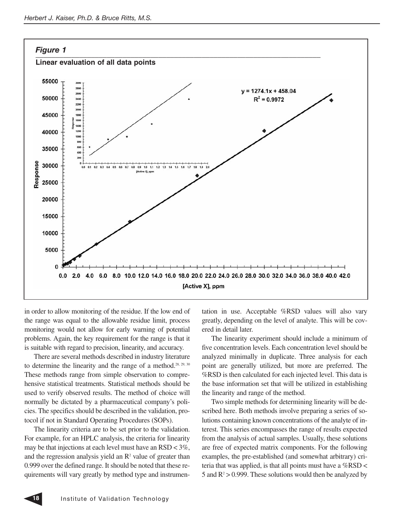

in order to allow monitoring of the residue. If the low end of the range was equal to the allowable residue limit, process monitoring would not allow for early warning of potential problems. Again, the key requirement for the range is that it is suitable with regard to precision, linearity, and accuracy.

There are several methods described in industry literature to determine the linearity and the range of a method.<sup>28, 29, 30</sup> These methods range from simple observation to comprehensive statistical treatments. Statistical methods should be used to verify observed results. The method of choice will normally be dictated by a pharmaceutical company's policies. The specifics should be described in the validation, protocol if not in Standard Operating Procedures (SOPs).

The linearity criteria are to be set prior to the validation. For example, for an HPLC analysis, the criteria for linearity may be that injections at each level must have an  $\text{RSD} < 3\%$ , and the regression analysis yield an  $\mathbb{R}^2$  value of greater than 0.999 over the defined range. It should be noted that these requirements will vary greatly by method type and instrumentation in use. Acceptable %RSD values will also vary greatly, depending on the level of analyte. This will be covered in detail later.

The linearity experiment should include a minimum of five concentration levels. Each concentration level should be analyzed minimally in duplicate. Three analysis for each point are generally utilized, but more are preferred. The %RSD is then calculated for each injected level. This data is the base information set that will be utilized in establishing the linearity and range of the method.

Two simple methods for determining linearity will be described here. Both methods involve preparing a series of solutions containing known concentrations of the analyte of interest. This series encompasses the range of results expected from the analysis of actual samples. Usually, these solutions are free of expected matrix components. For the following examples, the pre-established (and somewhat arbitrary) criteria that was applied, is that all points must have a  $%$ RSD < 5 and  $R^2 > 0.999$ . These solutions would then be analyzed by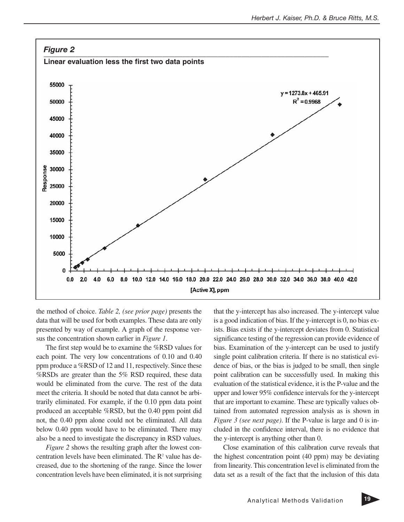

the method of choice. *Table 2, (see prior page)* presents the data that will be used for both examples. These data are only presented by way of example. A graph of the response versus the concentration shown earlier in *Figure 1*.

The first step would be to examine the %RSD values for each point. The very low concentrations of 0.10 and 0.40 ppm produce a %RSD of 12 and 11, respectively. Since these %RSDs are greater than the 5% RSD required, these data would be eliminated from the curve. The rest of the data meet the criteria. It should be noted that data cannot be arbitrarily eliminated. For example, if the 0.10 ppm data point produced an acceptable %RSD, but the 0.40 ppm point did not, the 0.40 ppm alone could not be eliminated. All data below 0.40 ppm would have to be eliminated. There may also be a need to investigate the discrepancy in RSD values.

*Figure 2* shows the resulting graph after the lowest concentration levels have been eliminated. The  $R<sup>2</sup>$  value has decreased, due to the shortening of the range. Since the lower concentration levels have been eliminated, it is not surprising

that the y-intercept has also increased. The y-intercept value is a good indication of bias. If the y-intercept is 0, no bias exists. Bias exists if the y-intercept deviates from 0. Statistical significance testing of the regression can provide evidence of bias. Examination of the y-intercept can be used to justify single point calibration criteria. If there is no statistical evidence of bias, or the bias is judged to be small, then single point calibration can be successfully used. In making this evaluation of the statistical evidence, it is the P-value and the upper and lower 95% confidence intervals for the y-intercept that are important to examine. These are typically values obtained from automated regression analysis as is shown in *Figure 3 (see next page)*. If the P-value is large and 0 is included in the confidence interval, there is no evidence that the y-intercept is anything other than 0.

Close examination of this calibration curve reveals that the highest concentration point (40 ppm) may be deviating from linearity. This concentration level is eliminated from the data set as a result of the fact that the inclusion of this data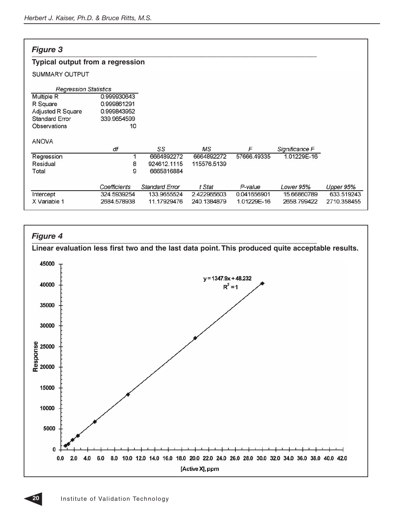#### *Figure 3 \_\_\_\_\_\_\_\_\_\_\_\_\_\_\_\_\_\_\_\_\_\_\_\_\_\_\_\_\_\_\_\_\_\_\_\_\_\_\_\_\_\_\_\_\_\_\_\_\_\_\_\_\_\_\_\_\_\_\_\_\_\_\_\_\_\_\_\_\_\_\_\_*

#### **Typical output from a regression**

#### SUMMARY OUTPUT

| <b>Regression Statistics</b> |              |                       |             |             |                |             |
|------------------------------|--------------|-----------------------|-------------|-------------|----------------|-------------|
| <b>Multiple R</b>            | 0.999930643  |                       |             |             |                |             |
| R Square                     | 0.999861291  |                       |             |             |                |             |
| <b>Adjusted R Square</b>     | 0.999843952  |                       |             |             |                |             |
| <b>Standard Error</b>        | 339.9654599  |                       |             |             |                |             |
| Observations                 | 10           |                       |             |             |                |             |
| <b>ANOVA</b>                 |              |                       |             |             |                |             |
|                              | df           | SS                    | MS          | F           | Significance F |             |
| Regression                   |              | 6664892272            | 6664892272  | 57666.49335 | 1.01229E-16    |             |
| Residual                     | 8            | 924612.1115           | 115576.5139 |             |                |             |
| Total                        | 9            | 6665816884            |             |             |                |             |
|                              | Coefficients | <b>Standard Error</b> | t Stat      | P-value     | Lower 95%      | Upper 95%   |
| Intercept                    | 324.5939254  | 133.9655524           | 2.422965603 | 0.041656901 | 15.66860789    | 633.519243  |
| X Variable 1                 | 2684.578938  | 11.17929476           | 240.1384879 | 1.01229E-16 | 2658.799422    | 2710.358455 |



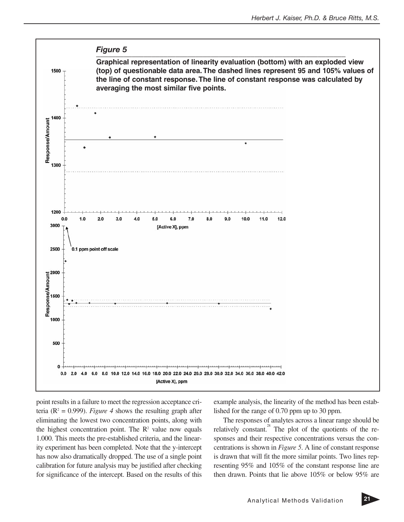

point results in a failure to meet the regression acceptance criteria ( $R^2 = 0.999$ ). *Figure 4* shows the resulting graph after eliminating the lowest two concentration points, along with the highest concentration point. The  $\mathbb{R}^2$  value now equals 1.000. This meets the pre-established criteria, and the linearity experiment has been completed. Note that the y-intercept has now also dramatically dropped. The use of a single point calibration for future analysis may be justified after checking for significance of the intercept. Based on the results of this

example analysis, the linearity of the method has been established for the range of 0.70 ppm up to 30 ppm.

The responses of analytes across a linear range should be relatively constant.<sup>28</sup> The plot of the quotients of the responses and their respective concentrations versus the concentrations is shown in *Figure 5*. A line of constant response is drawn that will fit the more similar points. Two lines representing 95% and 105% of the constant response line are then drawn. Points that lie above 105% or below 95% are

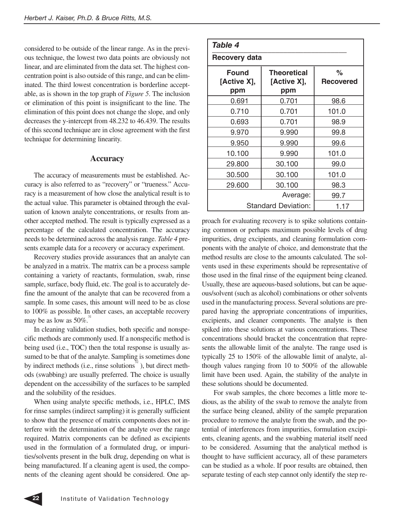considered to be outside of the linear range. As in the previous technique, the lowest two data points are obviously not linear, and are eliminated from the data set. The highest concentration point is also outside of this range, and can be eliminated. The third lowest concentration is borderline acceptable, as is shown in the top graph of *Figure 5*. The inclusion or elimination of this point is insignificant to the line. The elimination of this point does not change the slope, and only decreases the y-intercept from 48.232 to 46.439. The results of this second technique are in close agreement with the first technique for determining linearity.

#### **Accuracy**

The accuracy of measurements must be established. Accuracy is also referred to as "recovery" or "trueness." Accuracy is a measurement of how close the analytical result is to the actual value. This parameter is obtained through the evaluation of known analyte concentrations, or results from another accepted method. The result is typically expressed as a percentage of the calculated concentration. The accuracy needs to be determined across the analysis range. *Table 4* presents example data for a recovery or accuracy experiment.

Recovery studies provide assurances that an analyte can be analyzed in a matrix. The matrix can be a process sample containing a variety of reactants, formulation, swab, rinse sample, surface, body fluid, etc. The goal is to accurately define the amount of the analyte that can be recovered from a sample. In some cases, this amount will need to be as close to 100% as possible. In other cases, an acceptable recovery may be as low as  $50\%$ .

In cleaning validation studies, both specific and nonspecific methods are commonly used. If a nonspecific method is being used (i.e., TOC) then the total response is usually assumed to be that of the analyte. Sampling is sometimes done by indirect methods (i.e., rinse solutions $3^{2}$ ), but direct methods (swabbing) are usually preferred. The choice is usually dependent on the accessibility of the surfaces to be sampled and the solubility of the residues.

When using analyte specific methods, i.e., HPLC, IMS for rinse samples (indirect sampling) it is generally sufficient to show that the presence of matrix components does not interfere with the determination of the analyte over the range required. Matrix components can be defined as excipients used in the formulation of a formulated drug, or impurities/solvents present in the bulk drug, depending on what is being manufactured. If a cleaning agent is used, the components of the cleaning agent should be considered. One ap-

| Table 4                            |                                          |                       |  |  |  |
|------------------------------------|------------------------------------------|-----------------------|--|--|--|
| Recovery data                      |                                          |                       |  |  |  |
| <b>Found</b><br>[Active X],<br>ppm | <b>Theoretical</b><br>[Active X],<br>ppm | ℅<br><b>Recovered</b> |  |  |  |
| 0.691                              | 0.701                                    | 98.6                  |  |  |  |
| 0.710                              | 0.701                                    | 101.0                 |  |  |  |
| 0.693                              | 0.701                                    | 98.9                  |  |  |  |
| 9.970                              | 9.990                                    | 99.8                  |  |  |  |
| 9.950                              | 9.990                                    | 99.6                  |  |  |  |
| 10.100                             | 9.990                                    | 101.0                 |  |  |  |
| 29,800                             | 30.100                                   | 99.0                  |  |  |  |
| 30.500                             | 30.100                                   | 101.0                 |  |  |  |
| 29.600                             | 30.100                                   | 98.3                  |  |  |  |
|                                    | 99.7                                     |                       |  |  |  |
| Standard Deviation:<br>1.17        |                                          |                       |  |  |  |

proach for evaluating recovery is to spike solutions containing common or perhaps maximum possible levels of drug impurities, drug excipients, and cleaning formulation components with the analyte of choice, and demonstrate that the method results are close to the amounts calculated. The solvents used in these experiments should be representative of those used in the final rinse of the equipment being cleaned. Usually, these are aqueous-based solutions, but can be aqueous/solvent (such as alcohol) combinations or other solvents used in the manufacturing process. Several solutions are prepared having the appropriate concentrations of impurities, excipients, and cleaner components. The analyte is then spiked into these solutions at various concentrations. These concentrations should bracket the concentration that represents the allowable limit of the analyte. The range used is typically 25 to 150% of the allowable limit of analyte, although values ranging from 10 to 500% of the allowable limit have been used. Again, the stability of the analyte in these solutions should be documented.

For swab samples, the chore becomes a little more tedious, as the ability of the swab to remove the analyte from the surface being cleaned, ability of the sample preparation procedure to remove the analyte from the swab, and the potential of interferences from impurities, formulation excipients, cleaning agents, and the swabbing material itself need to be considered. Assuming that the analytical method is thought to have sufficient accuracy, all of these parameters can be studied as a whole. If poor results are obtained, then separate testing of each step cannot only identify the step re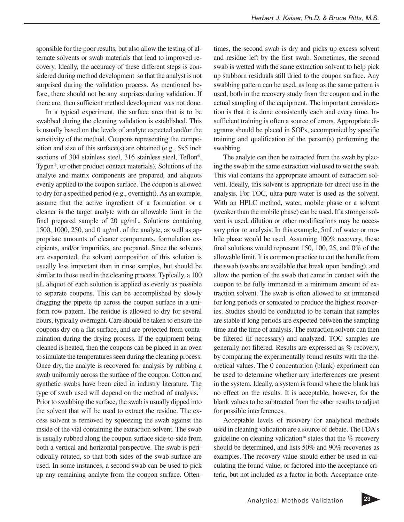sponsible for the poor results, but also allow the testing of alternate solvents or swab materials that lead to improved recovery. Ideally, the accuracy of these different steps is considered during method development so that the analyst is not surprised during the validation process. As mentioned before, there should not be any surprises during validation. If there are, then sufficient method development was not done.

In a typical experiment, the surface area that is to be swabbed during the cleaning validation is established. This is usually based on the levels of analyte expected and/or the sensitivity of the method. Coupons representing the composition and size of this surface(s) are obtained (e.g., 5x5 inch sections of 304 stainless steel, 316 stainless steel, Teflon<sup>®</sup>, Tygon®, or other product contact materials). Solutions of the analyte and matrix components are prepared, and aliquots evenly applied to the coupon surface. The coupon is allowed to dry for a specified period (e.g., overnight). As an example, assume that the active ingredient of a formulation or a cleaner is the target analyte with an allowable limit in the final prepared sample of 20 µg/mL. Solutions containing 1500, 1000, 250, and 0 µg/mL of the analyte, as well as appropriate amounts of cleaner components, formulation excipients, and/or impurities, are prepared. Since the solvents are evaporated, the solvent composition of this solution is usually less important than in rinse samples, but should be similar to those used in the cleaning process. Typically, a 100 µL aliquot of each solution is applied as evenly as possible to separate coupons. This can be accomplished by slowly dragging the pipette tip across the coupon surface in a uniform row pattern. The residue is allowed to dry for several hours, typically overnight. Care should be taken to ensure the coupons dry on a flat surface, and are protected from contamination during the drying process. If the equipment being cleaned is heated, then the coupons can be placed in an oven to simulate the temperatures seen during the cleaning process. Once dry, the analyte is recovered for analysis by rubbing a swab uniformly across the surface of the coupon. Cotton and synthetic swabs have been cited in industry literature. The type of swab used will depend on the method of analysis.<sup>21</sup> Prior to swabbing the surface, the swab is usually dipped into the solvent that will be used to extract the residue. The excess solvent is removed by squeezing the swab against the inside of the vial containing the extraction solvent. The swab is usually rubbed along the coupon surface side-to-side from both a vertical and horizontal perspective. The swab is periodically rotated, so that both sides of the swab surface are used. In some instances, a second swab can be used to pick up any remaining analyte from the coupon surface. Oftentimes, the second swab is dry and picks up excess solvent and residue left by the first swab. Sometimes, the second swab is wetted with the same extraction solvent to help pick up stubborn residuals still dried to the coupon surface. Any swabbing pattern can be used, as long as the same pattern is used, both in the recovery study from the coupon and in the actual sampling of the equipment. The important consideration is that it is done consistently each and every time. Insufficient training is often a source of errors. Appropriate diagrams should be placed in SOPs, accompanied by specific training and qualification of the person(s) performing the swabbing.

The analyte can then be extracted from the swab by placing the swab in the same extraction vial used to wet the swab. This vial contains the appropriate amount of extraction solvent. Ideally, this solvent is appropriate for direct use in the analysis. For TOC, ultra-pure water is used as the solvent. With an HPLC method, water, mobile phase or a solvent (weaker than the mobile phase) can be used. If a stronger solvent is used, dilution or other modifications may be necessary prior to analysis. In this example, 5mL of water or mobile phase would be used. Assuming 100% recovery, these final solutions would represent 150, 100, 25, and 0% of the allowable limit. It is common practice to cut the handle from the swab (swabs are available that break upon bending), and allow the portion of the swab that came in contact with the coupon to be fully immersed in a minimum amount of extraction solvent. The swab is often allowed to sit immersed for long periods or sonicated to produce the highest recoveries. Studies should be conducted to be certain that samples are stable if long periods are expected between the sampling time and the time of analysis. The extraction solvent can then be filtered (if necessary) and analyzed. TOC samples are generally not filtered. Results are expressed as % recovery, by comparing the experimentally found results with the theoretical values. The 0 concentration (blank) experiment can be used to determine whether any interferences are present in the system. Ideally, a system is found where the blank has no effect on the results. It is acceptable, however, for the blank values to be subtracted from the other results to adjust for possible interferences.

Acceptable levels of recovery for analytical methods used in cleaning validation are a source of debate. The FDA's guideline on cleaning validation<sup>18</sup> states that the  $\%$  recovery should be determined, and lists 50% and 90% recoveries as examples. The recovery value should either be used in calculating the found value, or factored into the acceptance criteria, but not included as a factor in both. Acceptance crite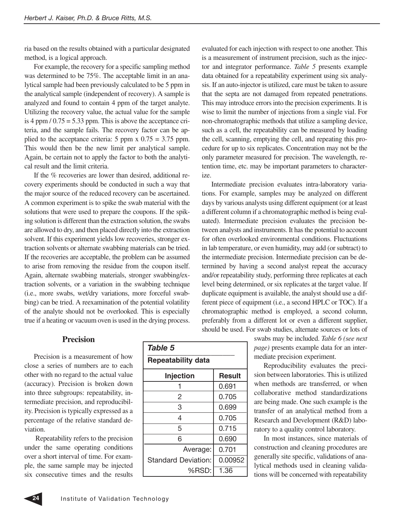ria based on the results obtained with a particular designated method, is a logical approach.

For example, the recovery for a specific sampling method was determined to be 75%. The acceptable limit in an analytical sample had been previously calculated to be 5 ppm in the analytical sample (independent of recovery). A sample is analyzed and found to contain 4 ppm of the target analyte. Utilizing the recovery value, the actual value for the sample is 4 ppm  $/ 0.75 = 5.33$  ppm. This is above the acceptance criteria, and the sample fails. The recovery factor can be applied to the acceptance criteria: 5 ppm  $x\,0.75 = 3.75$  ppm. This would then be the new limit per analytical sample. Again, be certain not to apply the factor to both the analytical result and the limit criteria.

If the % recoveries are lower than desired, additional recovery experiments should be conducted in such a way that the major source of the reduced recovery can be ascertained. A common experiment is to spike the swab material with the solutions that were used to prepare the coupons. If the spiking solution is different than the extraction solution, the swabs are allowed to dry, and then placed directly into the extraction solvent. If this experiment yields low recoveries, stronger extraction solvents or alternate swabbing materials can be tried. If the recoveries are acceptable, the problem can be assumed to arise from removing the residue from the coupon itself. Again, alternate swabbing materials, stronger swabbing/extraction solvents, or a variation in the swabbing technique (i.e., more swabs, wet/dry variations, more forceful swabbing) can be tried. A reexamination of the potential volatility of the analyte should not be overlooked. This is especially true if a heating or vacuum oven is used in the drying process.

evaluated for each injection with respect to one another. This is a measurement of instrument precision, such as the injector and integrator performance. *Table 5* presents example data obtained for a repeatability experiment using six analysis. If an auto-injector is utilized, care must be taken to assure that the septa are not damaged from repeated penetrations. This may introduce errors into the precision experiments. It is wise to limit the number of injections from a single vial. For non-chromatographic methods that utilize a sampling device, such as a cell, the repeatability can be measured by loading the cell, scanning, emptying the cell, and repeating this procedure for up to six replicates. Concentration may not be the only parameter measured for precision. The wavelength, retention time, etc. may be important parameters to characterize.

Intermediate precision evaluates intra-laboratory variations. For example, samples may be analyzed on different days by various analysts using different equipment (or at least a different column if a chromatographic method is being evaluated). Intermediate precision evaluates the precision between analysts and instruments. It has the potential to account for often overlooked environmental conditions. Fluctuations in lab temperature, or even humidity, may add (or subtract) to the intermediate precision. Intermediate precision can be determined by having a second analyst repeat the accuracy and/or repeatability study, performing three replicates at each level being determined, or six replicates at the target value. If duplicate equipment is available, the analyst should use a different piece of equipment (i.e., a second HPLC or TOC). If a chromatographic method is employed, a second column, preferably from a different lot or even a different supplier, should be used. For swab studies, alternate sources or lots of

#### **Precision**

Precision is a measurement of how close a series of numbers are to each other with no regard to the actual value (accuracy). Precision is broken down into three subgroups: repeatability, intermediate precision, and reproducibility. Precision is typically expressed as a percentage of the relative standard deviation.

Repeatability refers to the precision under the same operating conditions over a short interval of time. For example, the same sample may be injected six consecutive times and the results

| Table 5                    |         |  |  |  |  |
|----------------------------|---------|--|--|--|--|
| <b>Repeatability data</b>  |         |  |  |  |  |
| Result<br><b>Injection</b> |         |  |  |  |  |
|                            | 0.691   |  |  |  |  |
| 2                          | 0.705   |  |  |  |  |
| 3                          | 0.699   |  |  |  |  |
| 4                          | 0.705   |  |  |  |  |
| 5                          | 0.715   |  |  |  |  |
| 6                          | 0.690   |  |  |  |  |
| Average:                   | 0.701   |  |  |  |  |
| <b>Standard Deviation:</b> | 0.00952 |  |  |  |  |
| %RSD:                      | 1.36    |  |  |  |  |

swabs may be included. *Table 6 (see next page)* presents example data for an intermediate precision experiment.

Reproducibility evaluates the precision between laboratories. This is utilized when methods are transferred, or when collaborative method standardizations are being made. One such example is the transfer of an analytical method from a Research and Development (R&D) laboratory to a quality control laboratory.

In most instances, since materials of construction and cleaning procedures are generally site specific, validations of analytical methods used in cleaning validations will be concerned with repeatability

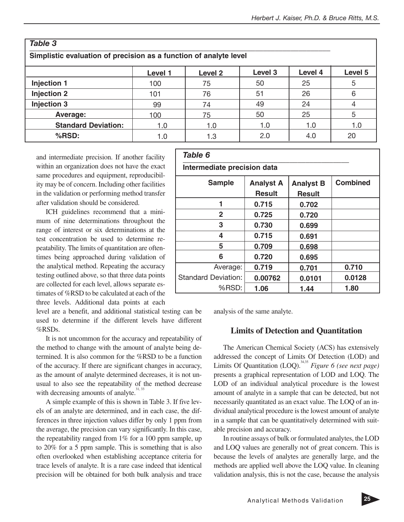| Table 3                                                           |         |         |                    |         |         |  |  |
|-------------------------------------------------------------------|---------|---------|--------------------|---------|---------|--|--|
| Simplistic evaluation of precision as a function of analyte level |         |         |                    |         |         |  |  |
|                                                                   | Level 1 | Level 2 | Level <sub>3</sub> | Level 4 | Level 5 |  |  |
| <b>Injection 1</b>                                                | 100     | 75      | 50                 | 25      | 5       |  |  |
| <b>Injection 2</b>                                                | 101     | 76      | 51                 | 26      | 6       |  |  |
| <b>Injection 3</b>                                                | 99      | 74      | 49                 | 24      |         |  |  |
| Average:                                                          | 100     | 75      | 50                 | 25      | 5       |  |  |
| <b>Standard Deviation:</b>                                        | 1.0     | 1.0     | 1.0                | 1.0     | 1.0     |  |  |
| %RSD:                                                             | 1.0     | 1.3     | 2.0                | 4.0     | 20      |  |  |

and intermediate precision. If another facility within an organization does not have the exact same procedures and equipment, reproducibility may be of concern. Including other facilities in the validation or performing method transfer after validation should be considered.

ICH guidelines recommend that a minimum of nine determinations throughout the range of interest or six determinations at the test concentration be used to determine repeatability. The limits of quantitation are oftentimes being approached during validation of the analytical method. Repeating the accuracy testing outlined above, so that three data points are collected for each level, allows separate estimates of %RSD to be calculated at each of the three levels. Additional data points at each

level are a benefit, and additional statistical testing can be used to determine if the different levels have different %RSDs.

It is not uncommon for the accuracy and repeatability of the method to change with the amount of analyte being determined. It is also common for the %RSD to be a function of the accuracy. If there are significant changes in accuracy, as the amount of analyte determined decreases, it is not unusual to also see the repeatability of the method decrease with decreasing amounts of analyte. $31, 33$ 

A simple example of this is shown in Table 3. If five levels of an analyte are determined, and in each case, the differences in three injection values differ by only 1 ppm from the average, the precision can vary significantly. In this case, the repeatability ranged from 1% for a 100 ppm sample, up to 20% for a 5 ppm sample. This is something that is also often overlooked when establishing acceptance criteria for trace levels of analyte. It is a rare case indeed that identical precision will be obtained for both bulk analysis and trace

#### *Table 6 \_\_\_\_\_\_\_\_\_\_\_\_\_\_\_\_\_\_\_\_\_\_\_\_\_\_\_\_\_\_\_\_\_\_\_\_\_\_\_\_\_\_*

#### **Intermediate precision data**

| <b>Sample</b>              | <b>Analyst A</b> | <b>Analyst B</b> | <b>Combined</b> |
|----------------------------|------------------|------------------|-----------------|
|                            | <b>Result</b>    | <b>Result</b>    |                 |
|                            | 0.715            | 0.702            |                 |
| $\mathbf{2}$               | 0.725            | 0.720            |                 |
| 3                          | 0.730            | 0.699            |                 |
| 4                          | 0.715            | 0.691            |                 |
| 5                          | 0.709            | 0.698            |                 |
| 6                          | 0.720            | 0.695            |                 |
| Average:                   | 0.719            | 0.701            | 0.710           |
| <b>Standard Deviation:</b> | 0.00762          | 0.0101           | 0.0128          |
| %RSD:                      | 1.06             | 1.44             | 1.80            |

analysis of the same analyte.

#### **Limits of Detection and Quantitation**

The American Chemical Society (ACS) has extensively addressed the concept of Limits Of Detection (LOD) and Limits Of Quantitation (LOQ).<sup>34,35</sup> *Figure 6 (see next page)* presents a graphical representation of LOD and LOQ. The LOD of an individual analytical procedure is the lowest amount of analyte in a sample that can be detected, but not necessarily quantitated as an exact value. The LOQ of an individual analytical procedure is the lowest amount of analyte in a sample that can be quantitatively determined with suitable precision and accuracy.

In routine assays of bulk or formulated analytes, the LOD and LOQ values are generally not of great concern. This is because the levels of analytes are generally large, and the methods are applied well above the LOQ value. In cleaning validation analysis, this is not the case, because the analysis

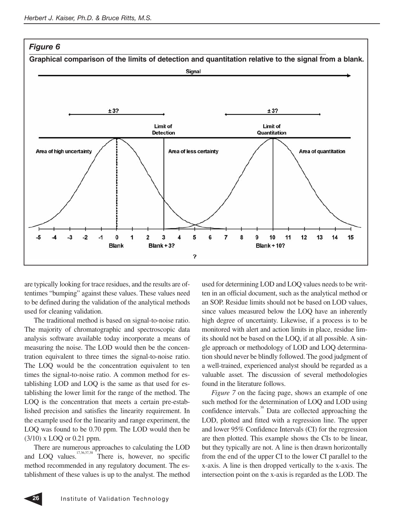

are typically looking for trace residues, and the results are oftentimes "bumping" against these values. These values need to be defined during the validation of the analytical methods used for cleaning validation.

The traditional method is based on signal-to-noise ratio. The majority of chromatographic and spectroscopic data analysis software available today incorporate a means of measuring the noise. The LOD would then be the concentration equivalent to three times the signal-to-noise ratio. The LOQ would be the concentration equivalent to ten times the signal-to-noise ratio. A common method for establishing LOD and LOQ is the same as that used for establishing the lower limit for the range of the method. The LOQ is the concentration that meets a certain pre-established precision and satisfies the linearity requirement. In the example used for the linearity and range experiment, the LOQ was found to be 0.70 ppm. The LOD would then be (3/10) x LOQ or 0.21 ppm.

There are numerous approaches to calculating the LOD and LOQ values.<sup>17,36,37,38</sup> There is, however, no specific method recommended in any regulatory document. The establishment of these values is up to the analyst. The method used for determining LOD and LOQ values needs to be written in an official document, such as the analytical method or an SOP. Residue limits should not be based on LOD values, since values measured below the LOQ have an inherently high degree of uncertainty. Likewise, if a process is to be monitored with alert and action limits in place, residue limits should not be based on the LOQ, if at all possible. A single approach or methodology of LOD and LOQ determination should never be blindly followed. The good judgment of a well-trained, experienced analyst should be regarded as a valuable asset. The discussion of several methodologies found in the literature follows.

*Figure 7* on the facing page, shows an example of one such method for the determination of LOQ and LOD using confidence intervals.<sup>39</sup> Data are collected approaching the LOD, plotted and fitted with a regression line. The upper and lower 95% Confidence Intervals (CI) for the regression are then plotted. This example shows the CIs to be linear, but they typically are not. A line is then drawn horizontally from the end of the upper CI to the lower CI parallel to the x-axis. A line is then dropped vertically to the x-axis. The intersection point on the x-axis is regarded as the LOD. The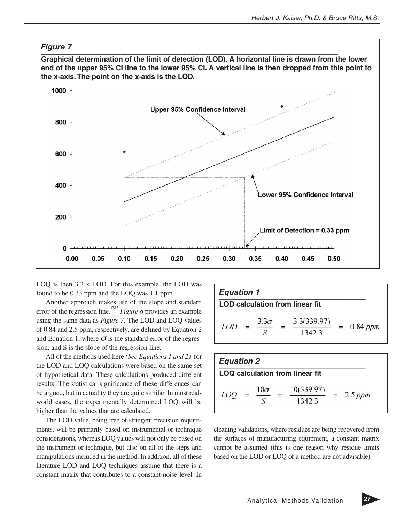

LOQ is then 3.3 x LOD. For this example, the LOD was found to be 0.33 ppm and the LOQ was 1.1 ppm.

Another approach makes use of the slope and standard error of the regression line.<sup>17,37</sup> *Figure 8* provides an example using the same data as *Figure 7*. The LOD and LOQ values of 0.84 and 2.5 ppm, respectively, are defined by Equation 2 and Equation 1, where  $\sigma$  is the standard error of the regression, and S is the slope of the regression line.

All of the methods used here *(See Equations 1 and 2)* for the LOD and LOQ calculations were based on the same set of hypothetical data. These calculations produced different results. The statistical significance of these differences can be argued, but in actuality they are quite similar. In most realworld cases, the experimentally determined LOQ will be higher than the values that are calculated.

The LOD value, being free of stringent precision requirements, will be primarily based on instrumental or technique considerations, whereas LOQ values will not only be based on the instrument or technique, but also on all of the steps and manipulations included in the method. In addition, all of these literature LOD and LOQ techniques assume that there is a constant matrix that contributes to a constant noise level. In

| <b>Equation 1</b> |  |             |  |                                        |  |            |
|-------------------|--|-------------|--|----------------------------------------|--|------------|
|                   |  |             |  | <b>LOD calculation from linear fit</b> |  |            |
| LOD               |  | $3.3\sigma$ |  | 3.3(339.97)<br>1342.3                  |  | $0.84$ ppm |

| <b>Equation 2</b>                      |  |            |  |                      |  |           |
|----------------------------------------|--|------------|--|----------------------|--|-----------|
| <b>LOQ calculation from linear fit</b> |  |            |  |                      |  |           |
| LOC                                    |  | $10\sigma$ |  | 10(339.97)<br>1342.3 |  | $2.5$ ppm |

cleaning validations, where residues are being recovered from the surfaces of manufacturing equipment, a constant matrix cannot be assumed (this is one reason why residue limits based on the LOD or LOQ of a method are not advisable).

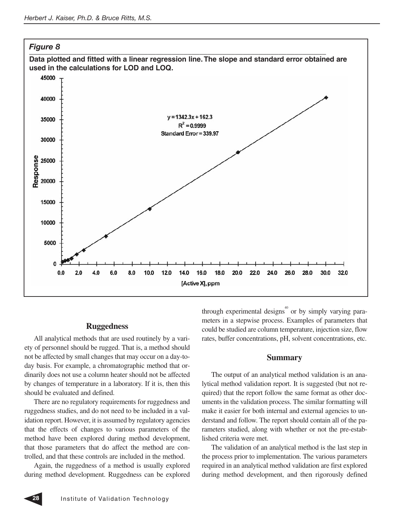

#### **Ruggedness**

All analytical methods that are used routinely by a variety of personnel should be rugged. That is, a method should not be affected by small changes that may occur on a day-today basis. For example, a chromatographic method that ordinarily does not use a column heater should not be affected by changes of temperature in a laboratory. If it is, then this should be evaluated and defined.

There are no regulatory requirements for ruggedness and ruggedness studies, and do not need to be included in a validation report. However, it is assumed by regulatory agencies that the effects of changes to various parameters of the method have been explored during method development, that those parameters that do affect the method are controlled, and that these controls are included in the method.

Again, the ruggedness of a method is usually explored during method development. Ruggedness can be explored through experimental designs $\degree$  or by simply varying parameters in a stepwise process. Examples of parameters that could be studied are column temperature, injection size, flow rates, buffer concentrations, pH, solvent concentrations, etc.

#### **Summary**

The output of an analytical method validation is an analytical method validation report. It is suggested (but not required) that the report follow the same format as other documents in the validation process. The similar formatting will make it easier for both internal and external agencies to understand and follow. The report should contain all of the parameters studied, along with whether or not the pre-established criteria were met.

The validation of an analytical method is the last step in the process prior to implementation. The various parameters required in an analytical method validation are first explored during method development, and then rigorously defined

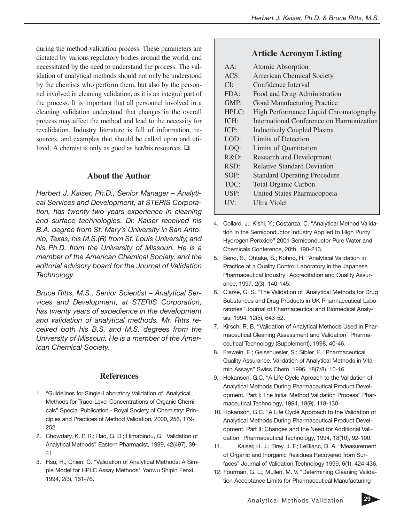during the method validation process. These parameters are dictated by various regulatory bodies around the world, and necessitated by the need to understand the process. The validation of analytical methods should not only be understood by the chemists who perform them, but also by the personnel involved in cleaning validation, as it is an integral part of the process. It is important that all personnel involved in a cleaning validation understand that changes in the overall process may affect the method and lead to the necessity for revalidation. Industry literature is full of information, resources, and examples that should be called upon and utilized. A chemist is only as good as her/his resources. ❏

#### **About the Author**

*Herbert J. Kaiser, Ph.D., Senior Manager – Analytical Services and Development, at STERIS Corporation, has twenty-two years experience in cleaning and surface technologies. Dr. Kaiser received his B.A. degree from St. Mary's University in San Antonio, Texas, his M.S.(R) from St. Louis University, and his Ph.D. from the University of Missouri. He is a member of the American Chemical Society, and the editorial advisory board for the Journal of Validation Technology.*

*Bruce Ritts, M.S., Senior Scientist – Analytical Services and Development, at STERIS Corporation, has twenty years of expedience in the development and validation of analytical methods. Mr. Ritts received both his B.S. and M.S. degrees from the University of Missouri. He is a member of the American Chemical Society.*

#### **References**

- 1. "Guidelines for Single-Laboratory Validation of Analytical Methods for Trace-Level Concentrations of Organic Chemicals" Special Publication - Royal Society of Chemistry: Principles and Practices of Method Validation, 2000, 256, 179- 252.
- 2. Chowdary, K. P. R.; Rao, G. D.; Himabindu, G. "Validation of Analytical Methods" Eastern Pharmacist, 1999, 42(497), 39- 41.
- 3. Hsu, H.; Chien, C. "Validation of Analytical Methods: A Simple Model for HPLC Assay Methods" Yaowu Shipin Fenxi, 1994, 2(3), 161-76.

#### **Article Acronym Listing**

| $AA$ :  | Atomic Absorption                         |
|---------|-------------------------------------------|
| ACS:    | <b>American Chemical Society</b>          |
| CI:     | Confidence Interval                       |
| FDA:    | Food and Drug Administration              |
| GMP:    | Good Manufacturing Practice               |
| HPLC:   | High Performance Liquid Chromatography    |
| ICH:    | International Conference on Harmonization |
| ICP:    | <b>Inductively Coupled Plasma</b>         |
| LOD:    | Limits of Detection                       |
| LOQ:    | Limits of Quantitation                    |
| $R&D$ : | <b>Research and Development</b>           |
| RSD:    | <b>Relative Standard Deviation</b>        |
| SOP:    | <b>Standard Operating Procedure</b>       |
| TOC:    | <b>Total Organic Carbon</b>               |
| USP:    | United States Pharmacopoeia               |
| UV:     | Ultra Violet                              |
|         |                                           |

- 4. Collard, J.; Kishi, Y.; Costanza, C. "Analytical Method Validation in the Semiconductor Industry Applied to High Purity Hydrogen Peroxide" 2001 Semiconductor Pure Water and Chemicals Conference, 20th, 190-213.
- 5. Seno, S.; Ohtake, S.; Kohno, H. "Analytical Validation in Practice at a Quality Control Laboratory in the Japanese Pharmaceutical Industry" Accreditation and Quality Assurance, 1997, 2(3), 140-145.
- 6. Clarke, G. S. "The Validation of Analytical Methods for Drug Substances and Drug Products in UK Pharmaceutical Laboratories" Journal of Pharmaceutical and Biomedical Analysis, 1994, 12(5), 643-52.
- 7. Kirsch, R. B. "Validation of Analytical Methods Used in Pharmaceutical Cleaning Assessment and Validation" Pharmaceutical Technology (Supplement), 1998, 40-46.
- 8. Frewein, E.; Geisshuesler, S.; Sibler, E. "Pharmaceutical Quality Assurance. Validation of Analytical Methods in Vitamin Assays" Swiss Chem, 1996, 18(7/8), 10-16.
- 9. Hokanson, G.C. "A Life Cycle Aproach to the Validation of Analytical Methods During Pharmaceutical Product Development. Part I: The Initial Method Validation Process" Pharmaceutical Technology, 1994, 18(9), 118-130.
- 10. Hokanson, G.C. "A Life Cycle Approach to the Validation of Analytical Methods During Pharmaceutical Product Development. Part II: Changes and the Need for Additional Validation" Pharmaceutical Technology, 1994, 18(10), 92-100.
- 11. Kaiser, H. J.; Tirey, J. F.; LeBlanc, D. A. "Measurement of Organic and Inorganic Residues Recovered from Surfaces" Journal of Validation Technology 1999, 6(1), 424-436.
- 12. Fourman, G. L.; Mullen, M. V. "Determining Cleaning Validation Acceptance Limits for Pharmaceutical Manufacturing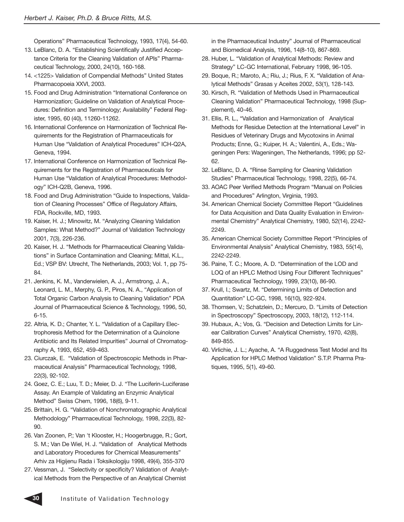Operations" Pharmaceutical Technology, 1993, 17(4), 54-60.

- 13. LeBlanc, D. A. "Establishing Scientifically Justified Acceptance Criteria for the Cleaning Validation of APIs" Pharmaceutical Technology, 2000, 24(10), 160-168.
- 14. <1225> Validation of Compendial Methods" United States Pharmacopoeia XXVI, 2003.
- 15. Food and Drug Administration "International Conference on Harmonization; Guideline on Validation of Analytical Procedures: Definition and Terminology; Availability" Federal Register, 1995, 60 (40), 11260-11262.
- 16. International Conference on Harmonization of Technical Requirements for the Registration of Pharmaceuticals for Human Use "Validation of Analytical Procedures" ICH-Q2A, Geneva, 1994.
- 17. International Conference on Harmonization of Technical Requirements for the Registration of Pharmaceuticals for Human Use "Validation of Analytical Procedures: Methodology" ICH-Q2B, Geneva, 1996.
- 18. Food and Drug Administration "Guide to Inspections, Validation of Cleaning Processes" Office of Regulatory Affairs, FDA, Rockville, MD, 1993.
- 19. Kaiser, H. J.; Minowitz, M. "Analyzing Cleaning Validation Samples: What Method?" Journal of Validation Technology 2001, 7(3), 226-236.
- 20. Kaiser, H. J. "Methods for Pharmaceutical Cleaning Validations" in Surface Contamination and Cleaning; Mittal, K.L., Ed.; VSP BV: Utrecht, The Netherlands, 2003; Vol. 1, pp 75- 84.
- 21. Jenkins, K. M., Vanderwielen, A. J., Armstrong, J. A., Leonard, L. M., Merphy, G. P., Piros, N. A., "Application of Total Organic Carbon Analysis to Cleaning Validation" PDA Journal of Pharmaceutical Science & Technology, 1996, 50, 6-15.
- 22. Altria, K. D.; Chanter, Y. L. "Validation of a Capillary Electrophoresis Method for the Determination of a Quinolone Antibiotic and Its Related Impurities" Journal of Chromatography A, 1993, 652, 459-463.
- 23. Ciurczak, E. "Validation of Spectroscopic Methods in Pharmaceutical Analysis" Pharmaceutical Technology, 1998, 22(3), 92-102.
- 24. Goez, C. E.; Luu, T. D.; Meier, D. J. "The Luciferin-Luciferase Assay. An Example of Validating an Enzymic Analytical Method" Swiss Chem, 1996, 18(6), 9-11.
- 25. Brittain, H. G. "Validation of Nonchromatographic Analytical Methodology" Pharmaceutical Technology, 1998, 22(3), 82-  $90^{\circ}$
- 26. Van Zoonen, P.; Van 't Klooster, H.; Hoogerbrugge, R.; Gort, S. M.; Van De Wiel, H. J. "Validation of Analytical Methods and Laboratory Procedures for Chemical Measurements" Arhiv za Higijenu Rada i Toksikologiju 1998, 49(4), 355-370
- 27. Vessman, J. "Selectivity or specificity? Validation of Analytical Methods from the Perspective of an Analytical Chemist

in the Pharmaceutical Industry" Journal of Pharmaceutical and Biomedical Analysis, 1996, 14(8-10), 867-869.

- 28. Huber, L. "Validation of Analytical Methods: Review and Strategy" LC-GC International, February 1998, 96-105.
- 29. Boque, R.; Maroto, A.; Riu, J.; Rius, F. X. "Validation of Analytical Methods" Grasas y Aceites 2002, 53(1), 128-143.
- 30. Kirsch, R. "Validation of Methods Used in Pharmaceutical Cleaning Validation" Pharmaceutical Technology, 1998 (Supplement), 40-46.
- 31. Ellis, R. L., "Validation and Harmonization of Analytical Methods for Residue Detection at the International Level" in Residues of Veterinary Drugs and Mycotoxins in Animal Products; Enne, G.; Kuiper, H. A.; Valentini, A., Eds.; Wageningen Pers: Wageningen, The Netherlands, 1996; pp 52- 62.
- 32. LeBlanc, D. A. "Rinse Sampling for Cleaning Validation Studies" Pharmaceutical Technology, 1998, 22(5), 66-74.
- 33. AOAC Peer Verified Methods Program "Manual on Policies and Procedures" Arlington, Virginia, 1993.
- 34. American Chemical Society Committee Report "Guidelines for Data Acquisition and Data Quality Evaluation in Environmental Chemistry" Analytical Chemistry, 1980, 52(14), 2242- 2249.
- 35. American Chemical Society Committee Report "Principles of Environmental Analysis" Analytical Chemistry, 1983, 55(14), 2242-2249.
- 36. Paine, T. C.; Moore, A. D. "Determination of the LOD and LOQ of an HPLC Method Using Four Different Techniques" Pharmaceutical Technology, 1999, 23(10), 86-90.
- 37. Krull, I.; Swartz, M. "Determining Limits of Detection and Quantitation" LC-GC, 1998, 16(10), 922-924.
- 38. Thomsen, V.; Schatzlein, D.; Mercuro, D. "Limits of Detection in Spectroscopy" Spectroscopy, 2003, 18(12), 112-114.
- 39. Hubaux, A.; Vos, G. "Decision and Detection Limits for Linear Calibration Curves" Analytical Chemistry, 1970, 42(8), 849-855.
- 40. Virlichie, J. L.; Ayache, A. "A Ruggedness Test Model and Its Application for HPLC Method Validation" S.T.P. Pharma Pratiques, 1995, 5(1), 49-60.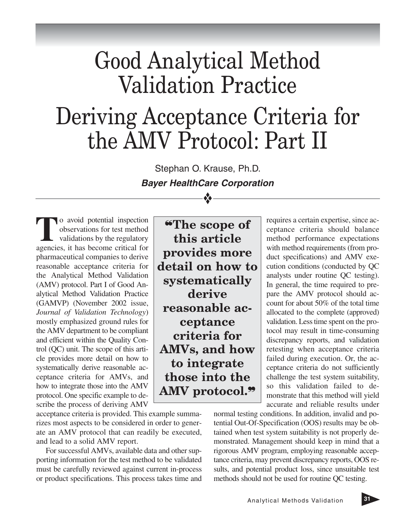## Good Analytical Method Validation Practice Deriving Acceptance Criteria for the AMV Protocol: Part II

Stephan O. Krause, Ph.D. **Bayer HealthCare Corporation**

❖

**T**o avoid potential inspection<br>observations for test method<br>validations by the regulatory<br>agencies it has become critical for observations for test method validations by the regulatory agencies, it has become critical for pharmaceutical companies to derive reasonable acceptance criteria for the Analytical Method Validation (AMV) protocol. Part I of Good Analytical Method Validation Practice (GAMVP) (November 2002 issue, *Journal of Validation Technology*) mostly emphasized ground rules for the AMV department to be compliant and efficient within the Quality Control (QC) unit. The scope of this article provides more detail on how to systematically derive reasonable acceptance criteria for AMVs, and how to integrate those into the AMV protocol. One specific example to describe the process of deriving AMV

acceptance criteria is provided. This example summarizes most aspects to be considered in order to generate an AMV protocol that can readily be executed, and lead to a solid AMV report.

For successful AMVs, available data and other supporting information for the test method to be validated must be carefully reviewed against current in-process or product specifications. This process takes time and

❝**The scope of this article provides more detail on how to systematically derive reasonable acceptance criteria for AMVs, and how to integrate those into the AMV protocol.**❞

requires a certain expertise, since acceptance criteria should balance method performance expectations with method requirements (from product specifications) and AMV execution conditions (conducted by QC analysts under routine QC testing). In general, the time required to prepare the AMV protocol should account for about 50% of the total time allocated to the complete (approved) validation. Less time spent on the protocol may result in time-consuming discrepancy reports, and validation retesting when acceptance criteria failed during execution. Or, the acceptance criteria do not sufficiently challenge the test system suitability, so this validation failed to demonstrate that this method will yield accurate and reliable results under

normal testing conditions. In addition, invalid and potential Out-Of-Specification (OOS) results may be obtained when test system suitability is not properly demonstrated. Management should keep in mind that a rigorous AMV program, employing reasonable acceptance criteria, may prevent discrepancy reports, OOS results, and potential product loss, since unsuitable test methods should not be used for routine QC testing.

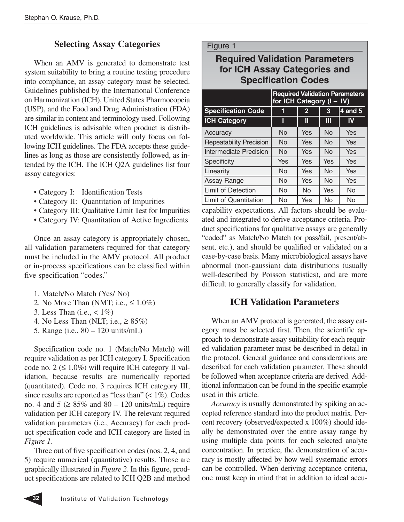#### **Selecting Assay Categories**

When an AMV is generated to demonstrate test system suitability to bring a routine testing procedure into compliance, an assay category must be selected. Guidelines published by the International Conference on Harmonization (ICH), United States Pharmocopeia (USP), and the Food and Drug Administration (FDA) are similar in content and terminology used. Following ICH guidelines is advisable when product is distributed worldwide. This article will only focus on following ICH guidelines. The FDA accepts these guidelines as long as those are consistently followed, as intended by the ICH. The ICH Q2A guidelines list four assay categories:

- Category I: Identification Tests
- Category II: Quantitation of Impurities
- Category III: Qualitative Limit Test for Impurities
- Category IV: Quantitation of Active Ingredients

Once an assay category is appropriately chosen, all validation parameters required for that category must be included in the AMV protocol. All product or in-process specifications can be classified within five specification "codes."

- 1. Match/No Match (Yes/ No)
- 2. No More Than (NMT; i.e.,  $\leq 1.0\%$ )
- 3. Less Than (i.e.,  $\lt 1\%$ )
- 4. No Less Than (NLT; i.e.,  $\geq 85\%$ )
- 5. Range (i.e., 80 120 units/mL)

Specification code no. 1 (Match/No Match) will require validation as per ICH category I. Specification code no.  $2 \leq 1.0\%$ ) will require ICH category II validation, because results are numerically reported (quantitated). Code no. 3 requires ICH category III, since results are reported as "less than"  $(< 1\%$ ). Codes no. 4 and 5 ( $\geq$  85% and 80 – 120 units/mL) require validation per ICH category IV. The relevant required validation parameters (i.e., Accuracy) for each product specification code and ICH category are listed in *Figure 1*.

Three out of five specification codes (nos. 2, 4, and 5) require numerical (quantitative) results. Those are graphically illustrated in *Figure 2*. In this figure, product specifications are related to ICH Q2B and method

### **Required Validation Parameters for ICH Assay Categories and Specification Codes**

|                                | <b>Required Validation Parameters</b><br>for ICH Category (I - IV) |           |           |           |  |
|--------------------------------|--------------------------------------------------------------------|-----------|-----------|-----------|--|
| <b>Specification Code</b>      |                                                                    | 2         | 3         | $4$ and 5 |  |
| <b>ICH Category</b>            |                                                                    | Ш         | Ш         | IV        |  |
| Accuracy                       | No                                                                 | Yes       | No        | Yes       |  |
| <b>Repeatability Precision</b> | No                                                                 | Yes       | No        | Yes       |  |
| Intermediate Precision         | No                                                                 | Yes       | <b>No</b> | Yes       |  |
| Specificity                    | Yes                                                                | Yes       | Yes       | Yes       |  |
| Linearity                      | No                                                                 | Yes       | No        | Yes       |  |
| Assay Range                    | No                                                                 | Yes       | No        | Yes       |  |
| <b>Limit of Detection</b>      | No                                                                 | <b>No</b> | Yes       | No        |  |
| <b>Limit of Quantitation</b>   | No                                                                 | Yes       | No        | No        |  |

capability expectations. All factors should be evaluated and integrated to derive acceptance criteria. Product specifications for qualitative assays are generally "coded" as Match/No Match (or pass/fail, present/absent, etc.), and should be qualified or validated on a case-by-case basis. Many microbiological assays have abnormal (non-gaussian) data distributions (usually well-described by Poisson statistics), and are more difficult to generally classify for validation.

#### **ICH Validation Parameters**

When an AMV protocol is generated, the assay category must be selected first. Then, the scientific approach to demonstrate assay suitability for each required validation parameter must be described in detail in the protocol. General guidance and considerations are described for each validation parameter. These should be followed when acceptance criteria are derived. Additional information can be found in the specific example used in this article.

*Accuracy* is usually demonstrated by spiking an accepted reference standard into the product matrix. Percent recovery (observed/expected x 100%) should ideally be demonstrated over the entire assay range by using multiple data points for each selected analyte concentration. In practice, the demonstration of accuracy is mostly affected by how well systematic errors can be controlled. When deriving acceptance criteria, one must keep in mind that in addition to ideal accu-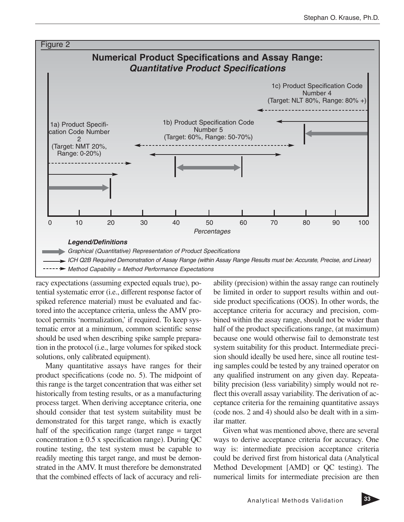

racy expectations (assuming expected equals true), potential systematic error (i.e., different response factor of spiked reference material) must be evaluated and factored into the acceptance criteria, unless the AMV protocol permits 'normalization,' if required. To keep systematic error at a minimum, common scientific sense should be used when describing spike sample preparation in the protocol (i.e., large volumes for spiked stock solutions, only calibrated equipment).

Many quantitative assays have ranges for their product specifications (code no. 5). The midpoint of this range is the target concentration that was either set historically from testing results, or as a manufacturing process target. When deriving acceptance criteria, one should consider that test system suitability must be demonstrated for this target range, which is exactly half of the specification range (target range = target concentration  $\pm 0.5$  x specification range). During QC routine testing, the test system must be capable to readily meeting this target range, and must be demonstrated in the AMV. It must therefore be demonstrated that the combined effects of lack of accuracy and reli-

ability (precision) within the assay range can routinely be limited in order to support results within and outside product specifications (OOS). In other words, the acceptance criteria for accuracy and precision, combined within the assay range, should not be wider than half of the product specifications range, (at maximum) because one would otherwise fail to demonstrate test system suitability for this product. Intermediate precision should ideally be used here, since all routine testing samples could be tested by any trained operator on any qualified instrument on any given day. Repeatability precision (less variability) simply would not reflect this overall assay variability. The derivation of acceptance criteria for the remaining quantitative assays (code nos. 2 and 4) should also be dealt with in a similar matter.

Given what was mentioned above, there are several ways to derive acceptance criteria for accuracy. One way is: intermediate precision acceptance criteria could be derived first from historical data (Analytical Method Development [AMD] or QC testing). The numerical limits for intermediate precision are then

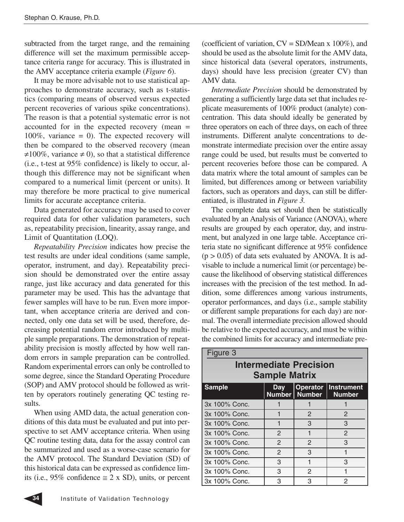subtracted from the target range, and the remaining difference will set the maximum permissible acceptance criteria range for accuracy. This is illustrated in the AMV acceptance criteria example (*Figure 6*).

It may be more advisable not to use statistical approaches to demonstrate accuracy, such as t-statistics (comparing means of observed versus expected percent recoveries of various spike concentrations). The reason is that a potential systematic error is not accounted for in the expected recovery (mean = 100%, variance  $= 0$ ). The expected recovery will then be compared to the observed recovery (mean  $\neq 100\%$ , variance  $\neq 0$ ), so that a statistical difference (i.e., t-test at 95% confidence) is likely to occur, although this difference may not be significant when compared to a numerical limit (percent or units). It may therefore be more practical to give numerical limits for accurate acceptance criteria.

Data generated for accuracy may be used to cover required data for other validation parameters, such as, repeatability precision, linearity, assay range, and Limit of Quantitation (LOQ).

*Repeatability Precision* indicates how precise the test results are under ideal conditions (same sample, operator, instrument, and day). Repeatability precision should be demonstrated over the entire assay range, just like accuracy and data generated for this parameter may be used. This has the advantage that fewer samples will have to be run. Even more important, when acceptance criteria are derived and connected, only one data set will be used, therefore, decreasing potential random error introduced by multiple sample preparations. The demonstration of repeatability precision is mostly affected by how well random errors in sample preparation can be controlled. Random experimental errors can only be controlled to some degree, since the Standard Operating Procedure (SOP) and AMV protocol should be followed as written by operators routinely generating QC testing results.

When using AMD data, the actual generation conditions of this data must be evaluated and put into perspective to set AMV acceptance criteria. When using QC routine testing data, data for the assay control can be summarized and used as a worse-case scenario for the AMV protocol. The Standard Deviation (SD) of this historical data can be expressed as confidence limits (i.e., 95% confidence  $\approx$  2 x SD), units, or percent (coefficient of variation,  $CV = SD/Mean \times 100\%$ ), and should be used as the absolute limit for the AMV data, since historical data (several operators, instruments, days) should have less precision (greater CV) than AMV data.

*Intermediate Precision* should be demonstrated by generating a sufficiently large data set that includes replicate measurements of 100% product (analyte) concentration. This data should ideally be generated by three operators on each of three days, on each of three instruments. Different analyte concentrations to demonstrate intermediate precision over the entire assay range could be used, but results must be converted to percent recoveries before those can be compared. A data matrix where the total amount of samples can be limited, but differences among or between variability factors, such as operators and days, can still be differentiated, is illustrated in *Figure 3.*

The complete data set should then be statistically evaluated by an Analysis of Variance (ANOVA), where results are grouped by each operator, day, and instrument, but analyzed in one large table. Acceptance criteria state no significant difference at 95% confidence  $(p > 0.05)$  of data sets evaluated by ANOVA. It is advisable to include a numerical limit (or percentage) because the likelihood of observing statistical differences increases with the precision of the test method. In addition, some differences among various instruments, operator performances, and days (i.e., sample stability or different sample preparations for each day) are normal. The overall intermediate precision allowed should be relative to the expected accuracy, and must be within the combined limits for accuracy and intermediate pre-

| Figure 3                                              |              |                                    |                                    |  |  |  |
|-------------------------------------------------------|--------------|------------------------------------|------------------------------------|--|--|--|
| <b>Intermediate Precision</b><br><b>Sample Matrix</b> |              |                                    |                                    |  |  |  |
| <b>Sample</b>                                         | <b>Day</b>   | <b>Operator</b><br>Number   Number | <b>Instrument</b><br><b>Number</b> |  |  |  |
| 3x 100% Conc.                                         |              |                                    |                                    |  |  |  |
| 3x 100% Conc.                                         |              | $\mathbf{P}$                       | $\overline{c}$                     |  |  |  |
| 3x 100% Conc.                                         |              | 3                                  | 3                                  |  |  |  |
| 3x 100% Conc.                                         | 2            | 1                                  | $\mathfrak{p}$                     |  |  |  |
| 3x 100% Conc.                                         | $\mathbf{P}$ | $\mathcal{P}$                      | 3                                  |  |  |  |
| 3x 100% Conc.                                         | $\mathbf{P}$ | 3                                  |                                    |  |  |  |
| 3x 100% Conc.                                         | 3            |                                    | 3                                  |  |  |  |
| 3x 100% Conc.                                         | 3            | 2                                  |                                    |  |  |  |
| 3x 100% Conc.                                         | З            | 3                                  | 2                                  |  |  |  |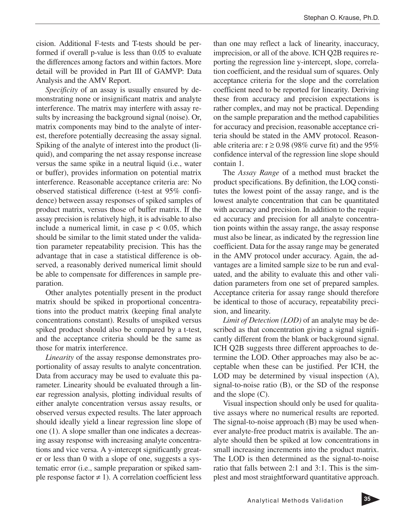cision. Additional F-tests and T-tests should be performed if overall p-value is less than 0.05 to evaluate the differences among factors and within factors. More detail will be provided in Part III of GAMVP: Data Analysis and the AMV Report.

*Specificity* of an assay is usually ensured by demonstrating none or insignificant matrix and analyte interference. The matrix may interfere with assay results by increasing the background signal (noise). Or, matrix components may bind to the analyte of interest, therefore potentially decreasing the assay signal. Spiking of the analyte of interest into the product (liquid), and comparing the net assay response increase versus the same spike in a neutral liquid (i.e., water or buffer), provides information on potential matrix interference. Reasonable acceptance criteria are: No observed statistical difference (t-test at 95% confidence) between assay responses of spiked samples of product matrix, versus those of buffer matrix. If the assay precision is relatively high, it is advisable to also include a numerical limit, in case  $p < 0.05$ , which should be similar to the limit stated under the validation parameter repeatability precision. This has the advantage that in case a statistical difference is observed, a reasonably derived numerical limit should be able to compensate for differences in sample preparation.

Other analytes potentially present in the product matrix should be spiked in proportional concentrations into the product matrix (keeping final analyte concentrations constant). Results of unspiked versus spiked product should also be compared by a t-test, and the acceptance criteria should be the same as those for matrix interference.

*Linearity* of the assay response demonstrates proportionality of assay results to analyte concentration. Data from accuracy may be used to evaluate this parameter. Linearity should be evaluated through a linear regression analysis, plotting individual results of either analyte concentration versus assay results, or observed versus expected results. The later approach should ideally yield a linear regression line slope of one (1). A slope smaller than one indicates a decreasing assay response with increasing analyte concentrations and vice versa. A y-intercept significantly greater or less than 0 with a slope of one, suggests a systematic error (i.e., sample preparation or spiked sample response factor  $\neq$  1). A correlation coefficient less

than one may reflect a lack of linearity, inaccuracy, imprecision, or all of the above. ICH Q2B requires reporting the regression line y-intercept, slope, correlation coefficient, and the residual sum of squares. Only acceptance criteria for the slope and the correlation coefficient need to be reported for linearity. Deriving these from accuracy and precision expectations is rather complex, and may not be practical. Depending on the sample preparation and the method capabilities for accuracy and precision, reasonable acceptance criteria should be stated in the AMV protocol. Reasonable criteria are:  $r \ge 0.98$  (98% curve fit) and the 95% confidence interval of the regression line slope should contain 1.

The *Assay Range* of a method must bracket the product specifications. By definition, the LOQ constitutes the lowest point of the assay range, and is the lowest analyte concentration that can be quantitated with accuracy and precision. In addition to the required accuracy and precision for all analyte concentration points within the assay range, the assay response must also be linear, as indicated by the regression line coefficient. Data for the assay range may be generated in the AMV protocol under accuracy. Again, the advantages are a limited sample size to be run and evaluated, and the ability to evaluate this and other validation parameters from one set of prepared samples. Acceptance criteria for assay range should therefore be identical to those of accuracy, repeatability precision, and linearity.

*Limit of Detection (LOD)* of an analyte may be described as that concentration giving a signal significantly different from the blank or background signal. ICH Q2B suggests three different approaches to determine the LOD. Other approaches may also be acceptable when these can be justified. Per ICH, the LOD may be determined by visual inspection (A), signal-to-noise ratio (B), or the SD of the response and the slope (C).

Visual inspection should only be used for qualitative assays where no numerical results are reported. The signal-to-noise approach (B) may be used whenever analyte-free product matrix is available. The analyte should then be spiked at low concentrations in small increasing increments into the product matrix. The LOD is then determined as the signal-to-noise ratio that falls between 2:1 and 3:1. This is the simplest and most straightforward quantitative approach.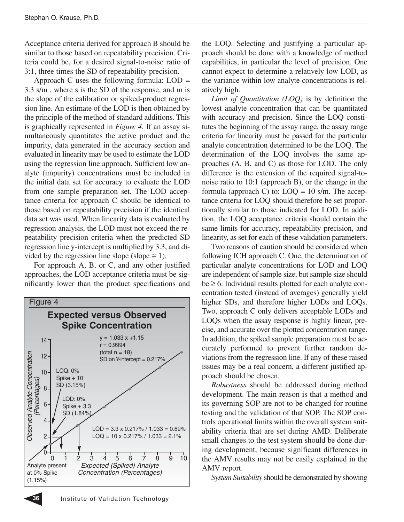Acceptance criteria derived for approach B should be similar to those based on repeatability precision. Criteria could be, for a desired signal-to-noise ratio of 3:1, three times the SD of repeatability precision.

Approach C uses the following formula:  $LOD =$ 3.3 s/m , where s is the SD of the response, and m is the slope of the calibration or spiked-product regression line. An estimate of the LOD is then obtained by the principle of the method of standard additions. This is graphically represented in *Figure 4*. If an assay simultaneously quantitates the active product and the impurity, data generated in the accuracy section and evaluated in linearity may be used to estimate the LOD using the regression line approach. Sufficient low analyte (impurity) concentrations must be included in the initial data set for accuracy to evaluate the LOD from one sample preparation set. The LOD acceptance criteria for approach C should be identical to those based on repeatability precision if the identical data set was used. When linearity data is evaluated by regression analysis, the LOD must not exceed the repeatability precision criteria when the predicted SD regression line y-intercept is multiplied by 3.3, and divided by the regression line slope (slope  $\leq$  1).

For approach A, B, or C, and any other justified approaches, the LOD acceptance criteria must be significantly lower than the product specifications and



the LOQ. Selecting and justifying a particular approach should be done with a knowledge of method capabilities, in particular the level of precision. One cannot expect to determine a relatively low LOD, as the variance within low analyte concentrations is relatively high.

*Limit of Quantitation (LOQ)* is by definition the lowest analyte concentration that can be quantitated with accuracy and precision. Since the LOQ constitutes the beginning of the assay range, the assay range criteria for linearity must be passed for the particular analyte concentration determined to be the LOQ. The determination of the LOQ involves the same approaches (A, B, and C) as those for LOD. The only difference is the extension of the required signal-tonoise ratio to 10:1 (approach B), or the change in the formula (approach C) to:  $LOQ = 10$  s/m. The acceptance criteria for LOQ should therefore be set proportionally similar to those indicated for LOD. In addition, the LOQ acceptance criteria should contain the same limits for accuracy, repeatability precision, and linearity, as set for each of these validation parameters.

Two reasons of caution should be considered when following ICH approach C. One, the determination of particular analyte concentrations for LOD and LOQ are independent of sample size, but sample size should  $be \ge 6$ . Individual results plotted for each analyte concentration tested (instead of averages) generally yield higher SDs, and therefore higher LODs and LOQs. Two, approach C only delivers acceptable LODs and LOQs when the assay response is highly linear, precise, and accurate over the plotted concentration range. In addition, the spiked sample preparation must be accurately performed to prevent further random deviations from the regression line. If any of these raised issues may be a real concern, a different justified approach should be chosen.

*Robustness* should be addressed during method development. The main reason is that a method and its governing SOP are not to be changed for routine testing and the validation of that SOP. The SOP controls operational limits within the overall system suitability criteria that are set during AMD. Deliberate small changes to the test system should be done during development, because significant differences in the AMV results may not be easily explained in the AMV report.

*System Suitability* should be demonstrated by showing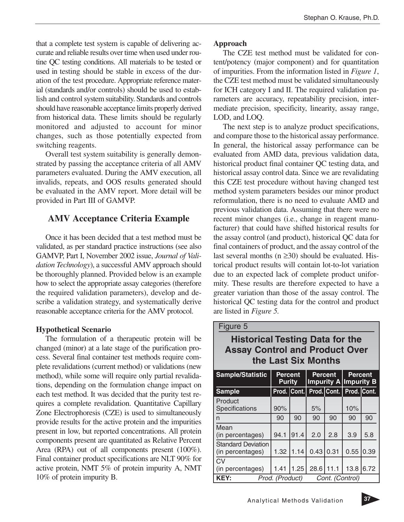that a complete test system is capable of delivering accurate and reliable results over time when used under routine QC testing conditions. All materials to be tested or used in testing should be stable in excess of the duration of the test procedure. Appropriate reference material (standards and/or controls) should be used to establish and control system suitability. Standards and controls should have reasonable acceptance limits properly derived from historical data. These limits should be regularly monitored and adjusted to account for minor changes, such as those potentially expected from switching reagents.

Overall test system suitability is generally demonstrated by passing the acceptance criteria of all AMV parameters evaluated. During the AMV execution, all invalids, repeats, and OOS results generated should be evaluated in the AMV report. More detail will be provided in Part III of GAMVP.

# **AMV Acceptance Criteria Example**

Once it has been decided that a test method must be validated, as per standard practice instructions (see also GAMVP, Part I, November 2002 issue, *Journal of Validation Technology*), a successful AMV approach should be thoroughly planned. Provided below is an example how to select the appropriate assay categories (therefore the required validation parameters), develop and describe a validation strategy, and systematically derive reasonable acceptance criteria for the AMV protocol.

# **Hypothetical Scenario**

The formulation of a therapeutic protein will be changed (minor) at a late stage of the purification process. Several final container test methods require complete revalidations (current method) or validations (new method), while some will require only partial revalidations, depending on the formulation change impact on each test method. It was decided that the purity test requires a complete revalidation. Quantitative Capillary Zone Electrophoresis (CZE) is used to simultaneously provide results for the active protein and the impurities present in low, but reported concentrations. All protein components present are quantitated as Relative Percent Area (RPA) out of all components present (100%). Final container product specifications are NLT 90% for active protein, NMT 5% of protein impurity A, NMT 10% of protein impurity B.

# **Approach**

The CZE test method must be validated for content/potency (major component) and for quantitation of impurities. From the information listed in *Figure 1*, the CZE test method must be validated simultaneously for ICH category I and II. The required validation parameters are accuracy, repeatability precision, intermediate precision, specificity, linearity, assay range, LOD, and LOQ.

The next step is to analyze product specifications, and compare those to the historical assay performance. In general, the historical assay performance can be evaluated from AMD data, previous validation data, historical product final container QC testing data, and historical assay control data. Since we are revalidating this CZE test procedure without having changed test method system parameters besides our minor product reformulation, there is no need to evaluate AMD and previous validation data. Assuming that there were no recent minor changes (i.e., change in reagent manufacturer) that could have shifted historical results for the assay control (and product), historical QC data for final containers of product, and the assay control of the last several months ( $n \ge 30$ ) should be evaluated. Historical product results will contain lot-to-lot variation due to an expected lack of complete product uniformity. These results are therefore expected to have a greater variation than those of the assay control. The historical QC testing data for the control and product are listed in *Figure 5.*

#### Figure 5

# **Historical Testing Data for the Assay Control and Product Over the Last Six Months**

| <b>Sample/Statistic</b>                       | <b>Percent</b><br><b>Purity</b> |      | <b>Percent</b><br>Impurity A Impurity B |                 | <b>Percent</b> |      |
|-----------------------------------------------|---------------------------------|------|-----------------------------------------|-----------------|----------------|------|
| <b>Sample</b>                                 | Prod. Cont.                     |      |                                         | Prod. Cont.     | Prod. Cont.    |      |
| Product<br>Specifications                     | 90%                             |      | 5%                                      |                 | 10%            |      |
| n                                             | 90                              | 90   | 90                                      | 90              | 90             | 90   |
| Mean<br>(in percentages)                      | 94.1                            | 91.4 | 2.0                                     | 2.8             | 3.9            | 5.8  |
| <b>Standard Deviation</b><br>(in percentages) | 1.32                            | 1.14 | 0.43                                    | 0.31            | 0.55           | 0.39 |
| C <sub>V</sub><br>(in percentages)            | 1.41                            | 1.25 | 28.6                                    | 11.1            | 13.8           | 6.72 |
| <b>KEY:</b><br>Prod. (Product)                |                                 |      |                                         | Cont. (Control) |                |      |

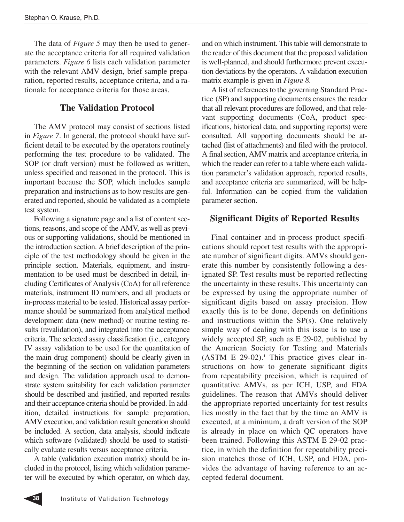The data of *Figure 5* may then be used to generate the acceptance criteria for all required validation parameters. *Figure 6* lists each validation parameter with the relevant AMV design, brief sample preparation, reported results, acceptance criteria, and a rationale for acceptance criteria for those areas.

# **The Validation Protocol**

The AMV protocol may consist of sections listed in *Figure 7*. In general, the protocol should have sufficient detail to be executed by the operators routinely performing the test procedure to be validated. The SOP (or draft version) must be followed as written, unless specified and reasoned in the protocol. This is important because the SOP, which includes sample preparation and instructions as to how results are generated and reported, should be validated as a complete test system.

Following a signature page and a list of content sections, reasons, and scope of the AMV, as well as previous or supporting validations, should be mentioned in the introduction section. A brief description of the principle of the test methodology should be given in the principle section. Materials, equipment, and instrumentation to be used must be described in detail, including Certificates of Analysis (CoA) for all reference materials, instrument ID numbers, and all products or in-process material to be tested. Historical assay performance should be summarized from analytical method development data (new method) or routine testing results (revalidation), and integrated into the acceptance criteria. The selected assay classification (i.e., category IV assay validation to be used for the quantitation of the main drug component) should be clearly given in the beginning of the section on validation parameters and design. The validation approach used to demonstrate system suitability for each validation parameter should be described and justified, and reported results and their acceptance criteria should be provided. In addition, detailed instructions for sample preparation, AMV execution, and validation result generation should be included. A section, data analysis, should indicate which software (validated) should be used to statistically evaluate results versus acceptance criteria.

A table (validation execution matrix) should be included in the protocol, listing which validation parameter will be executed by which operator, on which day, and on which instrument. This table will demonstrate to the reader of this document that the proposed validation is well-planned, and should furthermore prevent execution deviations by the operators. A validation execution matrix example is given in *Figure 8*.

A list of references to the governing Standard Practice (SP) and supporting documents ensures the reader that all relevant procedures are followed, and that relevant supporting documents (CoA, product specifications, historical data, and supporting reports) were consulted. All supporting documents should be attached (list of attachments) and filed with the protocol. A final section, AMV matrix and acceptance criteria, in which the reader can refer to a table where each validation parameter's validation approach, reported results, and acceptance criteria are summarized, will be helpful. Information can be copied from the validation parameter section.

# **Significant Digits of Reported Results**

Final container and in-process product specifications should report test results with the appropriate number of significant digits. AMVs should generate this number by consistently following a designated SP. Test results must be reported reflecting the uncertainty in these results. This uncertainty can be expressed by using the appropriate number of significant digits based on assay precision. How exactly this is to be done, depends on definitions and instructions within the SP(s). One relatively simple way of dealing with this issue is to use a widely accepted SP, such as E 29-02, published by the American Society for Testing and Materials  $(ASTM E 29-02).$ <sup>1</sup> This practice gives clear instructions on how to generate significant digits from repeatability precision, which is required of quantitative AMVs, as per ICH, USP, and FDA guidelines. The reason that AMVs should deliver the appropriate reported uncertainty for test results lies mostly in the fact that by the time an AMV is executed, at a minimum, a draft version of the SOP is already in place on which QC operators have been trained. Following this ASTM E 29-02 practice, in which the definition for repeatability precision matches those of ICH, USP, and FDA, provides the advantage of having reference to an accepted federal document.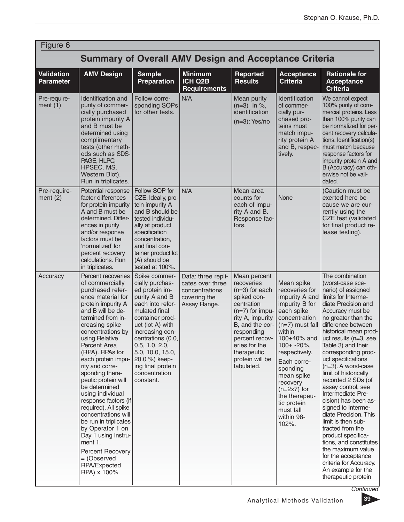| Figure 6                              |                                                                                                                                                                                                                                                                                                                                                                                                                                                                                                                                                                                             |                                                                                                                                                                                                                                                                                                    |                                                                                          |                                                                                                                                                                                                                                          |                                                                                                                                                                                                                                                                                                                            |                                                                                                                                                                                                                                                                                                                                                                                                                                                                                                                                                                                                                                                                                                      |  |
|---------------------------------------|---------------------------------------------------------------------------------------------------------------------------------------------------------------------------------------------------------------------------------------------------------------------------------------------------------------------------------------------------------------------------------------------------------------------------------------------------------------------------------------------------------------------------------------------------------------------------------------------|----------------------------------------------------------------------------------------------------------------------------------------------------------------------------------------------------------------------------------------------------------------------------------------------------|------------------------------------------------------------------------------------------|------------------------------------------------------------------------------------------------------------------------------------------------------------------------------------------------------------------------------------------|----------------------------------------------------------------------------------------------------------------------------------------------------------------------------------------------------------------------------------------------------------------------------------------------------------------------------|------------------------------------------------------------------------------------------------------------------------------------------------------------------------------------------------------------------------------------------------------------------------------------------------------------------------------------------------------------------------------------------------------------------------------------------------------------------------------------------------------------------------------------------------------------------------------------------------------------------------------------------------------------------------------------------------------|--|
|                                       | <b>Summary of Overall AMV Design and Acceptance Criteria</b>                                                                                                                                                                                                                                                                                                                                                                                                                                                                                                                                |                                                                                                                                                                                                                                                                                                    |                                                                                          |                                                                                                                                                                                                                                          |                                                                                                                                                                                                                                                                                                                            |                                                                                                                                                                                                                                                                                                                                                                                                                                                                                                                                                                                                                                                                                                      |  |
| <b>Validation</b><br><b>Parameter</b> | <b>AMV Design</b>                                                                                                                                                                                                                                                                                                                                                                                                                                                                                                                                                                           | <b>Sample</b><br><b>Preparation</b>                                                                                                                                                                                                                                                                | <b>Minimum</b><br>ICH Q2B<br><b>Requirements</b>                                         | Reported<br><b>Results</b>                                                                                                                                                                                                               | <b>Acceptance</b><br><b>Criteria</b>                                                                                                                                                                                                                                                                                       | <b>Rationale for</b><br><b>Acceptance</b><br><b>Criteria</b>                                                                                                                                                                                                                                                                                                                                                                                                                                                                                                                                                                                                                                         |  |
| Pre-require-<br>ment $(1)$            | Identification and<br>purity of commer-<br>cially purchased<br>protein impurity A<br>and B must be<br>determined using<br>complimentary<br>tests (other meth-<br>ods such as SDS-<br>PAGE, HLPC,<br>HPSEC, MS,<br>Western Blot).<br>Run in triplicates.                                                                                                                                                                                                                                                                                                                                     | Follow corre-<br>sponding SOPs<br>for other tests.                                                                                                                                                                                                                                                 | N/A                                                                                      | Mean purity<br>$(n=3)$ in %,<br>identification<br>$(n=3)$ : Yes/no                                                                                                                                                                       | Identification<br>of commer-<br>cially pur-<br>chased pro-<br>teins must<br>match impu-<br>rity protein A<br>and B, respec-<br>tively.                                                                                                                                                                                     | We cannot expect<br>100% purity of com-<br>mercial proteins. Less<br>than 100% purity can<br>be normalized for per-<br>cent recovery calcula-<br>tions. Identification(s)<br>must match because<br>response factors for<br>impurity protein A and<br>B (Accuracy) can oth-<br>erwise not be vali-<br>dated.                                                                                                                                                                                                                                                                                                                                                                                          |  |
| Pre-require-<br>ment $(2)$            | Potential response<br>factor differences<br>for protein impurity<br>A and B must be<br>determined. Differ-<br>ences in purity<br>and/or response<br>factors must be<br>'normalized' for<br>percent recovery<br>calculations. Run<br>in triplicates.                                                                                                                                                                                                                                                                                                                                         | Follow SOP for<br>CZE. Ideally, pro-<br>tein impurity A<br>and B should be<br>tested individu-<br>ally at product<br>specification<br>concentration,<br>and final con-<br>tainer product lot<br>(A) should be<br>tested at 100%.                                                                   | N/A                                                                                      | Mean area<br>counts for<br>each of impu-<br>rity A and B.<br>Response fac-<br>tors.                                                                                                                                                      | None                                                                                                                                                                                                                                                                                                                       | (Caution must be<br>exerted here be-<br>cause we are cur-<br>rently using the<br>CZE test (validated<br>for final product re-<br>lease testing).                                                                                                                                                                                                                                                                                                                                                                                                                                                                                                                                                     |  |
| Accuracy                              | Percent recoveries<br>of commercially<br>purchased refer-<br>ence material for<br>protein impurity A<br>and B will be de-<br>termined from in-<br>creasing spike<br>concentrations by<br>using Relative<br>Percent Area<br>(RPA). RPAs for<br>each protein impu-<br>rity and corre-<br>sponding thera-<br>peutic protein will<br>be determined<br>using individual<br>response factors (if<br>required). All spike<br>concentrations will<br>be run in triplicates<br>by Operator 1 on<br>Day 1 using Instru-<br>ment 1.<br>Percent Recovery<br>= (Observed<br>RPA/Expected<br>RPA) x 100%. | Spike commer-<br>cially purchas-<br>ed protein im-<br>purity A and B<br>each into refor-<br>mulated final<br>container prod-<br>uct (lot A) with<br>increasing con-<br>centrations (0.0,<br>0.5, 1.0, 2.0,<br>5.0, 10.0, 15.0,<br>20.0 %) keep-<br>ing final protein<br>concentration<br>constant. | Data: three repli-<br>cates over three<br>concentrations<br>covering the<br>Assay Range. | Mean percent<br>recoveries<br>$(n=3)$ for each<br>spiked con-<br>centration<br>$(n=7)$ for impu-<br>rity A, impurity<br>B, and the cor-<br>responding<br>percent recov-<br>eries for the<br>therapeutic<br>protein will be<br>tabulated. | Mean spike<br>recoveries for<br>impurity A and<br>impurity B for<br>each spike<br>concentration<br>$(n=7)$ must fall<br>within<br>100±40% and<br>$100+ -20\%$ ,<br>respectively.<br>Each corre-<br>sponding<br>mean spike<br>recovery<br>$(n=2x7)$ for<br>the therapeu-<br>tic protein<br>must fall<br>within 98-<br>102%. | The combination<br>(worst-case sce-<br>nario) of assigned<br>limits for Interme-<br>diate Precision and<br>Accuracy must be<br>no greater than the<br>difference between<br>historical mean prod-<br>uct results (n=3, see<br>Table 3) and their<br>corresponding prod-<br>uct specifications<br>$(n=3)$ . A worst-case<br>limit of historically<br>recorded 2 SDs (of<br>assay control, see<br>Intermediate Pre-<br>cision) has been as-<br>signed to Interme-<br>diate Precision. This<br>limit is then sub-<br>tracted from the<br>product specifica-<br>tions, and constitutes<br>the maximum value<br>for the acceptance<br>criteria for Accuracy.<br>An example for the<br>therapeutic protein |  |

**Continued** 

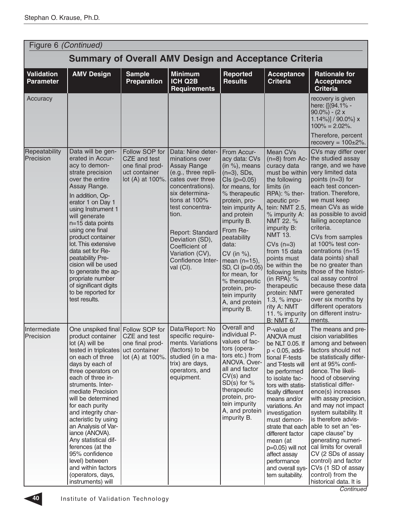| Figure 6 (Continued)                  |                                                                                                                                                                                                                                                                                                                                                                                                                                                                                                                                |                                                                                        |                                                                                                                                                                                                                                                                                                |                                                                                                                                                                                                                                                                                                                                                                                              |                                                                                                                                                                                                                                                                                                                                                                                                                  |                                                                                                                                                                                                                                                                                                                                                                                                                                                                                                                                           |
|---------------------------------------|--------------------------------------------------------------------------------------------------------------------------------------------------------------------------------------------------------------------------------------------------------------------------------------------------------------------------------------------------------------------------------------------------------------------------------------------------------------------------------------------------------------------------------|----------------------------------------------------------------------------------------|------------------------------------------------------------------------------------------------------------------------------------------------------------------------------------------------------------------------------------------------------------------------------------------------|----------------------------------------------------------------------------------------------------------------------------------------------------------------------------------------------------------------------------------------------------------------------------------------------------------------------------------------------------------------------------------------------|------------------------------------------------------------------------------------------------------------------------------------------------------------------------------------------------------------------------------------------------------------------------------------------------------------------------------------------------------------------------------------------------------------------|-------------------------------------------------------------------------------------------------------------------------------------------------------------------------------------------------------------------------------------------------------------------------------------------------------------------------------------------------------------------------------------------------------------------------------------------------------------------------------------------------------------------------------------------|
|                                       |                                                                                                                                                                                                                                                                                                                                                                                                                                                                                                                                |                                                                                        | <b>Summary of Overall AMV Design and Acceptance Criteria</b>                                                                                                                                                                                                                                   |                                                                                                                                                                                                                                                                                                                                                                                              |                                                                                                                                                                                                                                                                                                                                                                                                                  |                                                                                                                                                                                                                                                                                                                                                                                                                                                                                                                                           |
| <b>Validation</b><br><b>Parameter</b> | <b>AMV Design</b>                                                                                                                                                                                                                                                                                                                                                                                                                                                                                                              | <b>Sample</b><br><b>Preparation</b>                                                    | <b>Minimum</b><br>ICH Q2B<br><b>Requirements</b>                                                                                                                                                                                                                                               | <b>Reported</b><br><b>Results</b>                                                                                                                                                                                                                                                                                                                                                            | <b>Acceptance</b><br><b>Criteria</b>                                                                                                                                                                                                                                                                                                                                                                             | <b>Rationale for</b><br><b>Acceptance</b><br><b>Criteria</b>                                                                                                                                                                                                                                                                                                                                                                                                                                                                              |
| Accuracy                              |                                                                                                                                                                                                                                                                                                                                                                                                                                                                                                                                |                                                                                        |                                                                                                                                                                                                                                                                                                |                                                                                                                                                                                                                                                                                                                                                                                              |                                                                                                                                                                                                                                                                                                                                                                                                                  | recovery is given<br>here: {[(94.1% -<br>$90.0\%$ ) - (2 x<br>1.14%)] / $90.0\%$ } x<br>$100\% = 2.02\%$ .<br>Therefore, percent                                                                                                                                                                                                                                                                                                                                                                                                          |
|                                       |                                                                                                                                                                                                                                                                                                                                                                                                                                                                                                                                |                                                                                        |                                                                                                                                                                                                                                                                                                |                                                                                                                                                                                                                                                                                                                                                                                              |                                                                                                                                                                                                                                                                                                                                                                                                                  | recovery = $100\pm2\%$ .                                                                                                                                                                                                                                                                                                                                                                                                                                                                                                                  |
| Repeatability<br>Precision            | Data will be gen-<br>erated in Accur-<br>acy to demon-<br>strate precision<br>over the entire<br>Assay Range.<br>In addition, Op-<br>erator 1 on Day 1<br>using Instrument 1<br>will generate<br>n=15 data points<br>using one final<br>product container<br>lot. This extensive<br>data set for Re-<br>peatability Pre-<br>cision will be used<br>to generate the ap-<br>propriate number<br>of significant digits<br>to be reported for<br>test results.                                                                     | Follow SOP for<br>CZE and test<br>one final prod-<br>uct container<br>lot (A) at 100%. | Data: Nine deter-<br>minations over<br>Assay Range<br>(e.g., three repli-<br>cates over three<br>concentrations).<br>six determina-<br>tions at 100%<br>test concentra-<br>tion.<br>Report: Standard<br>Deviation (SD),<br>Coefficient of<br>Variation (CV),<br>Confidence Inter-<br>val (CI). | From Accur-<br>acy data: CVs<br>(in $\%$ ), means<br>$(n=3)$ , SDs,<br>$Cls$ ( $p=0.05$ )<br>for means, for<br>% therapeutic<br>protein, pro-<br>tein impurity A,<br>and protein<br>impurity B.<br>From Re-<br>peatability<br>data:<br>CV (in %),<br>mean $(n=15)$ ,<br>SD, CI (p=0.05)<br>for mean, for<br>% therapeutic<br>protein, pro-<br>tein impurity<br>A, and protein<br>impurity B. | Mean CVs<br>$(n=8)$ from Ac-<br>curacy data<br>must be within<br>the following<br>limits (in<br>RPA): % ther-<br>apeutic pro-<br>tein: NMT 2.5,<br>% impurity A:<br>NMT 22. %<br>impurity B:<br><b>NMT 13.</b><br>$CVs(n=3)$<br>from 15 data<br>points must<br>be within the<br>following limits<br>(in RPA): $%$<br>therapeutic<br>protein: NMT<br>1.3, % impu-<br>rity A: NMT<br>11. % impurity<br>B: NMT 6.7. | CVs may differ over<br>the studied assay<br>range, and we have<br>very limited data<br>points (n=3) for<br>each test concen-<br>tration. Therefore,<br>we must keep<br>mean CVs as wide<br>as possible to avoid<br>failing acceptance<br>criteria.<br>CVs from samples<br>at 100% test con-<br>centrations (n=15<br>data points) shall<br>be no greater than<br>those of the histori-<br>cal assay control<br>because these data<br>were generated<br>over six months by<br>different operators<br>on different instru-<br>ments.         |
| Intermediate<br>Precision             | One unspiked final Follow SOP for Data/Report: No<br>product container<br>lot (A) will be<br>tested in triplicates<br>on each of three<br>days by each of<br>three operators on<br>each of three in-<br>struments. Inter-<br>mediate Precision<br>will be determined<br>for each purity<br>and integrity char-<br>acteristic by using<br>an Analysis of Var-<br>iance (ANOVA).<br>Any statistical dif-<br>ferences (at the<br>95% confidence<br>level) between<br>and within factors<br>(operators, days,<br>instruments) will | CZE and test<br>one final prod-<br>uct container<br>lot (A) at 100%.                   | specific require-<br>ments. Variations<br>(factors) to be<br>studied (in a ma-<br>trix) are days,<br>operators, and<br>equipment.                                                                                                                                                              | Overall and<br>individual P-<br>values of fac-<br>tors (opera-<br>tors etc.) from<br>ANOVA. Over-<br>all and factor<br>$CV(s)$ and<br>$SD(s)$ for %<br>therapeutic<br>protein, pro-<br>tein impurity<br>A, and protein<br>impurity B.                                                                                                                                                        | P-value of<br><b>ANOVA must</b><br>be NLT 0.05. If<br>$p < 0.05$ , addi-<br>tional F-tests<br>and T-tests will<br>be performed<br>to isolate fac-<br>tors with statis-<br>tically different<br>means and/or<br>variations. An<br>investigation<br>must demon-<br>strate that each<br>different factor<br>mean (at<br>p=0.05) will not<br>affect assay<br>performance<br>and overall sys-<br>tem suitability.     | The means and pre-<br>cision variabilities<br>among and between<br>factors should not<br>be statistically differ-<br>ent at 95% confi-<br>dence. The likeli-<br>hood of observing<br>statistical differ-<br>ence(s) increases<br>with assay precision,<br>and may not impact<br>system suitability. It<br>is therefore advis-<br>able to set an "es-<br>cape clause" by<br>generating numeri-<br>cal limits for overall<br>CV (2 SDs of assay<br>control) and factor<br>CVs (1 SD of assay<br>control) from the<br>historical data. It is |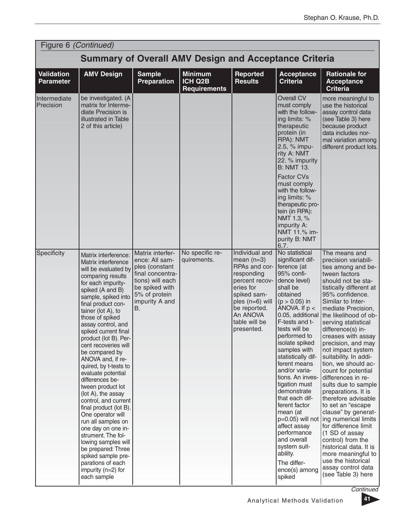|                                       | Figure 6 (Continued)                                                                                                                                                                                                                                                                                                                                                                                                                                                                                                                                                                                                                                                                                                                              |                                                                                                                                                                |                                                  |                                                                                                                                                                                             |                                                                                                                                                                                                                                                                                                                                                                                                                                                                                                                                      |                                                                                                                                                                                                                                                                                                                                                                                                                                                                                                                                                                                                                                                                                                                                                                                 |  |
|---------------------------------------|---------------------------------------------------------------------------------------------------------------------------------------------------------------------------------------------------------------------------------------------------------------------------------------------------------------------------------------------------------------------------------------------------------------------------------------------------------------------------------------------------------------------------------------------------------------------------------------------------------------------------------------------------------------------------------------------------------------------------------------------------|----------------------------------------------------------------------------------------------------------------------------------------------------------------|--------------------------------------------------|---------------------------------------------------------------------------------------------------------------------------------------------------------------------------------------------|--------------------------------------------------------------------------------------------------------------------------------------------------------------------------------------------------------------------------------------------------------------------------------------------------------------------------------------------------------------------------------------------------------------------------------------------------------------------------------------------------------------------------------------|---------------------------------------------------------------------------------------------------------------------------------------------------------------------------------------------------------------------------------------------------------------------------------------------------------------------------------------------------------------------------------------------------------------------------------------------------------------------------------------------------------------------------------------------------------------------------------------------------------------------------------------------------------------------------------------------------------------------------------------------------------------------------------|--|
|                                       | <b>Summary of Overall AMV Design and Acceptance Criteria</b>                                                                                                                                                                                                                                                                                                                                                                                                                                                                                                                                                                                                                                                                                      |                                                                                                                                                                |                                                  |                                                                                                                                                                                             |                                                                                                                                                                                                                                                                                                                                                                                                                                                                                                                                      |                                                                                                                                                                                                                                                                                                                                                                                                                                                                                                                                                                                                                                                                                                                                                                                 |  |
| <b>Validation</b><br><b>Parameter</b> | <b>AMV Design</b>                                                                                                                                                                                                                                                                                                                                                                                                                                                                                                                                                                                                                                                                                                                                 | <b>Sample</b><br><b>Preparation</b>                                                                                                                            | <b>Minimum</b><br>ICH Q2B<br><b>Requirements</b> | Reported<br><b>Results</b>                                                                                                                                                                  | <b>Acceptance</b><br><b>Criteria</b>                                                                                                                                                                                                                                                                                                                                                                                                                                                                                                 | <b>Rationale for</b><br><b>Acceptance</b><br><b>Criteria</b>                                                                                                                                                                                                                                                                                                                                                                                                                                                                                                                                                                                                                                                                                                                    |  |
| Intermediate<br>Precision             | be investigated. (A<br>matrix for Interme-<br>diate Precision is<br>illustrated in Table<br>2 of this article)                                                                                                                                                                                                                                                                                                                                                                                                                                                                                                                                                                                                                                    |                                                                                                                                                                |                                                  |                                                                                                                                                                                             | Overall CV<br>must comply<br>with the follow-<br>ing limits: %<br>therapeutic<br>protein (in<br>RPA): NMT<br>2.5, % impu-<br>rity A: NMT<br>22. % impurity<br><b>B: NMT 13.</b>                                                                                                                                                                                                                                                                                                                                                      | more meaningful to<br>use the historical<br>assay control data<br>(see Table 3) here<br>because product<br>data includes nor-<br>mal variation among<br>different product lots.                                                                                                                                                                                                                                                                                                                                                                                                                                                                                                                                                                                                 |  |
|                                       |                                                                                                                                                                                                                                                                                                                                                                                                                                                                                                                                                                                                                                                                                                                                                   |                                                                                                                                                                |                                                  |                                                                                                                                                                                             | <b>Factor CVs</b><br>must comply<br>with the follow-<br>ing limits: %<br>therapeutic pro-<br>tein (in RPA):<br>NMT 1.3, %<br>impurity A:<br>NMT 11.% im-<br>purity B: NMT<br>6.7.                                                                                                                                                                                                                                                                                                                                                    |                                                                                                                                                                                                                                                                                                                                                                                                                                                                                                                                                                                                                                                                                                                                                                                 |  |
| Specificity                           | Matrix interference:<br>Matrix interference<br>will be evaluated by<br>comparing results<br>for each impurity-<br>spiked (A and B)<br>sample, spiked into<br>final product con-<br>tainer (lot A), to<br>those of spiked<br>assay control, and<br>spiked current final<br>product (lot B). Per-<br>cent recoveries will<br>be compared by<br>ANOVA and, if re-<br>quired, by t-tests to<br>evaluate potential<br>differences be-<br>tween product lot<br>(lot A), the assay<br>control, and current<br>final product (lot B).<br>One operator will<br>run all samples on<br>one day on one in-<br>strument. The fol-<br>lowing samples will<br>be prepared: Three<br>spiked sample pre-<br>parations of each<br>impurity (n=2) for<br>each sample | Matrix interfer-<br>ence: All sam-<br>ples (constant<br>final concentra-<br>tions) will each<br>be spiked with<br>5% of protein<br>impurity A and<br><b>B.</b> | No specific re-<br>quirements.                   | Individual and<br>mean $(n=3)$<br>RPAs and cor-<br>responding<br>percent recov-<br>eries for<br>spiked sam-<br>ples $(n=6)$ will<br>be reported.<br>An ANOVA<br>table will be<br>presented. | No statistical<br>significant dif-<br>ference (at<br>95% confi-<br>dence level)<br>shall be<br>obtained<br>$(p > 0.05)$ in<br>ANOVA. If $p <$<br>0.05, additional<br>F-tests and t-<br>tests will be<br>pertormed to<br>isolate spiked<br>samples with<br>statistically dif-<br>ferent means<br>and/or varia-<br>tions. An inves-<br>tigation must<br>demonstrate<br>that each dif-<br>ferent factor<br>mean (at<br>affect assay<br>performance<br>and overall<br>system suit-<br>ability.<br>The differ-<br>ence(s) among<br>spiked | The means and<br>precision variabili-<br>ties among and be-<br>tween factors<br>should not be sta-<br>tistically different at<br>95% confidence.<br>Similar to Inter-<br>mediate Precision,<br>the likelihood of ob-<br>serving statistical<br>difference(s) in-<br>creases with assay<br>precision, and may<br>not impact system<br>suitability. In addi-<br>tion, we should ac-<br>count for potential<br>differences in re-<br>sults due to sample<br>preparations. It is<br>therefore advisable<br>to set an "escape<br>clause" by generat-<br>$p=0.05$ ) will not $\log$ numerical limits<br>for difference limit<br>(1 SD of assay<br>control) from the<br>historical data. It is<br>more meaningful to<br>use the historical<br>assay control data<br>(see Table 3) here |  |

**Continued** 

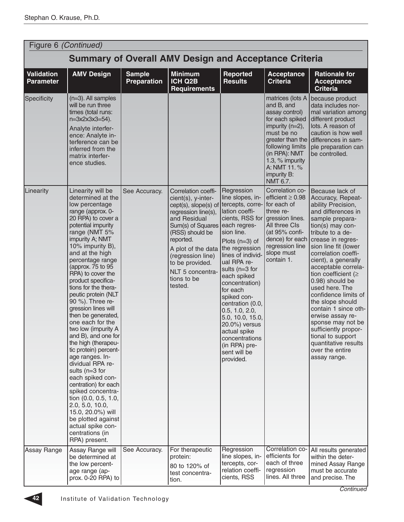|                                       | Figure 6 (Continued)                                                                                                                                                                                                                                                                                                                                                                                                                                                                                                                                                                                                                                                                                                                                                                                |                                     |                                                                                                                                                                                                                                                                           |                                                                                                                                                                                                                                                                                                                                                                                                                                          |                                                                                                                                                                                                        |                                                                                                                                                                                                                                                                                                                                                                                                                                                                                                                                                      |  |
|---------------------------------------|-----------------------------------------------------------------------------------------------------------------------------------------------------------------------------------------------------------------------------------------------------------------------------------------------------------------------------------------------------------------------------------------------------------------------------------------------------------------------------------------------------------------------------------------------------------------------------------------------------------------------------------------------------------------------------------------------------------------------------------------------------------------------------------------------------|-------------------------------------|---------------------------------------------------------------------------------------------------------------------------------------------------------------------------------------------------------------------------------------------------------------------------|------------------------------------------------------------------------------------------------------------------------------------------------------------------------------------------------------------------------------------------------------------------------------------------------------------------------------------------------------------------------------------------------------------------------------------------|--------------------------------------------------------------------------------------------------------------------------------------------------------------------------------------------------------|------------------------------------------------------------------------------------------------------------------------------------------------------------------------------------------------------------------------------------------------------------------------------------------------------------------------------------------------------------------------------------------------------------------------------------------------------------------------------------------------------------------------------------------------------|--|
|                                       |                                                                                                                                                                                                                                                                                                                                                                                                                                                                                                                                                                                                                                                                                                                                                                                                     |                                     | <b>Summary of Overall AMV Design and Acceptance Criteria</b>                                                                                                                                                                                                              |                                                                                                                                                                                                                                                                                                                                                                                                                                          |                                                                                                                                                                                                        |                                                                                                                                                                                                                                                                                                                                                                                                                                                                                                                                                      |  |
| <b>Validation</b><br><b>Parameter</b> | <b>AMV Design</b>                                                                                                                                                                                                                                                                                                                                                                                                                                                                                                                                                                                                                                                                                                                                                                                   | <b>Sample</b><br><b>Preparation</b> | <b>Minimum</b><br>ICH Q2B<br><b>Requirements</b>                                                                                                                                                                                                                          | <b>Reported</b><br><b>Results</b>                                                                                                                                                                                                                                                                                                                                                                                                        | <b>Acceptance</b><br><b>Criteria</b>                                                                                                                                                                   | <b>Rationale for</b><br><b>Acceptance</b><br><b>Criteria</b>                                                                                                                                                                                                                                                                                                                                                                                                                                                                                         |  |
| Specificity                           | $(n=3)$ . All samples<br>will be run three<br>times (total runs:<br>n=3x2x3x3=54).<br>Analyte interfer-<br>ence: Analyte in-<br>terference can be<br>inferred from the<br>matrix interfer-<br>ence studies.                                                                                                                                                                                                                                                                                                                                                                                                                                                                                                                                                                                         |                                     |                                                                                                                                                                                                                                                                           |                                                                                                                                                                                                                                                                                                                                                                                                                                          | matrices (lots A<br>and B, and<br>assay control)<br>for each spiked<br>impurity (n=2),<br>must be no<br>following limits<br>(in RPA): NMT<br>1.3, % impurity<br>A: NMT 11.%<br>impurity B:<br>NMT 6.7. | because product<br>data includes nor-<br>mal variation among<br>different product<br>lots. A reason of<br>caution is how well<br>greater than the differences in sam-<br>ple preparation can<br>be controlled.                                                                                                                                                                                                                                                                                                                                       |  |
| Linearity                             | Linearity will be<br>determined at the<br>low percentage<br>range (approx. 0-<br>20 RPA) to cover a<br>potential impurity<br>range (NMT 5%<br>impurity A; NMT<br>10% impurity B),<br>and at the high<br>percentage range<br>(approx. 75 to 95<br>RPA) to cover the<br>product specifica-<br>tions for the thera-<br>peutic protein (NLT<br>90 %). Three re-<br>gression lines will<br>then be generated,<br>one each for the<br>two low (impurity A<br>and B), and one for<br>the high (therapeu-<br>tic protein) percent-<br>age ranges. In-<br>dividual RPA re-<br>sults (n=3 for<br>each spiked con-<br>centration) for each<br>spiked concentra-<br>tion (0.0, 0.5, 1.0,<br>2.0, 5.0, 10.0,<br>15.0, 20.0%) will<br>be plotted against<br>actual spike con-<br>centrations (in<br>RPA) present. | See Accuracy.                       | Correlation coeffi-<br>cient(s), y-inter-<br>cept(s), slope(s) of<br>regression line(s),<br>and Residual<br>Sum(s) of Squares<br>(RSS) should be<br>reported.<br>A plot of the data<br>(regression line)<br>to be provided.<br>NLT 5 concentra-<br>tions to be<br>tested. | Regression<br>line slopes, in-<br>tercepts, corre-<br>lation coeffi-<br>cients, RSS for<br>each regres-<br>sion line.<br>Plots $(n=3)$ of<br>the regression<br>lines of individ-<br>ual RPA re-<br>sults (n=3 for<br>each spiked<br>concentration)<br>for each<br>spiked con-<br>centration (0.0,<br>0.5, 1.0, 2.0,<br>5.0, 10.0, 15.0,<br>20.0%) versus<br>actual spike<br>concentrations<br>(in RPA) pre-<br>sent will be<br>provided. | Correlation co-<br>efficient $\geq 0.98$<br>for each of<br>three re-<br>gression lines.<br>All three CIs<br>(at 95% confi-<br>dence) for each<br>regression line<br>slope must<br>contain 1.           | Because lack of<br>Accuracy, Repeat-<br>ability Precision,<br>and differences in<br>sample prepara-<br>tion(s) may con-<br>tribute to a de-<br>crease in regres-<br>sion line fit (lower<br>correlation coeffi-<br>cient), a generally<br>acceptable correla-<br>tion coefficient ( $\geq$<br>0.98) should be<br>used here. The<br>confidence limits of<br>the slope should<br>contain 1 since oth-<br>erwise assay re-<br>sponse may not be<br>sufficiently propor-<br>tional to support<br>quantitative results<br>over the entire<br>assay range. |  |
| Assay Range                           | Assay Range will<br>be determined at<br>the low percent-<br>age range (ap-<br>prox. 0-20 RPA) to                                                                                                                                                                                                                                                                                                                                                                                                                                                                                                                                                                                                                                                                                                    | See Accuracy.                       | For therapeutic<br>protein:<br>80 to 120% of<br>test concentra-<br>tion.                                                                                                                                                                                                  | Regression<br>line slopes, in-<br>tercepts, cor-<br>relation coeffi-<br>cients, RSS                                                                                                                                                                                                                                                                                                                                                      | Correlation co-<br>efficients for<br>each of three<br>regression<br>lines. All three                                                                                                                   | All results generated<br>within the deter-<br>mined Assay Range<br>must be accurate<br>and precise. The                                                                                                                                                                                                                                                                                                                                                                                                                                              |  |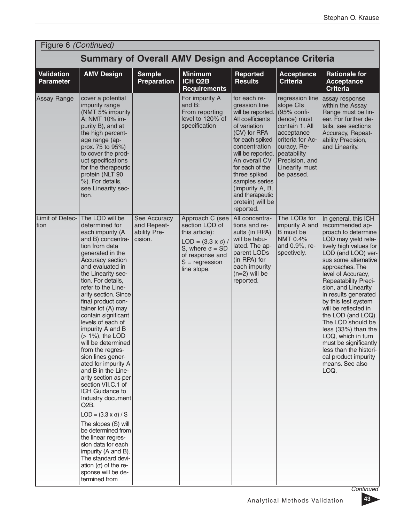|                                       | Figure 6 (Continued)                                                                                                                                                                                                                                                                                                                                                                                                                                                                                                                                                                                                                                                                                                                                                                                                                            |                                                        |                                                                                                                                                                      |                                                                                                                                                                                                                                                                                                              |                                                                                                                                                                             |                                                                                                                                                                                                                                                                                                                                                                                                                                                                                                                                   |  |
|---------------------------------------|-------------------------------------------------------------------------------------------------------------------------------------------------------------------------------------------------------------------------------------------------------------------------------------------------------------------------------------------------------------------------------------------------------------------------------------------------------------------------------------------------------------------------------------------------------------------------------------------------------------------------------------------------------------------------------------------------------------------------------------------------------------------------------------------------------------------------------------------------|--------------------------------------------------------|----------------------------------------------------------------------------------------------------------------------------------------------------------------------|--------------------------------------------------------------------------------------------------------------------------------------------------------------------------------------------------------------------------------------------------------------------------------------------------------------|-----------------------------------------------------------------------------------------------------------------------------------------------------------------------------|-----------------------------------------------------------------------------------------------------------------------------------------------------------------------------------------------------------------------------------------------------------------------------------------------------------------------------------------------------------------------------------------------------------------------------------------------------------------------------------------------------------------------------------|--|
|                                       | <b>Summary of Overall AMV Design and Acceptance Criteria</b>                                                                                                                                                                                                                                                                                                                                                                                                                                                                                                                                                                                                                                                                                                                                                                                    |                                                        |                                                                                                                                                                      |                                                                                                                                                                                                                                                                                                              |                                                                                                                                                                             |                                                                                                                                                                                                                                                                                                                                                                                                                                                                                                                                   |  |
| <b>Validation</b><br><b>Parameter</b> | <b>AMV Design</b>                                                                                                                                                                                                                                                                                                                                                                                                                                                                                                                                                                                                                                                                                                                                                                                                                               | <b>Sample</b><br><b>Preparation</b>                    | <b>Minimum</b><br><b>ICH Q2B</b><br><b>Requirements</b>                                                                                                              | Reported<br><b>Results</b>                                                                                                                                                                                                                                                                                   | <b>Acceptance</b><br><b>Criteria</b>                                                                                                                                        | <b>Rationale for</b><br><b>Acceptance</b><br><b>Criteria</b>                                                                                                                                                                                                                                                                                                                                                                                                                                                                      |  |
| Assay Range                           | cover a potential<br>impurity range<br>(NMT 5% impurity<br>A; NMT 10% im-<br>purity B), and at<br>the high percent-<br>age range (ap-<br>prox. 75 to 95%)<br>to cover the prod-<br>uct specifications<br>for the therapeutic<br>protein (NLT 90<br>%). For details,<br>see Linearity sec-<br>tion.                                                                                                                                                                                                                                                                                                                                                                                                                                                                                                                                              |                                                        | For impurity A<br>and B:<br>From reporting<br>level to 120% of<br>specification                                                                                      | for each re-<br>gression line<br>will be reported.<br>All coefficients<br>of variation<br>(CV) for RPA<br>for each spiked<br>concentration<br>will be reported.<br>An overall CV<br>for each of the<br>three spiked<br>samples series<br>(impurity A, B,<br>and therapeutic<br>protein) will be<br>reported. | slope CIs<br>(95% confi-<br>dence) must<br>contain 1. All<br>acceptance<br>criteria for Ac-<br>curacy, Re-<br>peatability<br>Precision, and<br>Linearity must<br>be passed. | regression line assay response<br>within the Assay<br>Range must be lin-<br>ear. For further de-<br>tails, see sections<br>Accuracy, Repeat-<br>ability Precision,<br>and Linearity.                                                                                                                                                                                                                                                                                                                                              |  |
| Limit of Detec-<br>tion               | The LOD will be<br>determined for<br>each impurity (A<br>and B) concentra-<br>tion from data<br>generated in the<br>Accuracy section<br>and evaluated in<br>the Linearity sec-<br>tion. For details,<br>refer to the Line-<br>arity section. Since<br>final product con-<br>tainer lot (A) may<br>contain significant<br>levels of each of<br>impurity A and B<br>$($ > 1%), the LOD<br>will be determined<br>from the regres-<br>sion lines gener-<br>ated for impurity A<br>and B in the Line-<br>arity section as per<br>section VII.C.1 of<br>ICH Guidance to<br>Industry document<br>Q2B.<br>LOD = $(3.3 \times \sigma) / S$<br>The slopes (S) will<br>be determined from<br>the linear regres-<br>sion data for each<br>impurity (A and B).<br>The standard devi-<br>ation $( \sigma )$ of the re-<br>sponse will be de-<br>termined from | See Accuracy<br>and Repeat-<br>ability Pre-<br>cision. | Approach C (see<br>section LOD of<br>this article):<br>$LOD = (3.3 \times \sigma) /$<br>S, where $\sigma = SD$<br>of response and<br>$S = regression$<br>line slope. | All concentra-<br>tions and re-<br>sults (in RPA)<br>will be tabu-<br>lated. The ap-<br>parent LODs<br>(in RPA) for<br>each impurity<br>$(n=2)$ will be<br>reported.                                                                                                                                         | The LODs for<br>impurity A and<br>B must be<br>NMT 0.4%<br>and 0.9%, re-<br>spectively.                                                                                     | In general, this ICH<br>recommended ap-<br>proach to determine<br>LOD may yield rela-<br>tively high values for<br>LOD (and LOQ) ver-<br>sus some alternative<br>approaches. The<br>level of Accuracy,<br><b>Repeatability Preci-</b><br>sion, and Linearity<br>in results generated<br>by this test system<br>will be reflected in<br>the LOD (and LOQ).<br>The LOD should be<br>less (33%) than the<br>LOQ, which in turn<br>must be significantly<br>less than the histori-<br>cal product impurity<br>means. See also<br>LOQ. |  |

**Continued** 

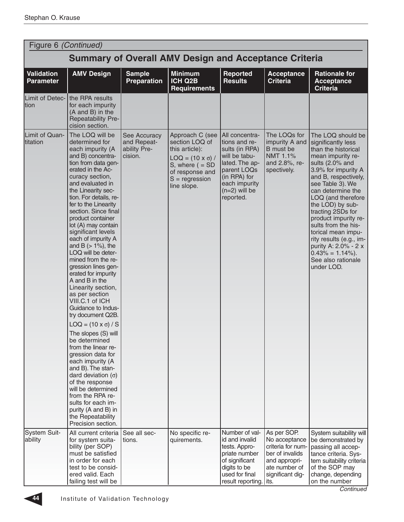|                                | Figure 6 (Continued)                                                                                                                                                                                                                                                                                                                                                                                                                                                                                                                                                                                                                                                                                                                                                                                                                                                                                   |                                                        |                                                                                                                                                                 |                                                                                                                                                                      |                                                                                                                            |                                                                                                                                                                                                                                                                                                                                                                                                                                                  |  |
|--------------------------------|--------------------------------------------------------------------------------------------------------------------------------------------------------------------------------------------------------------------------------------------------------------------------------------------------------------------------------------------------------------------------------------------------------------------------------------------------------------------------------------------------------------------------------------------------------------------------------------------------------------------------------------------------------------------------------------------------------------------------------------------------------------------------------------------------------------------------------------------------------------------------------------------------------|--------------------------------------------------------|-----------------------------------------------------------------------------------------------------------------------------------------------------------------|----------------------------------------------------------------------------------------------------------------------------------------------------------------------|----------------------------------------------------------------------------------------------------------------------------|--------------------------------------------------------------------------------------------------------------------------------------------------------------------------------------------------------------------------------------------------------------------------------------------------------------------------------------------------------------------------------------------------------------------------------------------------|--|
|                                | <b>Summary of Overall AMV Design and Acceptance Criteria</b>                                                                                                                                                                                                                                                                                                                                                                                                                                                                                                                                                                                                                                                                                                                                                                                                                                           |                                                        |                                                                                                                                                                 |                                                                                                                                                                      |                                                                                                                            |                                                                                                                                                                                                                                                                                                                                                                                                                                                  |  |
| Validation<br><b>Parameter</b> | <b>AMV Design</b>                                                                                                                                                                                                                                                                                                                                                                                                                                                                                                                                                                                                                                                                                                                                                                                                                                                                                      | <b>Sample</b><br><b>Preparation</b>                    | <b>Minimum</b><br>ICH Q2B<br><b>Requirements</b>                                                                                                                | Reported<br><b>Results</b>                                                                                                                                           | <b>Acceptance</b><br><b>Criteria</b>                                                                                       | <b>Rationale for</b><br><b>Acceptance</b><br><b>Criteria</b>                                                                                                                                                                                                                                                                                                                                                                                     |  |
| Limit of Detec-<br>Ition       | the RPA results<br>for each impurity<br>(A and B) in the<br>Repeatability Pre-<br>cision section.                                                                                                                                                                                                                                                                                                                                                                                                                                                                                                                                                                                                                                                                                                                                                                                                      |                                                        |                                                                                                                                                                 |                                                                                                                                                                      |                                                                                                                            |                                                                                                                                                                                                                                                                                                                                                                                                                                                  |  |
| Limit of Quan-<br>titation     | The LOQ will be<br>determined for<br>each impurity (A<br>and B) concentra-<br>tion from data gen-<br>erated in the Ac-<br>curacy section,<br>and evaluated in<br>the Linearity sec-<br>tion. For details, re-<br>fer to the Linearity<br>section. Since final<br>product container<br>lot (A) may contain<br>significant levels<br>each of impurity A<br>and B $(> 1\%)$ , the<br>LOQ will be deter-<br>mined from the re-<br>gression lines gen-<br>erated for impurity<br>A and B in the<br>Linearity section,<br>as per section<br>VIII.C.1 of ICH<br>Guidance to Indus-<br>try document Q2B.<br>$LOQ = (10 \times \sigma) / S$<br>The slopes (S) will<br>be determined<br>from the linear re-<br>gression data for<br>each impurity (A<br>and B). The stan-<br>dard deviation $(\sigma)$<br>of the response<br>will be determined<br>from the RPA re-<br>sults for each im-<br>purity (A and B) in | See Accuracy<br>and Repeat-<br>ability Pre-<br>cision. | Approach C (see<br>section LOQ of<br>this article):<br>$LOQ = (10 \times \sigma) /$<br>S, where $( = SD)$<br>of response and<br>$S = regression$<br>line slope. | All concentra-<br>tions and re-<br>sults (in RPA)<br>will be tabu-<br>lated. The ap-<br>parent LOQs<br>(in RPA) for<br>each impurity<br>$(n=2)$ will be<br>reported. | The LOQs for<br>impurity A and<br>B must be<br>NMT 1.1%<br>and 2.8%, re-<br>spectively.                                    | The LOQ should be<br>significantly less<br>than the historical<br>mean impurity re-<br>sults (2.0% and<br>3.9% for impurity A<br>and B, respectively,<br>see Table 3). We<br>can determine the<br>LOQ (and therefore<br>the LOD) by sub-<br>tracting 2SDs for<br>product impurity re-<br>sults from the his-<br>torical mean impu-<br>rity results (e.g., im-<br>purity A: 2.0% - 2 x<br>$0.43\% = 1.14\%).$<br>See also rationale<br>under LOD. |  |
| System Suit-<br>ability        | the Repeatability<br>Precision section.<br>All current criteria<br>for system suita-<br>bility (per SOP)<br>must be satisfied<br>in order for each<br>test to be consid-<br>ered valid. Each                                                                                                                                                                                                                                                                                                                                                                                                                                                                                                                                                                                                                                                                                                           | See all sec-<br>tions.                                 | No specific re-<br>quirements.                                                                                                                                  | Number of val-<br>id and invalid<br>tests. Appro-<br>priate number<br>of significant<br>digits to be<br>used for final                                               | As per SOP.<br>No acceptance<br>criteria for num-<br>ber of invalids<br>and appropri-<br>ate number of<br>significant dig- | System suitability will<br>be demonstrated by<br>passing all accep-<br>tance criteria. Sys-<br>tem suitability criteria<br>of the SOP may<br>change, depending                                                                                                                                                                                                                                                                                   |  |
|                                | failing test will be                                                                                                                                                                                                                                                                                                                                                                                                                                                                                                                                                                                                                                                                                                                                                                                                                                                                                   |                                                        |                                                                                                                                                                 | result reporting. its.                                                                                                                                               |                                                                                                                            | on the number                                                                                                                                                                                                                                                                                                                                                                                                                                    |  |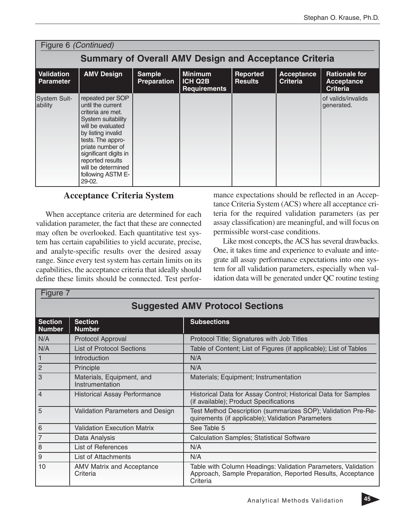|                                | Figure 6 (Continued)                                                                                                                                                                                                                                                     |                              |                                                         |                            |                                      |                                                       |
|--------------------------------|--------------------------------------------------------------------------------------------------------------------------------------------------------------------------------------------------------------------------------------------------------------------------|------------------------------|---------------------------------------------------------|----------------------------|--------------------------------------|-------------------------------------------------------|
|                                | <b>Summary of Overall AMV Design and Acceptance Criteria</b>                                                                                                                                                                                                             |                              |                                                         |                            |                                      |                                                       |
| Validation<br><b>Parameter</b> | <b>AMV Design</b>                                                                                                                                                                                                                                                        | <b>Sample</b><br>Preparation | <b>Minimum</b><br><b>ICH Q2B</b><br><b>Requirements</b> | Reported<br><b>Results</b> | <b>Acceptance</b><br><b>Criteria</b> | <b>Rationale for</b><br>Acceptance<br><b>Criteria</b> |
| <b>System Suit-</b><br>ability | repeated per SOP<br>until the current<br>criteria are met.<br>System suitability<br>will be evaluated<br>by listing invalid<br>tests. The appro-<br>priate number of<br>significant digits in<br>reported results<br>will be determined<br>following ASTM E-<br>$29-02.$ |                              |                                                         |                            |                                      | of valids/invalids<br>generated.                      |

# **Acceptance Criteria System**

When acceptance criteria are determined for each validation parameter, the fact that these are connected may often be overlooked. Each quantitative test system has certain capabilities to yield accurate, precise, and analyte-specific results over the desired assay range. Since every test system has certain limits on its capabilities, the acceptance criteria that ideally should define these limits should be connected. Test perfor-

 $Fig. 7$ 

mance expectations should be reflected in an Acceptance Criteria System (ACS) where all acceptance criteria for the required validation parameters (as per assay classification) are meaningful, and will focus on permissible worst-case conditions.

Like most concepts, the ACS has several drawbacks. One, it takes time and experience to evaluate and integrate all assay performance expectations into one system for all validation parameters, especially when validation data will be generated under QC routine testing

|                                 | $1$ iguit i                                  |                                                                                                                                         |  |  |  |  |  |
|---------------------------------|----------------------------------------------|-----------------------------------------------------------------------------------------------------------------------------------------|--|--|--|--|--|
|                                 | <b>Suggested AMV Protocol Sections</b>       |                                                                                                                                         |  |  |  |  |  |
| <b>Section</b><br><b>Number</b> | <b>Section</b><br><b>Number</b>              | <b>Subsections</b>                                                                                                                      |  |  |  |  |  |
| N/A                             | Protocol Approval                            | Protocol Title; Signatures with Job Titles                                                                                              |  |  |  |  |  |
| N/A                             | <b>List of Protocol Sections</b>             | Table of Content; List of Figures (if applicable); List of Tables                                                                       |  |  |  |  |  |
| $\mathbf{1}$                    | Introduction                                 | N/A                                                                                                                                     |  |  |  |  |  |
| $\overline{c}$                  | Principle                                    | N/A                                                                                                                                     |  |  |  |  |  |
| 3                               | Materials, Equipment, and<br>Instrumentation | Materials; Equipment; Instrumentation                                                                                                   |  |  |  |  |  |
| $\overline{4}$                  | <b>Historical Assay Performance</b>          | Historical Data for Assay Control; Historical Data for Samples<br>(if available); Product Specifications                                |  |  |  |  |  |
| 5                               | Validation Parameters and Design             | Test Method Description (summarizes SOP); Validation Pre-Re-<br>quirements (if applicable); Validation Parameters                       |  |  |  |  |  |
| 6                               | <b>Validation Execution Matrix</b>           | See Table 5                                                                                                                             |  |  |  |  |  |
| 7                               | Data Analysis                                | <b>Calculation Samples; Statistical Software</b>                                                                                        |  |  |  |  |  |
| 8                               | List of References                           | N/A                                                                                                                                     |  |  |  |  |  |
| 9                               | List of Attachments                          | N/A                                                                                                                                     |  |  |  |  |  |
| 10                              | <b>AMV Matrix and Acceptance</b><br>Criteria | Table with Column Headings: Validation Parameters, Validation<br>Approach, Sample Preparation, Reported Results, Acceptance<br>Criteria |  |  |  |  |  |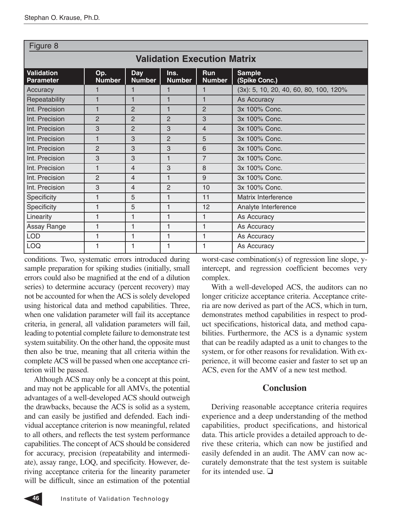| Figure 8                              |                                                                                                                                               |                |                |                |                                        |  |  |
|---------------------------------------|-----------------------------------------------------------------------------------------------------------------------------------------------|----------------|----------------|----------------|----------------------------------------|--|--|
| <b>Validation Execution Matrix</b>    |                                                                                                                                               |                |                |                |                                        |  |  |
| <b>Validation</b><br><b>Parameter</b> | <b>Sample</b><br><b>Run</b><br>Op.<br><b>Day</b><br>Ins.<br><b>Number</b><br><b>Number</b><br>(Spike Conc.)<br><b>Number</b><br><b>Number</b> |                |                |                |                                        |  |  |
| Accuracy                              | 1                                                                                                                                             |                |                |                | (3x): 5, 10, 20, 40, 60, 80, 100, 120% |  |  |
| Repeatability                         | 1                                                                                                                                             | 1              | 1              | 1              | As Accuracy                            |  |  |
| Int. Precision                        | 1                                                                                                                                             | $\overline{2}$ | 1              | $\overline{2}$ | 3x 100% Conc.                          |  |  |
| Int. Precision                        | $\overline{2}$                                                                                                                                | $\overline{2}$ | $\overline{2}$ | 3              | 3x 100% Conc.                          |  |  |
| Int. Precision                        | 3                                                                                                                                             | $\overline{2}$ | 3              | $\overline{4}$ | 3x 100% Conc.                          |  |  |
| Int. Precision                        | $\mathbf{1}$                                                                                                                                  | 3              | $\overline{2}$ | 5              | 3x 100% Conc.                          |  |  |
| Int. Precision                        | $\overline{2}$                                                                                                                                | 3              | 3              | 6              | 3x 100% Conc.                          |  |  |
| Int. Precision                        | 3                                                                                                                                             | 3              | 1              | $\overline{7}$ | 3x 100% Conc.                          |  |  |
| Int. Precision                        | 1                                                                                                                                             | 4              | 3              | 8              | 3x 100% Conc.                          |  |  |
| Int. Precision                        | $\overline{2}$                                                                                                                                | $\overline{4}$ | 1              | 9              | 3x 100% Conc.                          |  |  |
| Int. Precision                        | 3                                                                                                                                             | $\overline{4}$ | $\mathbf{P}$   | 10             | 3x 100% Conc.                          |  |  |
| Specificity                           | 1                                                                                                                                             | 5              | 1              | 11             | Matrix Interference                    |  |  |
| Specificity                           | 1                                                                                                                                             | 5              | 1              | 12             | Analyte Interference                   |  |  |
| Linearity                             | 1                                                                                                                                             | 1              | 1              | 1              | As Accuracy                            |  |  |
| Assay Range                           | 1                                                                                                                                             | 1              | 1              | 1              | As Accuracy                            |  |  |
| <b>LOD</b>                            | 1                                                                                                                                             | 1              | 1              | 1              | As Accuracy                            |  |  |
| <b>LOQ</b>                            | 1                                                                                                                                             | 1              | 1              | 1              | As Accuracy                            |  |  |

conditions. Two, systematic errors introduced during sample preparation for spiking studies (initially, small errors could also be magnified at the end of a dilution series) to determine accuracy (percent recovery) may not be accounted for when the ACS is solely developed using historical data and method capabilities. Three, when one validation parameter will fail its acceptance criteria, in general, all validation parameters will fail, leading to potential complete failure to demonstrate test system suitability. On the other hand, the opposite must then also be true, meaning that all criteria within the complete ACS will be passed when one acceptance criterion will be passed.

Although ACS may only be a concept at this point, and may not be applicable for all AMVs, the potential advantages of a well-developed ACS should outweigh the drawbacks, because the ACS is solid as a system, and can easily be justified and defended. Each individual acceptance criterion is now meaningful, related to all others, and reflects the test system performance capabilities. The concept of ACS should be considered for accuracy, precision (repeatability and intermediate), assay range, LOQ, and specificity. However, deriving acceptance criteria for the linearity parameter will be difficult, since an estimation of the potential

complex. With a well-developed ACS, the auditors can no longer criticize acceptance criteria. Acceptance crite-

ria are now derived as part of the ACS, which in turn, demonstrates method capabilities in respect to product specifications, historical data, and method capabilities. Furthermore, the ACS is a dynamic system that can be readily adapted as a unit to changes to the system, or for other reasons for revalidation. With experience, it will become easier and faster to set up an ACS, even for the AMV of a new test method.

worst-case combination(s) of regression line slope, yintercept, and regression coefficient becomes very

# **Conclusion**

Deriving reasonable acceptance criteria requires experience and a deep understanding of the method capabilities, product specifications, and historical data. This article provides a detailed approach to derive these criteria, which can now be justified and easily defended in an audit. The AMV can now accurately demonstrate that the test system is suitable for its intended use. ❏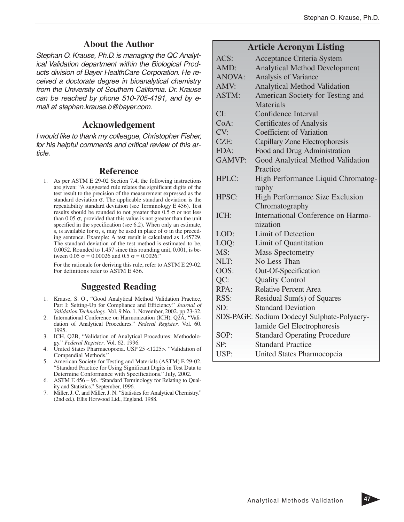#### **About the Author**

Stephan O. Krause, Ph.D. is managing the QC Analytical Validation department within the Biological Products division of Bayer HealthCare Corporation. He received a doctorate degree in bioanalytical chemistry from the University of Southern California. Dr. Krause can be reached by phone 510-705-4191, and by email at stephan.krause.b@bayer.com.

#### **Acknowledgement**

I would like to thank my colleague, Christopher Fisher, for his helpful comments and critical review of this article.

#### **Reference**

1. As per ASTM E 29-02 Section 7.4, the following instructions are given: "A suggested rule relates the significant digits of the test result to the precision of the measurement expressed as the standard deviation  $\sigma$ . The applicable standard deviation is the repeatability standard deviation (see Terminology E 456). Test results should be rounded to not greater than  $0.5 \sigma$  or not less than  $0.05 \sigma$ , provided that this value is not greater than the unit specified in the specification (see 6.2). When only an estimate, s, is available for  $\sigma$ , s, may be used in place of  $\sigma$  in the preceding sentence. Example: A test result is calculated as 1.45729. The standard deviation of the test method is estimated to be, 0.0052. Rounded to 1.457 since this rounding unit, 0.001, is between  $0.05 \sigma = 0.00026$  and  $0.5 \sigma = 0.0026$ .

For the rationale for deriving this rule, refer to ASTM E 29-02. For definitions refer to ASTM E 456.

## **Suggested Reading**

- 1. Krause, S. O., "Good Analytical Method Validation Practice, Part I: Setting-Up for Compliance and Efficiency." *Journal of Validation Technology*. Vol. 9 No. 1. November, 2002. pp 23-32.
- 2. International Conference on Harmonization (ICH), Q2A, "Validation of Analytical Procedures." *Federal Register*. Vol. 60. 1995.
- 3. ICH, Q2B, "Validation of Analytical Procedures: Methodology." *Federal Register*. Vol. 62. 1996.
- 4. United States Pharmacopoeia. USP 25 <1225>. "Validation of Compendial Methods."
- 5. American Society for Testing and Materials (ASTM) E 29-02. "Standard Practice for Using Significant Digits in Test Data to Determine Conformance with Specifications." July, 2002.
- 6. ASTM E 456 96. "Standard Terminology for Relating to Quality and Statistics." September, 1996.
- 7. Miller, J. C. and Miller, J. N. "Statistics for Analytical Chemistry." (2nd ed.). Ellis Horwood Ltd., England. 1988.

# **Article Acronym Listing**

| ACS:          | <b>Acceptance Criteria System</b>           |
|---------------|---------------------------------------------|
| AMD:          | <b>Analytical Method Development</b>        |
| <b>ANOVA:</b> | <b>Analysis of Variance</b>                 |
| AMV:          | <b>Analytical Method Validation</b>         |
| ASTM:         | American Society for Testing and            |
|               | Materials                                   |
| CI:           | Confidence Interval                         |
| CoA:          | <b>Certificates of Analysis</b>             |
| CV:           | <b>Coefficient of Variation</b>             |
| CZE:          | Capillary Zone Electrophoresis              |
| FDA:          | Food and Drug Administration                |
| <b>GAMVP:</b> | Good Analytical Method Validation           |
|               | Practice                                    |
| HPLC:         | High Performance Liquid Chromatog-          |
|               | raphy                                       |
| HPSC:         | <b>High Performance Size Exclusion</b>      |
|               | Chromatography                              |
| ICH:          | International Conference on Harmo-          |
|               | nization                                    |
| LOD:          | <b>Limit of Detection</b>                   |
| LOQ:          | Limit of Quantitation                       |
| MS:           | <b>Mass Spectometry</b>                     |
| NLT:          | No Less Than                                |
| OOS:          | Out-Of-Specification                        |
| QC:           | <b>Quality Control</b>                      |
| RPA:          | <b>Relative Percent Area</b>                |
| RSS:          | Residual Sum(s) of Squares                  |
| SD:           | <b>Standard Deviation</b>                   |
|               | SDS-PAGE: Sodium Dodecyl Sulphate-Polyacry- |
|               | lamide Gel Electrophoresis                  |
| SOP:          | <b>Standard Operating Procedure</b>         |
| SP:           | <b>Standard Practice</b>                    |
| USP:          | United States Pharmocopeia                  |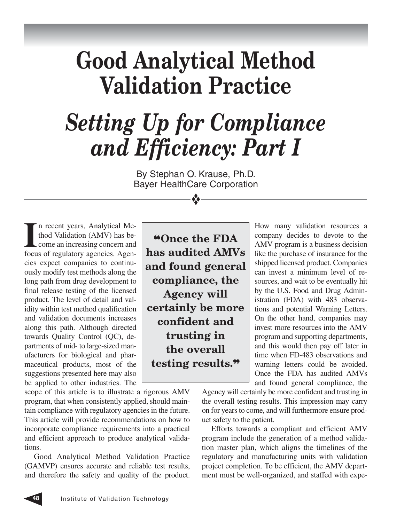# **Good Analytical Method Validation Practice**

# *Setting Up for Compliance and Efficiency: Part I*

By Stephan O. Krause, Ph.D. Bayer HealthCare Corporation

❖

In recent years, Analytical Method Validation (AMV) has become an increasing concern and focus of regulatory agencies. Agenn recent years, Analytical Method Validation (AMV) has become an increasing concern and cies expect companies to continuously modify test methods along the long path from drug development to final release testing of the licensed product. The level of detail and validity within test method qualification and validation documents increases along this path. Although directed towards Quality Control (QC), departments of mid- to large-sized manufacturers for biological and pharmaceutical products, most of the suggestions presented here may also be applied to other industries. The

scope of this article is to illustrate a rigorous AMV program, that when consistently applied, should maintain compliance with regulatory agencies in the future. This article will provide recommendations on how to incorporate compliance requirements into a practical and efficient approach to produce analytical validations.

Good Analytical Method Validation Practice (GAMVP) ensures accurate and reliable test results, and therefore the safety and quality of the product.

❝**Once the FDA has audited AMVs and found general compliance, the Agency will certainly be more confident and trusting in the overall testing results.**❞

How many validation resources a company decides to devote to the AMV program is a business decision like the purchase of insurance for the shipped licensed product. Companies can invest a minimum level of resources, and wait to be eventually hit by the U.S. Food and Drug Administration (FDA) with 483 observations and potential Warning Letters. On the other hand, companies may invest more resources into the AMV program and supporting departments, and this would then pay off later in time when FD-483 observations and warning letters could be avoided. Once the FDA has audited AMVs and found general compliance, the

Agency will certainly be more confident and trusting in the overall testing results. This impression may carry on for years to come, and will furthermore ensure product safety to the patient.

Efforts towards a compliant and efficient AMV program include the generation of a method validation master plan, which aligns the timelines of the regulatory and manufacturing units with validation project completion. To be efficient, the AMV department must be well-organized, and staffed with expe-

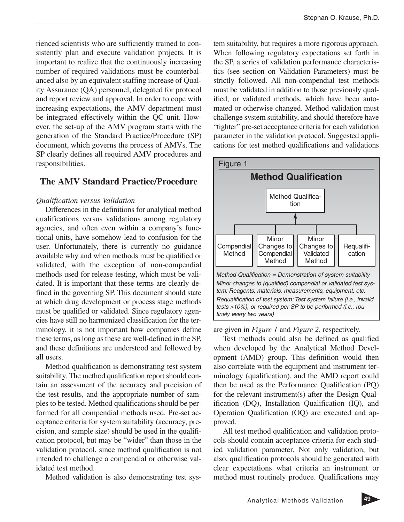rienced scientists who are sufficiently trained to consistently plan and execute validation projects. It is important to realize that the continuously increasing number of required validations must be counterbalanced also by an equivalent staffing increase of Quality Assurance (QA) personnel, delegated for protocol and report review and approval. In order to cope with increasing expectations, the AMV department must be integrated effectively within the QC unit. However, the set-up of the AMV program starts with the generation of the Standard Practice/Procedure (SP) document, which governs the process of AMVs. The SP clearly defines all required AMV procedures and responsibilities.

# **The AMV Standard Practice/Procedure**

#### *Qualification versus Validation*

Differences in the definitions for analytical method qualifications versus validations among regulatory agencies, and often even within a company's functional units, have somehow lead to confusion for the user. Unfortunately, there is currently no guidance available why and when methods must be qualified or validated, with the exception of non-compendial methods used for release testing, which must be validated. It is important that these terms are clearly defined in the governing SP. This document should state at which drug development or process stage methods must be qualified or validated. Since regulatory agencies have still no harmonized classification for the terminology, it is not important how companies define these terms, as long as these are well-defined in the SP, and these definitions are understood and followed by all users.

Method qualification is demonstrating test system suitability. The method qualification report should contain an assessment of the accuracy and precision of the test results, and the appropriate number of samples to be tested. Method qualifications should be performed for all compendial methods used. Pre-set acceptance criteria for system suitability (accuracy, precision, and sample size) should be used in the qualification protocol, but may be "wider" than those in the validation protocol, since method qualification is not intended to challenge a compendial or otherwise validated test method.

Method validation is also demonstrating test sys-

tem suitability, but requires a more rigorous approach. When following regulatory expectations set forth in the SP, a series of validation performance characteristics (see section on Validation Parameters) must be strictly followed. All non-compendial test methods must be validated in addition to those previously qualified, or validated methods, which have been automated or otherwise changed. Method validation must challenge system suitability, and should therefore have "tighter" pre-set acceptance criteria for each validation parameter in the validation protocol. Suggested applications for test method qualifications and validations



are given in *Figure 1* and *Figure 2*, respectively.

Test methods could also be defined as qualified when developed by the Analytical Method Development (AMD) group. This definition would then also correlate with the equipment and instrument terminology (qualification), and the AMD report could then be used as the Performance Qualification (PQ) for the relevant instrument(s) after the Design Qualification (DQ), Installation Qualification (IQ), and Operation Qualification (OQ) are executed and approved.

All test method qualification and validation protocols should contain acceptance criteria for each studied validation parameter. Not only validation, but also, qualification protocols should be generated with clear expectations what criteria an instrument or method must routinely produce. Qualifications may

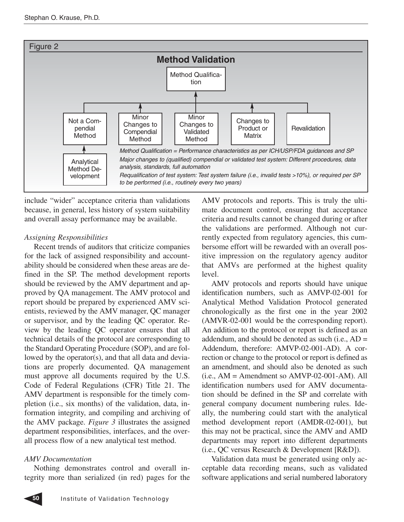

include "wider" acceptance criteria than validations because, in general, less history of system suitability and overall assay performance may be available.

#### *Assigning Responsibilities*

Recent trends of auditors that criticize companies for the lack of assigned responsibility and accountability should be considered when these areas are defined in the SP. The method development reports should be reviewed by the AMV department and approved by QA management. The AMV protocol and report should be prepared by experienced AMV scientists, reviewed by the AMV manager, QC manager or supervisor, and by the leading QC operator. Review by the leading QC operator ensures that all technical details of the protocol are corresponding to the Standard Operating Procedure (SOP), and are followed by the operator(s), and that all data and deviations are properly documented. QA management must approve all documents required by the U.S. Code of Federal Regulations (CFR) Title 21. The AMV department is responsible for the timely completion (i.e., six months) of the validation, data, information integrity, and compiling and archiving of the AMV package. *Figure 3* illustrates the assigned department responsibilities, interfaces, and the overall process flow of a new analytical test method.

## *AMV Documentation*

Nothing demonstrates control and overall integrity more than serialized (in red) pages for the AMV protocols and reports. This is truly the ultimate document control, ensuring that acceptance criteria and results cannot be changed during or after the validations are performed. Although not currently expected from regulatory agencies, this cumbersome effort will be rewarded with an overall positive impression on the regulatory agency auditor that AMVs are performed at the highest quality level.

AMV protocols and reports should have unique identification numbers, such as AMVP-02-001 for Analytical Method Validation Protocol generated chronologically as the first one in the year 2002 (AMVR-02-001 would be the corresponding report). An addition to the protocol or report is defined as an addendum, and should be denoted as such (i.e., AD = Addendum, therefore: AMVP-02-001-AD). A correction or change to the protocol or report is defined as an amendment, and should also be denoted as such  $(i.e., AM = Amendment so AMVP-02-001-AM). All$ identification numbers used for AMV documentation should be defined in the SP and correlate with general company document numbering rules. Ideally, the numbering could start with the analytical method development report (AMDR-02-001), but this may not be practical, since the AMV and AMD departments may report into different departments (i.e., QC versus Research & Development [R&D]).

Validation data must be generated using only acceptable data recording means, such as validated software applications and serial numbered laboratory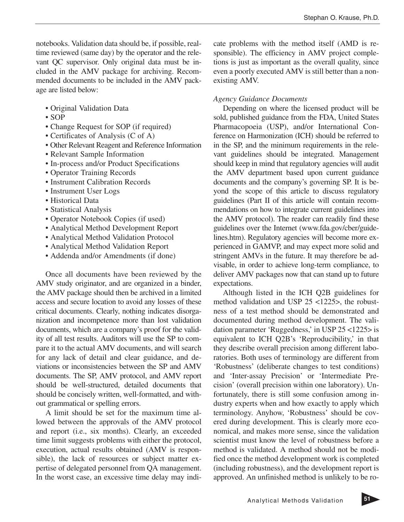notebooks. Validation data should be, if possible, realtime reviewed (same day) by the operator and the relevant QC supervisor. Only original data must be included in the AMV package for archiving. Recommended documents to be included in the AMV package are listed below:

- Original Validation Data
- SOP
- Change Request for SOP (if required)
- Certificates of Analysis (C of A)
- Other Relevant Reagent and Reference Information
- Relevant Sample Information
- In-process and/or Product Specifications
- Operator Training Records
- Instrument Calibration Records
- Instrument User Logs
- Historical Data
- Statistical Analysis
- Operator Notebook Copies (if used)
- Analytical Method Development Report
- Analytical Method Validation Protocol
- Analytical Method Validation Report
- Addenda and/or Amendments (if done)

Once all documents have been reviewed by the AMV study originator, and are organized in a binder, the AMV package should then be archived in a limited access and secure location to avoid any losses of these critical documents. Clearly, nothing indicates disorganization and incompetence more than lost validation documents, which are a company's proof for the validity of all test results. Auditors will use the SP to compare it to the actual AMV documents, and will search for any lack of detail and clear guidance, and deviations or inconsistencies between the SP and AMV documents. The SP, AMV protocol, and AMV report should be well-structured, detailed documents that should be concisely written, well-formatted, and without grammatical or spelling errors.

A limit should be set for the maximum time allowed between the approvals of the AMV protocol and report (i.e., six months). Clearly, an exceeded time limit suggests problems with either the protocol, execution, actual results obtained (AMV is responsible), the lack of resources or subject matter expertise of delegated personnel from QA management. In the worst case, an excessive time delay may indi-

cate problems with the method itself (AMD is responsible). The efficiency in AMV project completions is just as important as the overall quality, since even a poorly executed AMV is still better than a nonexisting AMV.

#### *Agency Guidance Documents*

Depending on where the licensed product will be sold, published guidance from the FDA, United States Pharmacopoeia (USP), and/or International Conference on Harmonization (ICH) should be referred to in the SP, and the minimum requirements in the relevant guidelines should be integrated. Management should keep in mind that regulatory agencies will audit the AMV department based upon current guidance documents and the company's governing SP. It is beyond the scope of this article to discuss regulatory guidelines (Part II of this article will contain recommendations on how to integrate current guidelines into the AMV protocol). The reader can readily find these guidelines over the Internet (www.fda.gov/cber/guidelines.htm). Regulatory agencies will become more experienced in GAMVP, and may expect more solid and stringent AMVs in the future. It may therefore be advisable, in order to achieve long-term compliance, to deliver AMV packages now that can stand up to future expectations.

Although listed in the ICH Q2B guidelines for method validation and USP 25 <1225>, the robustness of a test method should be demonstrated and documented during method development. The validation parameter 'Ruggedness,' in USP 25 <1225> is equivalent to ICH Q2B's 'Reproducibility,' in that they describe overall precision among different laboratories. Both uses of terminology are different from 'Robustness' (deliberate changes to test conditions) and 'Inter-assay Precision' or 'Intermediate Precision' (overall precision within one laboratory). Unfortunately, there is still some confusion among industry experts when and how exactly to apply which terminology. Anyhow, 'Robustness' should be covered during development. This is clearly more economical, and makes more sense, since the validation scientist must know the level of robustness before a method is validated. A method should not be modified once the method development work is completed (including robustness), and the development report is approved. An unfinished method is unlikely to be ro-

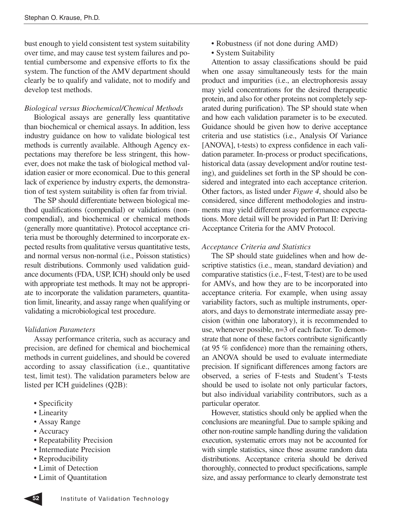bust enough to yield consistent test system suitability over time, and may cause test system failures and potential cumbersome and expensive efforts to fix the system. The function of the AMV department should clearly be to qualify and validate, not to modify and develop test methods.

#### *Biological versus Biochemical/Chemical Methods*

Biological assays are generally less quantitative than biochemical or chemical assays. In addition, less industry guidance on how to validate biological test methods is currently available. Although Agency expectations may therefore be less stringent, this however, does not make the task of biological method validation easier or more economical. Due to this general lack of experience by industry experts, the demonstration of test system suitability is often far from trivial.

The SP should differentiate between biological method qualifications (compendial) or validations (noncompendial), and biochemical or chemical methods (generally more quantitative). Protocol acceptance criteria must be thoroughly determined to incorporate expected results from qualitative versus quantitative tests, and normal versus non-normal (i.e., Poisson statistics) result distributions. Commonly used validation guidance documents (FDA, USP, ICH) should only be used with appropriate test methods. It may not be appropriate to incorporate the validation parameters, quantitation limit, linearity, and assay range when qualifying or validating a microbiological test procedure.

#### *Validation Parameters*

Assay performance criteria, such as accuracy and precision, are defined for chemical and biochemical methods in current guidelines, and should be covered according to assay classification (i.e., quantitative test, limit test). The validation parameters below are listed per ICH guidelines (Q2B):

- Specificity
- Linearity
- Assay Range
- Accuracy
- Repeatability Precision
- Intermediate Precision
- Reproducibility
- Limit of Detection
- Limit of Quantitation
- Robustness (if not done during AMD)
- System Suitability

Attention to assay classifications should be paid when one assay simultaneously tests for the main product and impurities (i.e., an electrophoresis assay may yield concentrations for the desired therapeutic protein, and also for other proteins not completely separated during purification). The SP should state when and how each validation parameter is to be executed. Guidance should be given how to derive acceptance criteria and use statistics (i.e., Analysis Of Variance [ANOVA], t-tests) to express confidence in each validation parameter. In-process or product specifications, historical data (assay development and/or routine testing), and guidelines set forth in the SP should be considered and integrated into each acceptance criterion. Other factors, as listed under *Figure 4*, should also be considered, since different methodologies and instruments may yield different assay performance expectations. More detail will be provided in Part II: Deriving Acceptance Criteria for the AMV Protocol.

#### *Acceptance Criteria and Statistics*

The SP should state guidelines when and how descriptive statistics (i.e., mean, standard deviation) and comparative statistics (i.e., F-test, T-test) are to be used for AMVs, and how they are to be incorporated into acceptance criteria. For example, when using assay variability factors, such as multiple instruments, operators, and days to demonstrate intermediate assay precision (within one laboratory), it is recommended to use, whenever possible, n=3 of each factor. To demonstrate that none of these factors contribute significantly (at 95 % confidence) more than the remaining others, an ANOVA should be used to evaluate intermediate precision. If significant differences among factors are observed, a series of F-tests and Student's T-tests should be used to isolate not only particular factors, but also individual variability contributors, such as a particular operator.

However, statistics should only be applied when the conclusions are meaningful. Due to sample spiking and other non-routine sample handling during the validation execution, systematic errors may not be accounted for with simple statistics, since those assume random data distributions. Acceptance criteria should be derived thoroughly, connected to product specifications, sample size, and assay performance to clearly demonstrate test

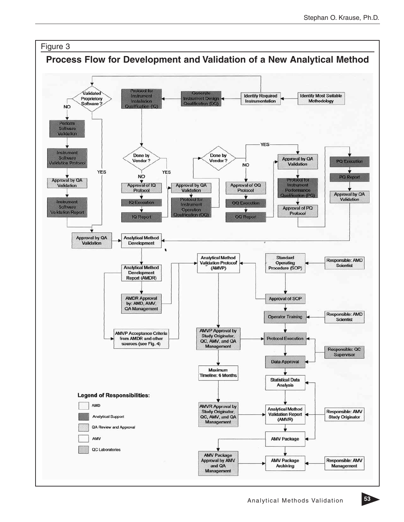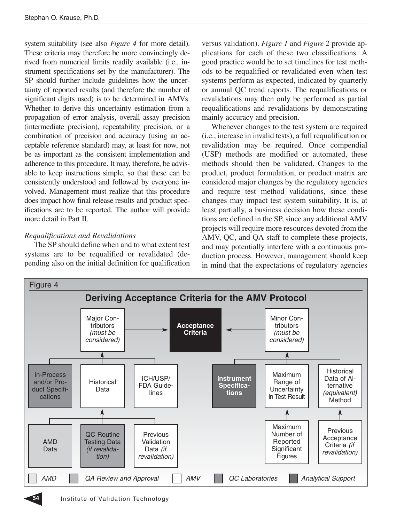system suitability (see also *Figure 4* for more detail). These criteria may therefore be more convincingly derived from numerical limits readily available (i.e., instrument specifications set by the manufacturer). The SP should further include guidelines how the uncertainty of reported results (and therefore the number of significant digits used) is to be determined in AMVs. Whether to derive this uncertainty estimation from a propagation of error analysis, overall assay precision (intermediate precision), repeatability precision, or a combination of precision and accuracy (using an acceptable reference standard) may, at least for now, not be as important as the consistent implementation and adherence to this procedure. It may, therefore, be advisable to keep instructions simple, so that these can be consistently understood and followed by everyone involved. Management must realize that this procedure does impact how final release results and product specifications are to be reported. The author will provide more detail in Part II.

## *Requalifications and Revalidations*

The SP should define when and to what extent test systems are to be requalified or revalidated (depending also on the initial definition for qualification versus validation). *Figure 1* and *Figure 2* provide applications for each of these two classifications. A good practice would be to set timelines for test methods to be requalified or revalidated even when test systems perform as expected, indicated by quarterly or annual QC trend reports. The requalifications or revalidations may then only be performed as partial requalifications and revalidations by demonstrating mainly accuracy and precision.

Whenever changes to the test system are required (i.e., increase in invalid tests), a full requalification or revalidation may be required. Once compendial (USP) methods are modified or automated, these methods should then be validated. Changes to the product, product formulation, or product matrix are considered major changes by the regulatory agencies and require test method validations, since these changes may impact test system suitability. It is, at least partially, a business decision how these conditions are defined in the SP, since any additional AMV projects will require more resources devoted from the AMV, QC, and QA staff to complete these projects, and may potentially interfere with a continuous production process. However, management should keep in mind that the expectations of regulatory agencies

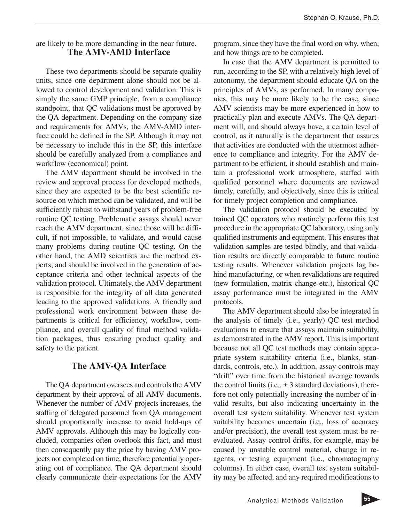## are likely to be more demanding in the near future. **The AMV-AMD Interface**

These two departments should be separate quality units, since one department alone should not be allowed to control development and validation. This is simply the same GMP principle, from a compliance standpoint, that QC validations must be approved by the QA department. Depending on the company size and requirements for AMVs, the AMV-AMD interface could be defined in the SP. Although it may not be necessary to include this in the SP, this interface should be carefully analyzed from a compliance and workflow (economical) point.

The AMV department should be involved in the review and approval process for developed methods, since they are expected to be the best scientific resource on which method can be validated, and will be sufficiently robust to withstand years of problem-free routine QC testing. Problematic assays should never reach the AMV department, since those will be difficult, if not impossible, to validate, and would cause many problems during routine QC testing. On the other hand, the AMD scientists are the method experts, and should be involved in the generation of acceptance criteria and other technical aspects of the validation protocol. Ultimately, the AMV department is responsible for the integrity of all data generated leading to the approved validations. A friendly and professional work environment between these departments is critical for efficiency, workflow, compliance, and overall quality of final method validation packages, thus ensuring product quality and safety to the patient.

# **The AMV-QA Interface**

The QA department oversees and controls the AMV department by their approval of all AMV documents. Whenever the number of AMV projects increases, the staffing of delegated personnel from QA management should proportionally increase to avoid hold-ups of AMV approvals. Although this may be logically concluded, companies often overlook this fact, and must then consequently pay the price by having AMV projects not completed on time; therefore potentially operating out of compliance. The QA department should clearly communicate their expectations for the AMV

program, since they have the final word on why, when, and how things are to be completed.

In case that the AMV department is permitted to run, according to the SP, with a relatively high level of autonomy, the department should educate QA on the principles of AMVs, as performed. In many companies, this may be more likely to be the case, since AMV scientists may be more experienced in how to practically plan and execute AMVs. The QA department will, and should always have, a certain level of control, as it naturally is the department that assures that activities are conducted with the uttermost adherence to compliance and integrity. For the AMV department to be efficient, it should establish and maintain a professional work atmosphere, staffed with qualified personnel where documents are reviewed timely, carefully, and objectively, since this is critical for timely project completion and compliance.

The validation protocol should be executed by trained QC operators who routinely perform this test procedure in the appropriate QC laboratory, using only qualified instruments and equipment. This ensures that validation samples are tested blindly, and that validation results are directly comparable to future routine testing results. Whenever validation projects lag behind manufacturing, or when revalidations are required (new formulation, matrix change etc.), historical QC assay performance must be integrated in the AMV protocols.

The AMV department should also be integrated in the analysis of timely (i.e., yearly) QC test method evaluations to ensure that assays maintain suitability, as demonstrated in the AMV report. This is important because not all QC test methods may contain appropriate system suitability criteria (i.e., blanks, standards, controls, etc.). In addition, assay controls may "drift" over time from the historical average towards the control limits (i.e.,  $\pm 3$  standard deviations), therefore not only potentially increasing the number of invalid results, but also indicating uncertainty in the overall test system suitability. Whenever test system suitability becomes uncertain (i.e., loss of accuracy and/or precision), the overall test system must be reevaluated. Assay control drifts, for example, may be caused by unstable control material, change in reagents, or testing equipment (i.e., chromatography columns). In either case, overall test system suitability may be affected, and any required modifications to

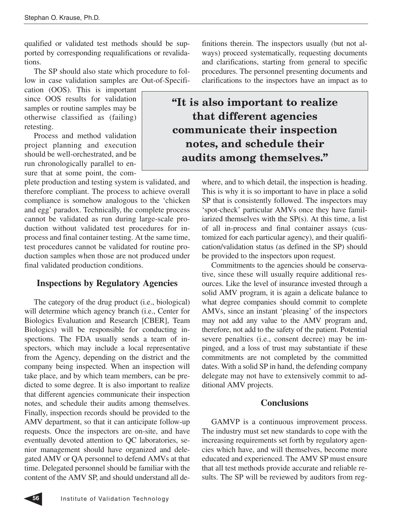qualified or validated test methods should be supported by corresponding requalifications or revalidations.

The SP should also state which procedure to follow in case validation samples are Out-of-Specifi-

cation (OOS). This is important since OOS results for validation samples or routine samples may be otherwise classified as (failing) retesting.

Process and method validation project planning and execution should be well-orchestrated, and be run chronologically parallel to ensure that at some point, the com-

plete production and testing system is validated, and therefore compliant. The process to achieve overall compliance is somehow analogous to the 'chicken and egg' paradox. Technically, the complete process cannot be validated as run during large-scale production without validated test procedures for inprocess and final container testing. At the same time, test procedures cannot be validated for routine production samples when those are not produced under final validated production conditions.

## **Inspections by Regulatory Agencies**

The category of the drug product (i.e., biological) will determine which agency branch (i.e., Center for Biologics Evaluation and Research [CBER], Team Biologics) will be responsible for conducting inspections. The FDA usually sends a team of inspectors, which may include a local representative from the Agency, depending on the district and the company being inspected. When an inspection will take place, and by which team members, can be predicted to some degree. It is also important to realize that different agencies communicate their inspection notes, and schedule their audits among themselves. Finally, inspection records should be provided to the AMV department, so that it can anticipate follow-up requests. Once the inspectors are on-site, and have eventually devoted attention to QC laboratories, senior management should have organized and delegated AMV or QA personnel to defend AMVs at that time. Delegated personnel should be familiar with the content of the AMV SP, and should understand all definitions therein. The inspectors usually (but not always) proceed systematically, requesting documents and clarifications, starting from general to specific procedures. The personnel presenting documents and clarifications to the inspectors have an impact as to

# **"It is also important to realize that different agencies communicate their inspection notes, and schedule their audits among themselves."**

where, and to which detail, the inspection is heading. This is why it is so important to have in place a solid SP that is consistently followed. The inspectors may 'spot-check' particular AMVs once they have familiarized themselves with the SP(s). At this time, a list of all in-process and final container assays (customized for each particular agency), and their qualification/validation status (as defined in the SP) should be provided to the inspectors upon request.

Commitments to the agencies should be conservative, since these will usually require additional resources. Like the level of insurance invested through a solid AMV program, it is again a delicate balance to what degree companies should commit to complete AMVs, since an instant 'pleasing' of the inspectors may not add any value to the AMV program and, therefore, not add to the safety of the patient. Potential severe penalties (i.e., consent decree) may be impinged, and a loss of trust may substantiate if these commitments are not completed by the committed dates. With a solid SP in hand, the defending company delegate may not have to extensively commit to additional AMV projects.

# **Conclusions**

GAMVP is a continuous improvement process. The industry must set new standards to cope with the increasing requirements set forth by regulatory agencies which have, and will themselves, become more educated and experienced. The AMV SP must ensure that all test methods provide accurate and reliable results. The SP will be reviewed by auditors from reg-

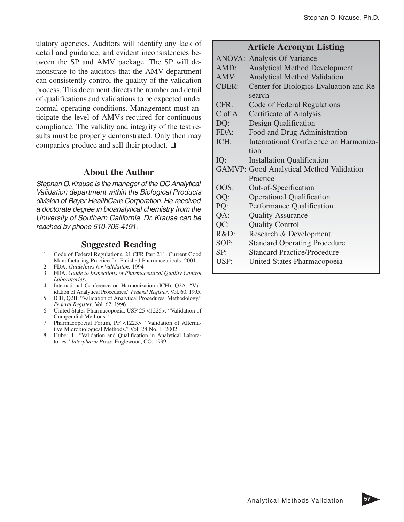ulatory agencies. Auditors will identify any lack of detail and guidance, and evident inconsistencies between the SP and AMV package. The SP will demonstrate to the auditors that the AMV department can consistently control the quality of the validation process. This document directs the number and detail of qualifications and validations to be expected under normal operating conditions. Management must anticipate the level of AMVs required for continuous compliance. The validity and integrity of the test results must be properly demonstrated. Only then may companies produce and sell their product. ❏

### **About the Author**

Stephan O.Krause is the manager of the QC Analytical Validation department within the Biological Products division of Bayer HealthCare Corporation. He received a doctorate degree in bioanalytical chemistry from the University of Southern California. Dr. Krause can be reached by phone 510-705-4191.

# **Suggested Reading**

- 1. Code of Federal Regulations, 21 CFR Part 211. Current Good Manufacturing Practice for Finished Pharmaceuticals. 2001
- 2. FDA. *Guidelines for Validation*. 1994
- 3. FDA. *Guide to Inspections of Pharmaceutical Quality Control Laboratories*.
- 4. International Conference on Harmonization (ICH), Q2A. "Validation of Analytical Procedures." *Federal Register*. Vol. 60. 1995.
- 5. ICH, Q2B, "Validation of Analytical Procedures: Methodology." *Federal Register*. Vol. 62. 1996.
- 6. United States Pharmacopoeia, USP 25 <1225>. "Validation of Compendial Methods."
- 7. Pharmacopoeial Forum, PF <1223>. "Validation of Alternative Microbiological Methods." Vol. 28 No. 1. 2002.
- 8. Huber, L. "Validation and Qualification in Analytical Laboratories." *Interpharm Press.* Englewood, CO. 1999.

# **Article Acronym Listing**

|              | <b>ANOVA: Analysis Of Variance</b>              |
|--------------|-------------------------------------------------|
| AMD:         | <b>Analytical Method Development</b>            |
| AMV:         | <b>Analytical Method Validation</b>             |
| <b>CBER:</b> | Center for Biologics Evaluation and Re-         |
|              | search                                          |
| CFR:         | Code of Federal Regulations                     |
| $C$ of A:    | Certificate of Analysis                         |
| DQ:          | Design Qualification                            |
| FDA:         | Food and Drug Administration                    |
| ICH:         | International Conference on Harmoniza-          |
|              | tion                                            |
| IQ:          | <b>Installation Qualification</b>               |
|              | <b>GAMVP: Good Analytical Method Validation</b> |
|              | Practice                                        |
| OOS:         | Out-of-Specification                            |
| OQ:          | <b>Operational Qualification</b>                |
| PQ:          | Performance Qualification                       |
| QA:          | <b>Quality Assurance</b>                        |
| QC:          | <b>Quality Control</b>                          |
| R&D:         | Research & Development                          |
| SOP:         | <b>Standard Operating Procedure</b>             |
| SP:          | <b>Standard Practice/Procedure</b>              |
| USP:         | United States Pharmacopoeia                     |
|              |                                                 |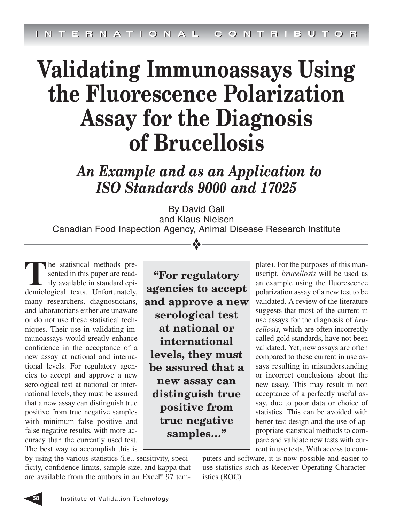# **Validating Immunoassays Using the Fluorescence Polarization Assay for the Diagnosis of Brucellosis**

*An Example and as an Application to ISO Standards 9000 and 17025*

By David Gall and Klaus Nielsen Canadian Food Inspection Agency, Animal Disease Research Institute

❖

**T**he statistical methods presented in this paper are readily available in standard epidemiological texts. Unfortunately, many researchers, diagnosticians, and laboratorians either are unaware or do not use these statistical techniques. Their use in validating immunoassays would greatly enhance confidence in the acceptance of a new assay at national and international levels. For regulatory agencies to accept and approve a new serological test at national or international levels, they must be assured that a new assay can distinguish true positive from true negative samples with minimum false positive and false negative results, with more accuracy than the currently used test. The best way to accomplish this is

**"For regulatory agencies to accept and approve a new serological test at national or international levels, they must be assured that a new assay can distinguish true positive from true negative samples…"**

plate). For the purposes of this manuscript, *brucellosis* will be used as an example using the fluorescence polarization assay of a new test to be validated. A review of the literature suggests that most of the current in use assays for the diagnosis of *brucellosis*, which are often incorrectly called gold standards, have not been validated. Yet, new assays are often compared to these current in use assays resulting in misunderstanding or incorrect conclusions about the new assay. This may result in non acceptance of a perfectly useful assay, due to poor data or choice of statistics. This can be avoided with better test design and the use of appropriate statistical methods to compare and validate new tests with current in use tests. With access to com-

by using the various statistics (i.e., sensitivity, specificity, confidence limits, sample size, and kappa that are available from the authors in an Excel® 97 tem-

puters and software, it is now possible and easier to use statistics such as Receiver Operating Characteristics (ROC).

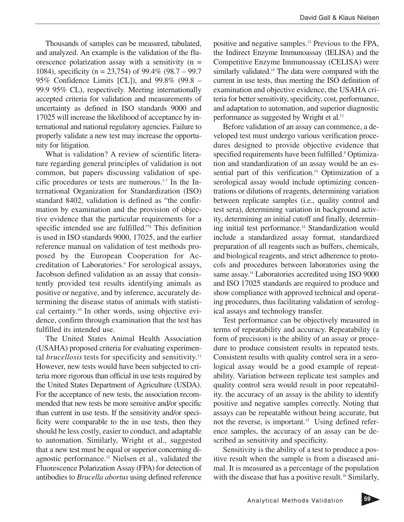Thousands of samples can be measured, tabulated, and analyzed. An example is the validation of the fluorescence polarization assay with a sensitivity  $(n =$ 1084), specificity (n = 23,754) of 99.4% (98.7 – 99.7 95% Confidence Limits [CL]), and 99.8% (99.8 – 99.9 95% CL), respectively. Meeting internationally accepted criteria for validation and measurements of uncertainty as defined in ISO standards 9000 and 17025 will increase the likelihood of acceptance by international and national regulatory agencies. Failure to properly validate a new test may increase the opportunity for litigation.

What is validation? A review of scientific literature regarding general principles of validation is not common, but papers discussing validation of specific procedures or tests are numerous. $1-7$  In the International Organization for Standardization (ISO) standard 8402, validation is defined as "the confirmation by examination and the provision of objective evidence that the particular requirements for a specific intended use are fulfilled."8 This definition is used in ISO standards 9000, 17025, and the earlier reference manual on validation of test methods proposed by the European Cooperation for Accreditation of Laboratories.<sup>9</sup> For serological assays, Jacobson defined validation as an assay that consistently provided test results identifying animals as positive or negative, and by inference, accurately determining the disease status of animals with statistical certainty.<sup>10</sup> In other words, using objective evidence, confirm through examination that the test has fulfilled its intended use.

The United States Animal Health Association (USAHA) proposed criteria for evaluating experimental *brucellosis* tests for specificity and sensitivity.<sup>11</sup> However, new tests would have been subjected to criteria more rigorous than official in use tests required by the United States Department of Agriculture (USDA). For the acceptance of new tests, the association recommended that new tests be more sensitive and/or specific than current in use tests. If the sensitivity and/or specificity were comparable to the in use tests, then they should be less costly, easier to conduct, and adaptable to automation. Similarly, Wright et al., suggested that a new test must be equal or superior concerning diagnostic performance.12 Nielsen et al., validated the Fluorescence Polarization Assay (FPA) for detection of antibodies to *Brucella abortus* using defined reference

positive and negative samples.13 Previous to the FPA, the Indirect Enzyme Immunoassay (IELISA) and the Competitive Enzyme Immunoassay (CELISA) were similarly validated.<sup>14</sup> The data were compared with the current in use tests, thus meeting the ISO definition of examination and objective evidence, the USAHA criteria for better sensitivity, specificity, cost, performance, and adaptation to automation, and superior diagnostic performance as suggested by Wright et al.<sup>12</sup>

Before validation of an assay can commence, a developed test must undergo various verification procedures designed to provide objective evidence that specified requirements have been fulfilled.<sup>8</sup> Optimization and standardization of an assay would be an essential part of this verification.<sup>14</sup> Optimization of a serological assay would include optimizing concentrations or dilutions of reagents, determining variation between replicate samples (i.e., quality control and test sera), determining variation in background activity, determining an initial cutoff and finally, determining initial test performance.<sup>14</sup> Standardization would include a standardized assay format, standardized preparation of all reagents such as buffers, chemicals, and biological reagents, and strict adherence to protocols and procedures between laboratories using the same assay.<sup>14</sup> Laboratories accredited using ISO 9000 and ISO 17025 standards are required to produce and show compliance with approved technical and operating procedures, thus facilitating validation of serological assays and technology transfer.

Test performance can be objectively measured in terms of repeatability and accuracy. Repeatability (a form of precision) is the ability of an assay or procedure to produce consistent results in repeated tests. Consistent results with quality control sera in a serological assay would be a good example of repeatability. Variation between replicate test samples and quality control sera would result in poor repeatability. the accuracy of an assay is the ability to identify positive and negative samples correctly. Noting that assays can be repeatable without being accurate, but not the reverse, is important.<sup>15</sup> Using defined reference samples, the accuracy of an assay can be described as sensitivity and specificity.

Sensitivity is the ability of a test to produce a positive result when the sample is from a diseased animal. It is measured as a percentage of the population with the disease that has a positive result.<sup>16</sup> Similarly,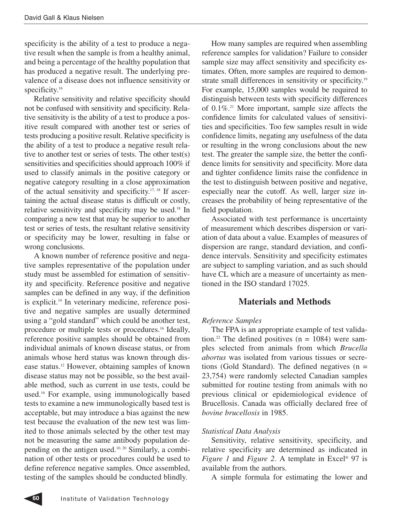specificity is the ability of a test to produce a negative result when the sample is from a healthy animal, and being a percentage of the healthy population that has produced a negative result. The underlying prevalence of a disease does not influence sensitivity or specificity.<sup>16</sup>

Relative sensitivity and relative specificity should not be confused with sensitivity and specificity. Relative sensitivity is the ability of a test to produce a positive result compared with another test or series of tests producing a positive result. Relative specificity is the ability of a test to produce a negative result relative to another test or series of tests. The other test(s) sensitivities and specificities should approach 100% if used to classify animals in the positive category or negative category resulting in a close approximation of the actual sensitivity and specificity. $17, 18$  If ascertaining the actual disease status is difficult or costly, relative sensitivity and specificity may be used.18 In comparing a new test that may be superior to another test or series of tests, the resultant relative sensitivity or specificity may be lower, resulting in false or wrong conclusions.

A known number of reference positive and negative samples representative of the population under study must be assembled for estimation of sensitivity and specificity. Reference positive and negative samples can be defined in any way, if the definition is explicit.19 In veterinary medicine, reference positive and negative samples are usually determined using a "gold standard" which could be another test, procedure or multiple tests or procedures.<sup>16</sup> Ideally, reference positive samples should be obtained from individual animals of known disease status, or from animals whose herd status was known through disease status.12 However, obtaining samples of known disease status may not be possible, so the best available method, such as current in use tests, could be used.16 For example, using immunologically based tests to examine a new immunologically based test is acceptable, but may introduce a bias against the new test because the evaluation of the new test was limited to those animals selected by the other test may not be measuring the same antibody population depending on the antigen used.10, 20 Similarly, a combination of other tests or procedures could be used to define reference negative samples. Once assembled, testing of the samples should be conducted blindly.

How many samples are required when assembling reference samples for validation? Failure to consider sample size may affect sensitivity and specificity estimates. Often, more samples are required to demonstrate small differences in sensitivity or specificity.<sup>19</sup> For example, 15,000 samples would be required to distinguish between tests with specificity differences of  $0.1\%$ .<sup>21</sup> More important, sample size affects the confidence limits for calculated values of sensitivities and specificities. Too few samples result in wide confidence limits, negating any usefulness of the data or resulting in the wrong conclusions about the new test. The greater the sample size, the better the confidence limits for sensitivity and specificity. More data and tighter confidence limits raise the confidence in the test to distinguish between positive and negative, especially near the cutoff. As well, larger size increases the probability of being representative of the field population.

Associated with test performance is uncertainty of measurement which describes dispersion or variation of data about a value. Examples of measures of dispersion are range, standard deviation, and confidence intervals. Sensitivity and specificity estimates are subject to sampling variation, and as such should have CL which are a measure of uncertainty as mentioned in the ISO standard 17025.

# **Materials and Methods**

## *Reference Samples*

The FPA is an appropriate example of test validation.<sup>22</sup> The defined positives  $(n = 1084)$  were samples selected from animals from which *Brucella abortus* was isolated from various tissues or secretions (Gold Standard). The defined negatives  $(n =$ 23,754) were randomly selected Canadian samples submitted for routine testing from animals with no previous clinical or epidemiological evidence of Brucellosis. Canada was officially declared free of *bovine brucellosis* in 1985.

## *Statistical Data Analysis*

Sensitivity, relative sensitivity, specificity, and relative specificity are determined as indicated in *Figure 1* and *Figure 2*. A template in Excel® 97 is available from the authors.

A simple formula for estimating the lower and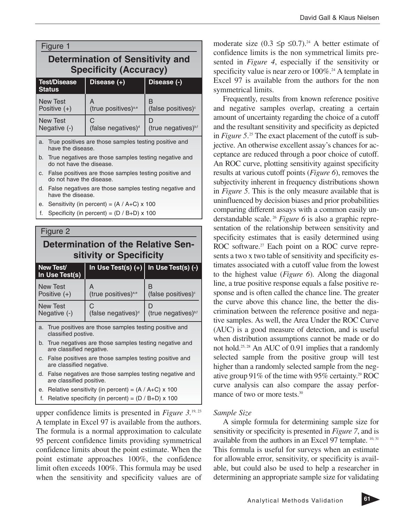| David Gall & Klaus Nielsen |  |
|----------------------------|--|
|----------------------------|--|

| Figure 1<br><b>Determination of Sensitivity and</b><br><b>Specificity (Accuracy)</b> |                                      |                                      |  |  |
|--------------------------------------------------------------------------------------|--------------------------------------|--------------------------------------|--|--|
| <b>Test/Disease</b><br><b>Status</b>                                                 | Disease (+)                          | Disease (-)                          |  |  |
| <b>New Test</b><br>Positive $(+)$                                                    | A<br>(true positives) <sup>a,e</sup> | B<br>(false positives) <sup>c</sup>  |  |  |
| <b>New Test</b><br>Negative (-)                                                      | С<br>(false negatives) <sup>d</sup>  | D<br>(true negatives) <sup>b,f</sup> |  |  |
| True nositives are those samples testing positive and<br>$\sim$                      |                                      |                                      |  |  |

are those samples testing positive and have the disease.

- b. True negatives are those samples testing negative and do not have the disease.
- c. False positives are those samples testing positive and do not have the disease.
- d. False negatives are those samples testing negative and have the disease.
- e. Sensitivity (in percent) =  $(A / A+C) \times 100$
- f. Specificity (in percent) =  $(D / B + D) \times 100$

# Figure 2 **Determination of the Relative Sensitivity or Specificity**

| New Test/<br>In Use Test(s)       | In Use Test(s) $\overline{(+)}$                                                       | In Use Test(s) (-)                   |  |  |
|-----------------------------------|---------------------------------------------------------------------------------------|--------------------------------------|--|--|
| <b>New Test</b><br>Positive $(+)$ | А<br>(true positives) <sup>a,e</sup>                                                  | B<br>(false positives) <sup>c</sup>  |  |  |
| New Test<br>Negative (-)          | С<br>(false negatives) <sup>d</sup>                                                   | D<br>(true negatives) <sup>b,f</sup> |  |  |
|                                   | a. True positives are those samples testing positive and<br>classified postive.       |                                      |  |  |
|                                   | b. True negatives are those samples testing negative and<br>are classified negative.  |                                      |  |  |
|                                   | c. False positives are those samples testing positive and<br>are classified negative. |                                      |  |  |
|                                   |                                                                                       |                                      |  |  |

- d. False negatives are those samples testing negative and are classified positive.
- e. Relative sensitivity (in percent) =  $(A / A+C)$  x 100
- f. Relative specificity (in percent) =  $(D / B + D) \times 100$

upper confidence limits is presented in *Figure 3.*19, 23 A template in Excel 97 is available from the authors. The formula is a normal approximation to calculate 95 percent confidence limits providing symmetrical confidence limits about the point estimate. When the point estimate approaches 100%, the confidence limit often exceeds 100%. This formula may be used when the sensitivity and specificity values are of moderate size  $(0.3 \leq p \leq 0.7)$ .<sup>24</sup> A better estimate of confidence limits is the non symmetrical limits presented in *Figure 4*, especially if the sensitivity or specificity value is near zero or  $100\%$ <sup>24</sup> A template in Excel 97 is available from the authors for the non symmetrical limits.

Frequently, results from known reference positive and negative samples overlap, creating a certain amount of uncertainty regarding the choice of a cutoff and the resultant sensitivity and specificity as depicted in *Figure 5.*<sup>25</sup> The exact placement of the cutoff is subjective. An otherwise excellent assay's chances for acceptance are reduced through a poor choice of cutoff. An ROC curve, plotting sensitivity against specificity results at various cutoff points (*Figure 6*), removes the subjectivity inherent in frequency distributions shown in *Figure 5*. This is the only measure available that is uninfluenced by decision biases and prior probabilities comparing different assays with a common easily understandable scale. <sup>26</sup> *Figure 6* is also a graphic representation of the relationship between sensitivity and specificity estimates that is easily determined using ROC software.<sup>27</sup> Each point on a ROC curve represents a two x two table of sensitivity and specificity estimates associated with a cutoff value from the lowest to the highest value (*Figure 6*). Along the diagonal line, a true positive response equals a false positive response and is often called the chance line. The greater the curve above this chance line, the better the discrimination between the reference positive and negative samples. As well, the Area Under the ROC Curve (AUC) is a good measure of detection, and is useful when distribution assumptions cannot be made or do not hold.25, 28 An AUC of 0.91 implies that a randomly selected sample from the positive group will test higher than a randomly selected sample from the negative group 91% of the time with 95% certainty.<sup>29</sup> ROC curve analysis can also compare the assay performance of two or more tests.<sup>30</sup>

#### *Sample Size*

A simple formula for determining sample size for sensitivity or specificity is presented in *Figure 7*, and is available from the authors in an Excel 97 template. <sup>10, 31</sup> This formula is useful for surveys when an estimate for allowable error, sensitivity, or specificity is available, but could also be used to help a researcher in determining an appropriate sample size for validating

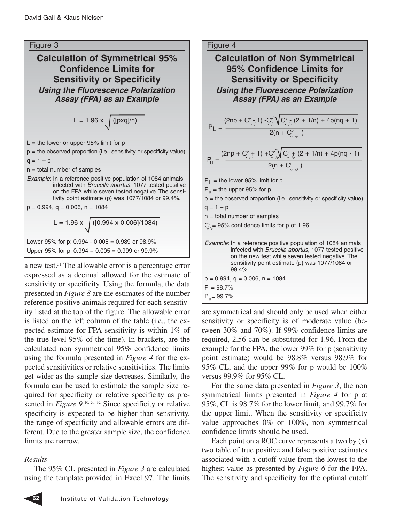

 $P_L = 98.7\%$  $P_{\text{u}} = 99.7\%$ 

expressed as a decimal allowed for the estimate of sensitivity or specificity. Using the formula, the data presented in *Figure 8* are the estimates of the number reference positive animals required for each sensitivity listed at the top of the figure. The allowable error is listed on the left column of the table (i.e., the expected estimate for FPA sensitivity is within 1% of the true level 95% of the time). In brackets, are the calculated non symmetrical 95% confidence limits using the formula presented in *Figure 4* for the expected sensitivities or relative sensitivities. The limits get wider as the sample size decreases. Similarly, the formula can be used to estimate the sample size required for specificity or relative specificity as presented in *Figure* 9.<sup>10, 20, 32</sup> Since specificity or relative specificity is expected to be higher than sensitivity, the range of specificity and allowable errors are different. Due to the greater sample size, the confidence limits are narrow.

# *Results*

The 95% CL presented in *Figure 3* are calculated using the template provided in Excel 97. The limits

are symmetrical and should only be used when either sensitivity or specificity is of moderate value (between 30% and 70%). If 99% confidence limits are required, 2.56 can be substituted for 1.96. From the example for the FPA, the lower 99% for p (sensitivity point estimate) would be 98.8% versus 98.9% for 95% CL, and the upper 99% for p would be 100% versus 99.9% for 95% CL.

For the same data presented in *Figure 3*, the non symmetrical limits presented in *Figure 4* for p at 95%, CL is 98.7% for the lower limit, and 99.7% for the upper limit. When the sensitivity or specificity value approaches 0% or 100%, non symmetrical confidence limits should be used.

Each point on a ROC curve represents a two by  $(x)$ two table of true positive and false positive estimates associated with a cutoff value from the lowest to the highest value as presented by *Figure 6* for the FPA. The sensitivity and specificity for the optimal cutoff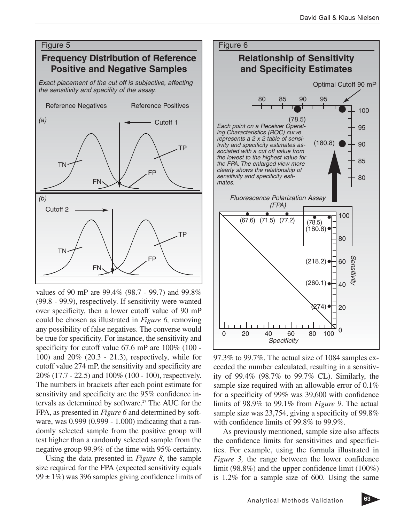

values of 90 mP are 99.4% (98.7 - 99.7) and 99.8% (99.8 - 99.9), respectively. If sensitivity were wanted over specificity, then a lower cutoff value of 90 mP could be chosen as illustrated in *Figure 6,* removing any possibility of false negatives. The converse would be true for specificity. For instance, the sensitivity and specificity for cutoff value 67.6 mP are 100% (100 - 100) and 20% (20.3 - 21.3), respectively, while for cutoff value 274 mP, the sensitivity and specificity are 20% (17.7 - 22.5) and 100% (100 - 100), respectively. The numbers in brackets after each point estimate for sensitivity and specificity are the 95% confidence intervals as determined by software.<sup>27</sup> The AUC for the FPA, as presented in *Figure 6* and determined by software, was 0.999 (0.999 - 1.000) indicating that a randomly selected sample from the positive group will test higher than a randomly selected sample from the negative group 99.9% of the time with 95% certainty.

Using the data presented in *Figure 8*, the sample size required for the FPA (expected sensitivity equals  $99 \pm 1\%$ ) was 396 samples giving confidence limits of



97.3% to 99.7%. The actual size of 1084 samples exceeded the number calculated, resulting in a sensitivity of 99.4% (98.7% to 99.7% CL). Similarly, the sample size required with an allowable error of 0.1% for a specificity of 99% was 39,600 with confidence limits of 98.9% to 99.1% from *Figure 9*. The actual sample size was 23,754, giving a specificity of 99.8% with confidence limits of 99.8% to 99.9%.

As previously mentioned, sample size also affects the confidence limits for sensitivities and specificities. For example, using the formula illustrated in *Figure 3,* the range between the lower confidence limit (98.8%) and the upper confidence limit (100%) is 1.2% for a sample size of 600. Using the same

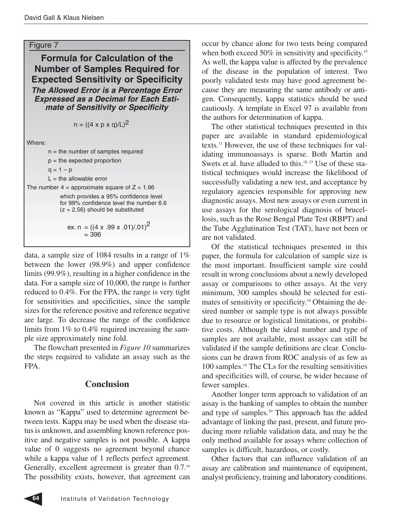#### Figure 7

**Formula for Calculation of the Number of Samples Required for Expected Sensitivity or Specificity The Allowed Error is a Percentage Error Expressed as a Decimal for Each Estimate of Sensitivity or Specificity**

$$
n = ((4 \times p \times q)/L)^2
$$

Where:

| $n =$ the number of samples required                                                                                   |
|------------------------------------------------------------------------------------------------------------------------|
| $p =$ the expected proportion                                                                                          |
| $q = 1 - p$                                                                                                            |
| $L =$ the allowable error                                                                                              |
| The number $4 =$ approximate square of $Z = 1.96$                                                                      |
| which provides a 95% confidence level<br>for 99% confidence level the number 6.6<br>$(z = 2.56)$ should be substituted |
| ex. n = $((4 \times .99 \times .01)/.01)^2$                                                                            |

 $= 396$ 

data, a sample size of 1084 results in a range of 1% between the lower (98.9%) and upper confidence limits (99.9%), resulting in a higher confidence in the data. For a sample size of 10,000, the range is further reduced to 0.4%. For the FPA, the range is very tight for sensitivities and specificities, since the sample sizes for the reference positive and reference negative are large. To decrease the range of the confidence limits from 1% to 0.4% required increasing the sample size approximately nine fold.

The flowchart presented in *Figure 10* summarizes the steps required to validate an assay such as the FPA.

## **Conclusion**

Not covered in this article is another statistic known as "Kappa" used to determine agreement between tests. Kappa may be used when the disease status is unknown, and assembling known reference positive and negative samples is not possible. A kappa value of 0 suggests no agreement beyond chance while a kappa value of 1 reflects perfect agreement. Generally, excellent agreement is greater than  $0.7$ .<sup>16</sup> The possibility exists, however, that agreement can occur by chance alone for two tests being compared when both exceed 50% in sensitivity and specificity.<sup>10</sup> As well, the kappa value is affected by the prevalence of the disease in the population of interest. Two poorly validated tests may have good agreement because they are measuring the same antibody or antigen. Consequently, kappa statistics should be used cautiously. A template in Excel 97 is available from the authors for determination of kappa.

The other statistical techniques presented in this paper are available in standard epidemiological texts.31 However, the use of these techniques for validating immunoassays is sparse. Both Martin and Swets et al. have alluded to this.<sup>18, 33</sup> Use of these statistical techniques would increase the likelihood of successfully validating a new test, and acceptance by regulatory agencies responsible for approving new diagnostic assays. Most new assays or even current in use assays for the serological diagnosis of brucellosis, such as the Rose Bengal Plate Test (RBPT) and the Tube Agglutination Test (TAT), have not been or are not validated.

Of the statistical techniques presented in this paper, the formula for calculation of sample size is the most important. Insufficient sample size could result in wrong conclusions about a newly developed assay or comparisons to other assays. At the very minimum, 300 samples should be selected for estimates of sensitivity or specificity.10 Obtaining the desired number or sample type is not always possible due to resource or logistical limitations, or prohibitive costs. Although the ideal number and type of samples are not available, most assays can still be validated if the sample definitions are clear. Conclusions can be drawn from ROC analysis of as few as 100 samples.19 The CLs for the resulting sensitivities and specificities will, of course, be wider because of fewer samples.

Another longer term approach to validation of an assay is the banking of samples to obtain the number and type of samples.<sup>20</sup> This approach has the added advantage of linking the past, present, and future producing more reliable validation data, and may be the only method available for assays where collection of samples is difficult, hazardous, or costly.

Other factors that can influence validation of an assay are calibration and maintenance of equipment, analyst proficiency, training and laboratory conditions.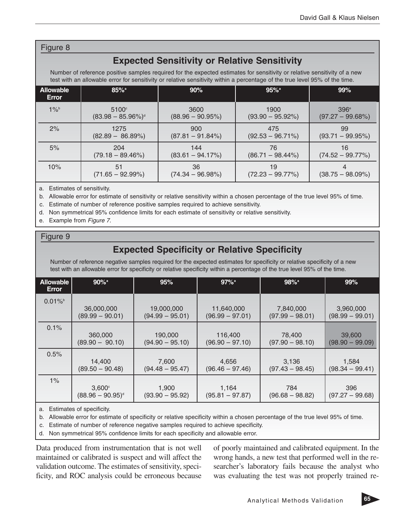## Figure 8

# **Expected Sensitivity or Relative Sensitivity**

Number of reference positive samples required for the expected estimates for sensitivity or relative sensitivity of a new test with an allowable error for sensitivity or relative sensitivity within a percentage of the true level 95% of the time.

| <b>Allowable</b><br>Error | $85\%$ <sup>a</sup>              | 90%                      | $95%$ <sup>a</sup>       | 99%                |
|---------------------------|----------------------------------|--------------------------|--------------------------|--------------------|
| $1\%$                     | $5100^\circ$                     | 3600                     | 1900                     | 396 <sup>e</sup>   |
|                           | $(83.98 - 85.96\%)$ <sup>d</sup> | $(88.96 - 90.95%)$       | $(93.90 - 95.92\%)$      | $(97.27 - 99.68%)$ |
| 2%                        | 1275                             | 900                      | 475                      | 99                 |
|                           | $(82.89 - 86.89%)$               | $(87.81 - 91.84%)$       | $(92.53 - 96.71\%)$      | $(93.71 - 99.95%)$ |
| 5%                        | 204                              | 144                      | 76                       | 16                 |
|                           | $(79.18 - 89.46%)$               | $(83.61 - 94.17%)$       | $(86.71 - 98.44\%)$      | $(74.52 - 99.77%)$ |
| 10%                       | 51<br>$(71.65 - 92.99%)$         | 36<br>$(74.34 - 96.98%)$ | 19<br>$(72.23 - 99.77%)$ | $(38.75 - 98.09%)$ |

a. Estimates of sensitivity.

b. Allowable error for estimate of sensitivity or relative sensitivity within a chosen percentage of the true level 95% of time.

c. Estimate of number of reference positive samples required to achieve sensitivity.

d. Non symmetrical 95% confidence limits for each estimate of sensitivity or relative sensitivity.

e. Example from Figure 7.

#### Figure 9

# **Expected Specificity or Relative Specificity**

Number of reference negative samples required for the expected estimates for specificity or relative specificity of a new test with an allowable error for specificity or relative specificity within a percentage of the true level 95% of the time.

| Allowable<br>Error | $90\%$ <sup>a</sup> | 95%               | $97\%$ <sup>a</sup> | 98% <sup>a</sup>  | 99%               |
|--------------------|---------------------|-------------------|---------------------|-------------------|-------------------|
| $0.01\%$           | 36,000,000          | 19,000,000        | 11,640,000          | 7,840,000         | 3,960,000         |
|                    | $(89.99 - 90.01)$   | $(94.99 - 95.01)$ | $(96.99 - 97.01)$   | $(97.99 - 98.01)$ | $(98.99 - 99.01)$ |
| 0.1%               | 360,000             | 190,000           | 116,400             | 78,400            | 39,600            |
|                    | $(89.90 - 90.10)$   | $(94.90 - 95.10)$ | $(96.90 - 97.10)$   | $(97.90 - 98.10)$ | $(98.90 - 99.09)$ |
| 0.5%               | 14,400              | 7,600             | 4,656               | 3,136             | 1,584             |
|                    | $(89.50 - 90.48)$   | $(94.48 - 95.47)$ | $(96.46 - 97.46)$   | $(97.43 - 98.45)$ | $(98.34 - 99.41)$ |
| $1\%$              | $3,600^\circ$       | 1,900             | 1,164               | 784               | 396               |
|                    | $(88.96 - 90.95)^d$ | $(93.90 - 95.92)$ | $(95.81 - 97.87)$   | $(96.68 - 98.82)$ | $(97.27 - 99.68)$ |

a. Estimates of specificity.

b. Allowable error for estimate of specificity or relative specificity within a chosen percentage of the true level 95% of time.

c. Estimate of number of reference negative samples required to achieve specificity.

d. Non symmetrical 95% confidence limits for each specificity and allowable error.

Data produced from instrumentation that is not well maintained or calibrated is suspect and will affect the validation outcome. The estimates of sensitivity, specificity, and ROC analysis could be erroneous because of poorly maintained and calibrated equipment. In the wrong hands, a new test that performed well in the researcher's laboratory fails because the analyst who was evaluating the test was not properly trained re-

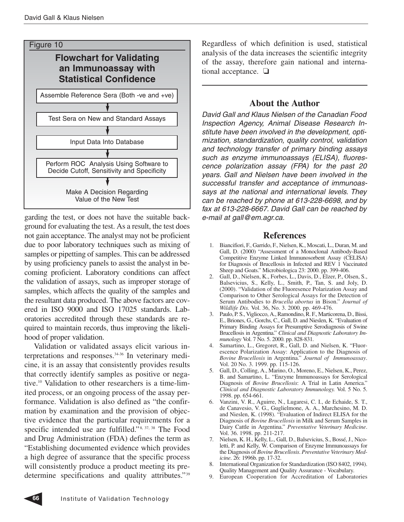

garding the test, or does not have the suitable background for evaluating the test. As a result, the test does not gain acceptance. The analyst may not be proficient due to poor laboratory techniques such as mixing of samples or pipetting of samples. This can be addressed by using proficiency panels to assist the analyst in becoming proficient. Laboratory conditions can affect the validation of assays, such as improper storage of samples, which affects the quality of the samples and the resultant data produced. The above factors are covered in ISO 9000 and ISO 17025 standards. Laboratories accredited through these standards are required to maintain records, thus improving the likelihood of proper validation.

Validation or validated assays elicit various interpretations and responses.34-36 In veterinary medicine, it is an assay that consistently provides results that correctly identify samples as positive or negative.10 Validation to other researchers is a time-limited process, or an ongoing process of the assay performance. Validation is also defined as "the confirmation by examination and the provision of objective evidence that the particular requirements for a specific intended use are fulfilled."<sup>8, 37, 38</sup> The Food and Drug Administration (FDA) defines the term as "Establishing documented evidence which provides a high degree of assurance that the specific process will consistently produce a product meeting its predetermine specifications and quality attributes."39 Regardless of which definition is used, statistical analysis of the data increases the scientific integrity of the assay, therefore gain national and international acceptance. ❏

# **About the Author**

David Gall and Klaus Nielsen of the Canadian Food Inspection Agency, Animal Disease Research Institute have been involved in the development, optimization, standardization, quality control, validation and technology transfer of primary binding assays such as enzyme immunoassays (ELISA), fluorescence polarization assay (FPA) for the past 20 years. Gall and Nielsen have been involved in the successful transfer and acceptance of immunoassays at the national and international levels. They can be reached by phone at 613-228-6698, and by fax at 613-228-6667. David Gall can be reached by e-mail at gall@em.agr.ca.

# **References**

- 1. Biancifiori, F., Garrido, F., Nielsen, K., Moscati, L., Duran, M. and Gall, D. (2000) "Assessment of a Monoclonal Antibody-Based Competitive Enzyme Linked Immunosorbent Assay (CELISA) for Diagnosis of Brucellosis in Infected and REV 1 Vaccinated Sheep and Goats." Microbiologica 23: 2000. pp. 399-406.
- 2. Gall, D., Nielsen, K., Forbes, L., Davis, D., Elzer, P., Olsen, S., Balsevicius, S., Kelly, L., Smith, P., Tan, S. and Joly, D. (2000). "Validation of the Fluoresence Polarization Assay and Comparison to Other Serological Assays for the Detection of Serum Antibodies to *Brucella abortus* in Bison." *Journal of Wildlife Dis.* Vol. 36, No. 3. 2000. pp. 469-476.
- 3. Paulo, P. S., Vigliocco, A., Ramondino, R. F., Marticorena, D., Bissi, E., Briones, G., Gorchs, C., Gall, D. and Nieslen, K. "Evaluation of Primary Binding Assays for Presumptive Serodiagnosis of Swine Brucellosis in Argentina." *Clinical and Diagnostic Laboratory Immunology* Vol. 7 No. 5. 2000. pp. 828-831.
- 4. Samartino, L., Gregoret, R., Gall, D. and Nielsen, K. "Fluorescence Polarization Assay: Application to the Diagnosis of *Bovine Brucellosis* in Argentina." *Journal of Immunoassay*. Vol. 20 No. 3. 1999. pp. 115-126.
- 5. Gall, D., Colling, A., Marino, O., Moreno, E., Nielsen, K., Perez, B. and Samartino, L. "Enzyme Immunoassays for Serological Diagnosis of *Bovine Brucellosis*: A Trial in Latin America." *Clinical and Diagnostic Laboratory Immunology.* Vol. 5 No. 5. 1998. pp. 654-661.
- 6. Vanzini, V. R., Aguirre, N., Lugaresi, C. I., de Echaide, S. T., de Canavesio, V. G., Guglielmone, A. A., Marchesino, M. D. and Nieslen, K. (1998). "Evaluation of Indirect ELISA for the Diagnosis of *Bovine Brucellosis* in Milk and Serum Samples in Dairy Cattle in Argentina." *Preventative Veterinary Medicine*. Vol. 36. 1998. pp. 211-217.
- 7. Nielsen, K. H., Kelly, L., Gall, D., Balsevicius, S., Bossé, J., Nicoletti, P. and Kelly, W. Comparison of Enzyme Immunoassays for the Diagnosis of *Bovine Brucellosis*. *Preventative Veterinary Medicine*. 26: 1996b. pp. 17-32.
- 8. International Organization for Standardization (ISO 8402, 1994). Quality Management and Quality Assurance - Vocabulary.
- 9. European Cooperation for Accreditation of Laboratories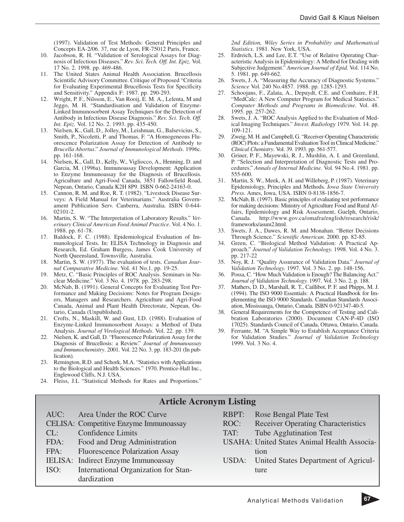(1997). Validation of Test Methods: General Principles and Concepts EA-2/06. 37, rue de Lyon, FR-75012 Paris, France.

- 10. Jacobson, R. H. "Validation of Serological Assays for Diagnosis of Infectious Diseases." *Rev. Sci. Tech. Off. Int. Epiz.* Vol. 17 No. 2. 1998. pp. 469-486.
- 11. The United States Animal Health Association. Brucellosis Scientific Advisory Committee. Critique of Proposed "Criteria for Evaluating Experimental Brucellosis Tests for Specificity and Sensitivity." Appendix F: 1987. pp. 290-293.
- 12. Wright, P. F., Nilsson, E., Van Rooij, E. M. A., Lelenta, M and Jeggo, M. H. "Standardisation and Validation of Enzyme-Linked Immunosorbent Assay Techniques for the Detection of Antibody in Infectious Disease Diagnosis." *Rev. Sci. Tech. Off. Int. Epiz.* Vol. 12 No. 2. 1993. pp. 435-450.
- 13. Nielsen, K., Gall, D., Jolley, M., Leishman, G., Balsevicius, S., Smith, P., Nicoletti, P. and Thomas, F. "A Homogeneous Fluorescence Polarization Assay for Detection of Antibody to *Brucella Abortus*." *Journal of Immunological Methods*. 1996c. pp. 161-168.
- 14. Nielsen, K., Gall, D., Kelly, W., Vigliocco, A., Henning, D. and Garcia, M. (1996a). Immunoassay Development: Application to Enzyme Immunoassay for the Diagnosis of Brucellosis. Agriculture and Agri-Food Canada, 3851 Fallowfield Road, Nepean, Ontario, Canada K2H 8P9. ISBN 0-662-24163-0.
- 15. Cannon, R. M. and Roe, R. T. (1982). "Livestock Disease Surveys: A Field Manual for Veterinarians." Australia Governament Publication Serv. Canberra, Australia. ISBN 0-644- 02101-2.
- 16. Martin, S. W. "The Interpretation of Laboratory Results." *Veterinary Clinical American Food Animal Practice*. Vol. 4 No. 1. 1988. pp. 61-78.
- 17. Baldock, F. C. (1988). Epidemiological Evaluation of Immunological Tests. In: ELISA Technology in Diagnosis and Research, Ed. Graham Burgess, James Cook University of North Queensland, Townsville, Australia.
- 18. Martin, S. W. (1977). The evaluation of tests. *Canadian Journal Comparative Medicine.* Vol. 41 No.1. pp. 19-25.
- 19. Metz, C. "Basic Principles of ROC Analysis. Seminars in Nuclear Medicine." Vol. 3 No. 4. 1978. pp. 283-298.
- 20. McNab, B. (1991). General Concepts for Evaluating Test Performance and Making Decisions: Notes for Program Designers, Managers and Researchers. Agriculture and Agri-Food Canada, Animal and Plant Health Directorate, Nepean, Ontario, Canada (Unpublished).
- 21. Crofts, N., Maskill, W. and Gust, I.D. (1988). Evaluation of Enzyme-Linked Immunosorbent Assays: a Method of Data Analysis. *Journal of Virological Methods*. Vol. 22. pp. 139.
- 22. Nielsen, K. and Gall, D. "Fluorescence Polarization Assay for the Diagnosis of Brucellosis: a Review." *Journal of Immunoassay and Immunochemistry*. 2001. Vol. 22 No. 3. pp. 183-201 (In publication).
- 23. Remington, R.D. and Schork, M.A. "Statistics with Applications to the Biological and Health Sciences." 1970. Prentice-Hall Inc., Englewood Cliffs, N.J. USA.
- 24. Fleiss, J.L "Statistical Methods for Rates and Proportions."

*2nd Edition, Wiley Series in Probability and Mathematical Statistics*. 1981. New York, USA.

- 25. Erdreich, L.S. and Lee, E.T. "Use of Relative Operating Characteristic Analysis in Epidemiology: A Method for Dealing with Subjective Judgement." *American Journal of Epid.* Vol. 114 No. 5. 1981. pp. 649-662.
- 26. Swets, J. A. "Measuring the Accuracy of Diagnostic Systems." *Science* Vol. 240 No.4857. 1988. pp. 1285-1293.
- 27. Schoojans, F., Zalata, A., Depuydt, C.E. and Comhaire, F.H. "MedCalc: A New Computer Program for Medical Statistics." *Computer Methods and Programs in Biomedicine*. Vol. 48. 1995. pp. 257-262.
- 28. Swets, J. A. "ROC Analysis Applied to the Evaluation of Medical Imaging Techniques." *Invest. Radiol*ogy 1979. Vol. 14. pp. 109-121.
- 29. Zweig, M. H. and Campbell, G. "Receiver-Operating Characteristic (ROC) Plots: a Fundamental Evaluation Tool in Clinical Medicine." *Clinical Chemistry*. Vol. 39. 1993. pp. 561-577.
- 30. Griner, P. F., Mayewski, R. J., Mushlin, A. I. and Greenland, P. "Selection and Interpretation of Diagnostic Tests and Procedures." *Annals of Internal Medicine*. Vol. 94 No.4. 1981. pp. 555-600.
- 31. Martin, S. W., Meek, A. H. and Willeberg, P. (1987). Veterinary Epidemiology, Principles and Methods. *Iowa State University Press*. Ames, Iowa, USA. ISBN 0-8138-1856-7.
- 32. McNab, B. (1997). Basic principles of evaluating test performance for making decisions: Ministry of Agriculture Food and Rural Affairs, Epidemiology and Risk Assessment, Guelph, Ontario, Canada. http://www.gov.ca/omafra/english/research/risk/ frameworks/asum2.html.
- 33. Swets, J. A., Dawes, R. M. and Monahan. "Better Decisions Through Science." *Scientific American.* 2000. pp. 82-85.
- 34. Green, C. "Biological Method Validation: A Practical Approach." *Journal of Validation Technology.* 1998. Vol. 4 No. 3. pp. 217-22
- 35. Noy, R. J. "Quality Assurance of Validation Data." *Journal of Validation Technology.* 1997. Vol. 3 No. 2. pp. 148-156.
- 36. Possa, C. "How Much Validation is Enough? The Balancing Act." *Journal of Validation Technology.* 1997. Vol. 3 No. 2. p. 188.
- 37. Mathers, D. D., Marshall, R. T., Caillibot, P. F. and Phipps, M. J. (1994). The ISO 9000 Essentials: A Practical Handbook for Implementing the ISO 9000 Standards. Canadian Standards Association, Mississauga, Ontario, Canada. ISBN 0-921347-40-5.
- 38. General Requirements for the Competence of Testing and Calibration Laboratories (2000). Document CAN-P-4D (ISO 17025). Standards Council of Canada, Ottawa, Ontario, Canada.
- 39. Ferrante, M. "A Simple Way to Establish Acceptance Criteria for Validation Studies." *Journal of Validation Technology* 1999. Vol. 3 No. 4.

# **Article Acronym Listing**

- AUC: Area Under the ROC Curve
- CELISA: Competitive Enzyme Immunoassay
- CL: Confidence Limits
- FDA: Food and Drug Administration FPA: Fluorescence Polarization Assay
- 
- IELISA: Indirect Enzyme Immunoassay ISO: International Organization for Stan
	- dardization
- RBPT: Rose Bengal Plate Test
- ROC: Receiver Operating Characteristics
- TAT: Tube Agglutination Test
- USAHA: United States Animal Health Association
- USDA: United States Department of Agriculture